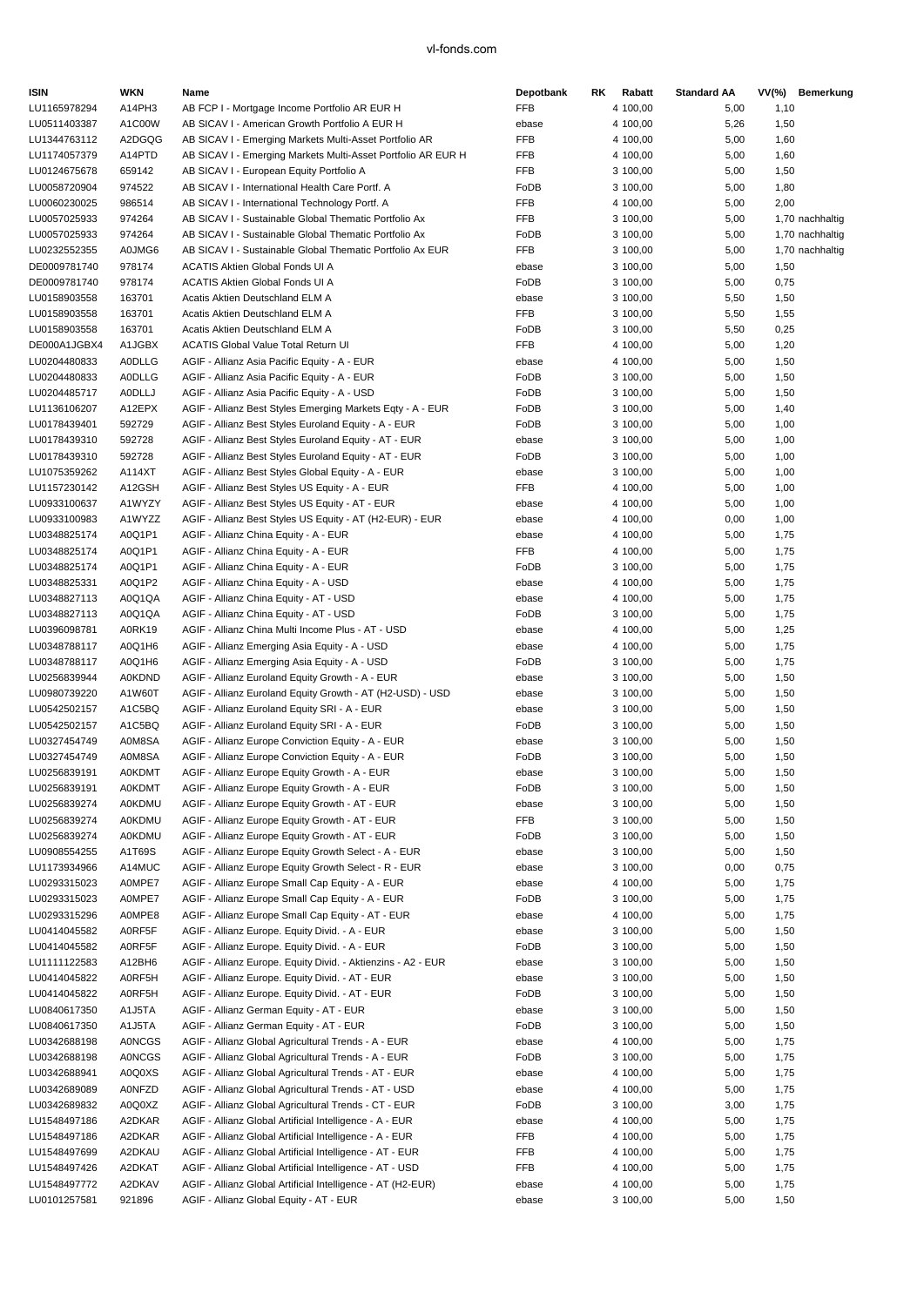| <b>ISIN</b>                  | WKN                     | Name                                                                                                            | Depotbank     | RK. | Rabatt               | <b>Standard AA</b> | VV(%)        | Bemerkung       |
|------------------------------|-------------------------|-----------------------------------------------------------------------------------------------------------------|---------------|-----|----------------------|--------------------|--------------|-----------------|
| LU1165978294                 | A14PH3                  | AB FCP I - Mortgage Income Portfolio AR EUR H                                                                   | <b>FFB</b>    |     | 4 100,00             | 5,00               | 1,10         |                 |
| LU0511403387                 | A1C00W                  | AB SICAV I - American Growth Portfolio A EUR H                                                                  | ebase         |     | 4 100,00             | 5,26               | 1,50         |                 |
| LU1344763112                 | A2DGQG                  | AB SICAV I - Emerging Markets Multi-Asset Portfolio AR                                                          | <b>FFB</b>    |     | 4 100,00             | 5,00               | 1,60         |                 |
| LU1174057379                 | A14PTD                  | AB SICAV I - Emerging Markets Multi-Asset Portfolio AR EUR H                                                    | FFB           |     | 4 100,00             | 5,00               | 1,60         |                 |
| LU0124675678                 | 659142                  | AB SICAV I - European Equity Portfolio A                                                                        | <b>FFB</b>    |     | 3 100,00             | 5,00               | 1,50         |                 |
| LU0058720904                 | 974522                  | AB SICAV I - International Health Care Portf. A                                                                 | FoDB          |     | 3 100,00             | 5,00               | 1,80         |                 |
| LU0060230025                 | 986514                  | AB SICAV I - International Technology Portf. A                                                                  | <b>FFB</b>    |     | 4 100,00             | 5,00               | 2,00         |                 |
| LU0057025933                 | 974264                  | AB SICAV I - Sustainable Global Thematic Portfolio Ax                                                           | <b>FFB</b>    |     | 3 100,00             | 5,00               |              | 1,70 nachhaltig |
| LU0057025933                 | 974264                  | AB SICAV I - Sustainable Global Thematic Portfolio Ax                                                           | FoDB          |     | 3 100,00             | 5,00               |              | 1,70 nachhaltig |
| LU0232552355                 | A0JMG6                  | AB SICAV I - Sustainable Global Thematic Portfolio Ax EUR                                                       | <b>FFB</b>    |     | 3 100,00             | 5,00               |              | 1,70 nachhaltig |
| DE0009781740                 | 978174                  | ACATIS Aktien Global Fonds UI A                                                                                 | ebase         |     | 3 100,00             | 5,00               | 1,50         |                 |
| DE0009781740                 | 978174                  | ACATIS Aktien Global Fonds UI A                                                                                 | FoDB          |     | 3 100,00             | 5,00               | 0,75         |                 |
| LU0158903558                 | 163701                  | Acatis Aktien Deutschland ELM A                                                                                 | ebase         |     | 3 100,00             | 5,50               | 1,50         |                 |
| LU0158903558                 | 163701                  | Acatis Aktien Deutschland ELM A                                                                                 | FFB           |     | 3 100,00             | 5,50               | 1,55         |                 |
| LU0158903558                 | 163701                  | Acatis Aktien Deutschland ELM A                                                                                 | FoDB          |     | 3 100,00             | 5,50               | 0,25         |                 |
| DE000A1JGBX4                 | A1JGBX                  | <b>ACATIS Global Value Total Return UI</b>                                                                      | <b>FFB</b>    |     | 4 100,00             | 5,00               | 1,20         |                 |
| LU0204480833                 | <b>AODLLG</b>           | AGIF - Allianz Asia Pacific Equity - A - EUR                                                                    | ebase         |     | 4 100,00             | 5,00               | 1,50         |                 |
| LU0204480833                 | <b>AODLLG</b>           | AGIF - Allianz Asia Pacific Equity - A - EUR                                                                    | FoDB          |     | 3 100,00             | 5,00               | 1,50         |                 |
| LU0204485717                 | <b>AODLLJ</b>           | AGIF - Allianz Asia Pacific Equity - A - USD                                                                    | FoDB          |     | 3 100,00             | 5,00               | 1,50         |                 |
| LU1136106207                 | A12EPX                  | AGIF - Allianz Best Styles Emerging Markets Eqty - A - EUR                                                      | FoDB          |     | 3 100,00             | 5,00               | 1,40         |                 |
| LU0178439401                 | 592729                  | AGIF - Allianz Best Styles Euroland Equity - A - EUR                                                            | FoDB          |     | 3 100,00             | 5,00               | 1,00         |                 |
| LU0178439310                 | 592728                  | AGIF - Allianz Best Styles Euroland Equity - AT - EUR                                                           | ebase         |     | 3 100,00             | 5,00               | 1,00         |                 |
| LU0178439310                 | 592728                  | AGIF - Allianz Best Styles Euroland Equity - AT - EUR                                                           | FoDB          |     | 3 100,00             | 5,00               | 1,00         |                 |
| LU1075359262                 | A114XT                  | AGIF - Allianz Best Styles Global Equity - A - EUR                                                              | ebase         |     | 3 100,00             | 5,00               | 1,00         |                 |
| LU1157230142                 | A12GSH                  | AGIF - Allianz Best Styles US Equity - A - EUR                                                                  | FFB           |     | 4 100,00             | 5,00               | 1,00         |                 |
| LU0933100637                 | A1WYZY                  | AGIF - Allianz Best Styles US Equity - AT - EUR                                                                 | ebase         |     | 4 100,00             | 5,00               | 1,00         |                 |
| LU0933100983                 | A1WYZZ                  | AGIF - Allianz Best Styles US Equity - AT (H2-EUR) - EUR                                                        | ebase         |     | 4 100,00             | 0,00               | 1,00         |                 |
| LU0348825174                 | A0Q1P1                  | AGIF - Allianz China Equity - A - EUR                                                                           | ebase         |     | 4 100,00             | 5,00               | 1,75         |                 |
| LU0348825174                 | A0Q1P1                  | AGIF - Allianz China Equity - A - EUR                                                                           | FFB           |     | 4 100,00             | 5,00               | 1,75         |                 |
| LU0348825174                 | A0Q1P1                  | AGIF - Allianz China Equity - A - EUR                                                                           | FoDB          |     | 3 100,00             | 5,00               | 1,75         |                 |
| LU0348825331                 | A0Q1P2                  | AGIF - Allianz China Equity - A - USD                                                                           | ebase         |     | 4 100,00             | 5,00               | 1,75         |                 |
| LU0348827113                 | A0Q1QA                  | AGIF - Allianz China Equity - AT - USD                                                                          | ebase         |     | 4 100,00             | 5,00               | 1,75         |                 |
| LU0348827113                 | A0Q1QA                  | AGIF - Allianz China Equity - AT - USD                                                                          | FoDB          |     | 3 100,00             | 5,00               | 1,75         |                 |
| LU0396098781                 | A0RK19                  | AGIF - Allianz China Multi Income Plus - AT - USD                                                               | ebase         |     | 4 100,00             | 5,00               | 1,25         |                 |
| LU0348788117                 | A0Q1H6                  | AGIF - Allianz Emerging Asia Equity - A - USD                                                                   | ebase         |     | 4 100,00             | 5,00               | 1,75         |                 |
| LU0348788117                 | A0Q1H6                  | AGIF - Allianz Emerging Asia Equity - A - USD                                                                   | FoDB          |     | 3 100,00             | 5,00               | 1,75         |                 |
| LU0256839944                 | <b>A0KDND</b>           | AGIF - Allianz Euroland Equity Growth - A - EUR                                                                 | ebase         |     | 3 100,00             | 5,00               | 1,50         |                 |
| LU0980739220                 | A1W60T                  | AGIF - Allianz Euroland Equity Growth - AT (H2-USD) - USD                                                       | ebase         |     | 3 100,00             | 5,00               | 1,50         |                 |
| LU0542502157                 | A1C5BQ                  | AGIF - Allianz Euroland Equity SRI - A - EUR                                                                    | ebase         |     | 3 100,00             | 5,00               | 1,50         |                 |
| LU0542502157                 | A1C5BQ                  | AGIF - Allianz Euroland Equity SRI - A - EUR                                                                    | FoDB          |     | 3 100,00             | 5,00               | 1,50         |                 |
| LU0327454749                 | A0M8SA                  | AGIF - Allianz Europe Conviction Equity - A - EUR                                                               | ebase         |     | 3 100,00             | 5,00               | 1,50         |                 |
| LU0327454749                 | A0M8SA                  | AGIF - Allianz Europe Conviction Equity - A - EUR                                                               | FoDB          |     | 3 100,00             | 5,00               | 1,50         |                 |
| LU0256839191                 | <b>A0KDMT</b>           | AGIF - Allianz Europe Equity Growth - A - EUR                                                                   | ebase         |     | 3 100.00             | 5,00               | 1,50         |                 |
| LU0256839191                 | <b>A0KDMT</b>           | AGIF - Allianz Europe Equity Growth - A - EUR                                                                   | FoDB          |     | 3 100,00             | 5,00               | 1,50         |                 |
| LU0256839274                 | <b>A0KDMU</b>           | AGIF - Allianz Europe Equity Growth - AT - EUR                                                                  | ebase         |     | 3 100,00             | 5,00               | 1,50         |                 |
| LU0256839274                 | <b>A0KDMU</b>           | AGIF - Allianz Europe Equity Growth - AT - EUR                                                                  | <b>FFB</b>    |     | 3 100,00             | 5,00               | 1,50         |                 |
| LU0256839274                 | <b>A0KDMU</b>           | AGIF - Allianz Europe Equity Growth - AT - EUR                                                                  | FoDB          |     | 3 100,00             | 5,00               | 1,50         |                 |
| LU0908554255                 | A1T69S                  | AGIF - Allianz Europe Equity Growth Select - A - EUR                                                            | ebase         |     | 3 100,00             | 5,00               | 1,50         |                 |
| LU1173934966                 | A14MUC                  | AGIF - Allianz Europe Equity Growth Select - R - EUR                                                            | ebase         |     | 3 100,00             | 0,00               | 0,75         |                 |
| LU0293315023                 | A0MPE7                  | AGIF - Allianz Europe Small Cap Equity - A - EUR                                                                | ebase         |     | 4 100,00             | 5,00               | 1,75         |                 |
| LU0293315023                 | A0MPE7                  | AGIF - Allianz Europe Small Cap Equity - A - EUR                                                                | FoDB          |     | 3 100,00             | 5,00               | 1,75         |                 |
| LU0293315296                 | A0MPE8                  | AGIF - Allianz Europe Small Cap Equity - AT - EUR                                                               | ebase         |     | 4 100,00             | 5,00               | 1,75         |                 |
| LU0414045582                 | A0RF5F                  | AGIF - Allianz Europe. Equity Divid. - A - EUR                                                                  | ebase         |     | 3 100,00             | 5,00               | 1,50         |                 |
| LU0414045582                 | A0RF5F                  | AGIF - Allianz Europe. Equity Divid. - A - EUR                                                                  | FoDB          |     | 3 100,00             | 5,00               | 1,50         |                 |
| LU1111122583                 | A12BH6                  | AGIF - Allianz Europe. Equity Divid. - Aktienzins - A2 - EUR                                                    | ebase         |     | 3 100,00             | 5,00               | 1,50         |                 |
| LU0414045822                 | A0RF5H                  | AGIF - Allianz Europe. Equity Divid. - AT - EUR                                                                 | ebase         |     | 3 100,00             | 5,00               | 1,50         |                 |
| LU0414045822                 | A0RF5H                  | AGIF - Allianz Europe. Equity Divid. - AT - EUR                                                                 | FoDB          |     | 3 100,00             | 5,00               | 1,50         |                 |
| LU0840617350<br>LU0840617350 | A1J5TA                  | AGIF - Allianz German Equity - AT - EUR                                                                         | ebase<br>FoDB |     | 3 100,00             | 5,00<br>5,00       | 1,50         |                 |
| LU0342688198                 | A1J5TA<br><b>A0NCGS</b> | AGIF - Allianz German Equity - AT - EUR<br>AGIF - Allianz Global Agricultural Trends - A - EUR                  | ebase         |     | 3 100,00             | 5,00               | 1,50         |                 |
| LU0342688198                 | <b>A0NCGS</b>           | AGIF - Allianz Global Agricultural Trends - A - EUR                                                             | FoDB          |     | 4 100,00<br>3 100,00 | 5,00               | 1,75<br>1,75 |                 |
| LU0342688941                 | A0Q0XS                  | AGIF - Allianz Global Agricultural Trends - AT - EUR                                                            | ebase         |     | 4 100,00             | 5,00               | 1,75         |                 |
| LU0342689089                 | <b>A0NFZD</b>           | AGIF - Allianz Global Agricultural Trends - AT - USD                                                            | ebase         |     | 4 100,00             | 5,00               | 1,75         |                 |
|                              |                         |                                                                                                                 |               |     |                      |                    |              |                 |
| LU0342689832<br>LU1548497186 | A0Q0XZ<br>A2DKAR        | AGIF - Allianz Global Agricultural Trends - CT - EUR<br>AGIF - Allianz Global Artificial Intelligence - A - EUR | FoDB<br>ebase |     | 3 100,00<br>4 100,00 | 3,00               | 1,75         |                 |
| LU1548497186                 | A2DKAR                  | AGIF - Allianz Global Artificial Intelligence - A - EUR                                                         | FFB           |     | 4 100,00             | 5,00<br>5,00       | 1,75<br>1,75 |                 |
| LU1548497699                 | A2DKAU                  | AGIF - Allianz Global Artificial Intelligence - AT - EUR                                                        | <b>FFB</b>    |     | 4 100,00             | 5,00               | 1,75         |                 |
| LU1548497426                 | A2DKAT                  | AGIF - Allianz Global Artificial Intelligence - AT - USD                                                        | FFB           |     | 4 100,00             | 5,00               | 1,75         |                 |
| LU1548497772                 | A2DKAV                  | AGIF - Allianz Global Artificial Intelligence - AT (H2-EUR)                                                     | ebase         |     | 4 100,00             | 5,00               | 1,75         |                 |
| LU0101257581                 | 921896                  | AGIF - Allianz Global Equity - AT - EUR                                                                         | ebase         |     | 3 100,00             | 5,00               | 1,50         |                 |
|                              |                         |                                                                                                                 |               |     |                      |                    |              |                 |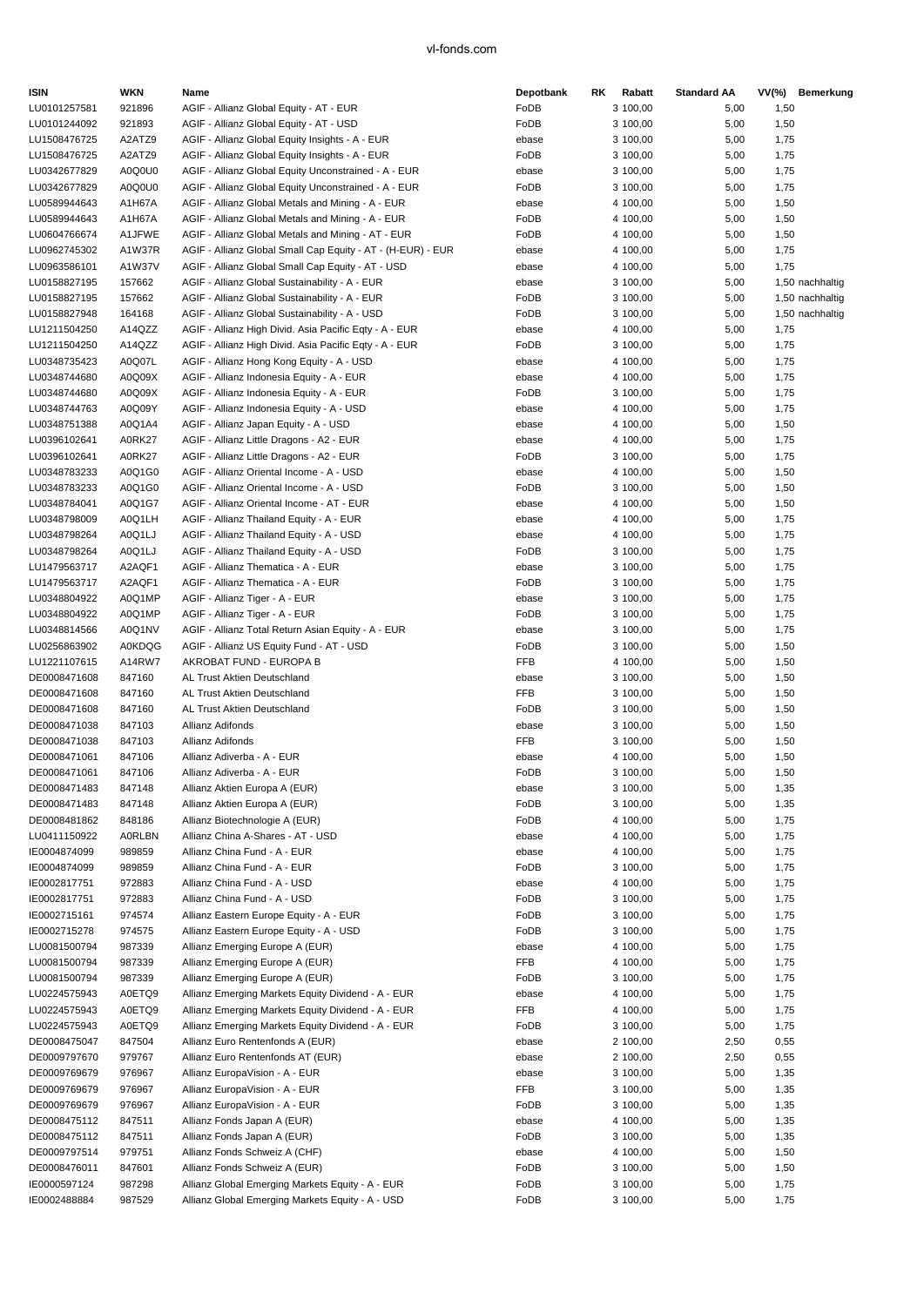| <b>ISIN</b>                  | WKN              | Name                                                                                   | Depotbank     | RK. | Rabatt               | <b>Standard AA</b> | $VV(\%)$     | Bemerkung       |
|------------------------------|------------------|----------------------------------------------------------------------------------------|---------------|-----|----------------------|--------------------|--------------|-----------------|
| LU0101257581                 | 921896           | AGIF - Allianz Global Equity - AT - EUR                                                | FoDB          |     | 3 100,00             | 5,00               | 1,50         |                 |
| LU0101244092                 | 921893           | AGIF - Allianz Global Equity - AT - USD                                                | FoDB          |     | 3 100,00             | 5,00               | 1,50         |                 |
| LU1508476725                 | A2ATZ9           | AGIF - Allianz Global Equity Insights - A - EUR                                        | ebase         |     | 3 100,00             | 5,00               | 1,75         |                 |
| LU1508476725                 | A2ATZ9           | AGIF - Allianz Global Equity Insights - A - EUR                                        | FoDB          |     | 3 100,00             | 5,00               | 1,75         |                 |
| LU0342677829                 | A0Q0U0           | AGIF - Allianz Global Equity Unconstrained - A - EUR                                   | ebase         |     | 3 100,00             | 5,00               | 1,75         |                 |
| LU0342677829                 | A0Q0U0           | AGIF - Allianz Global Equity Unconstrained - A - EUR                                   | FoDB          |     | 3 100,00             | 5,00               | 1,75         |                 |
| LU0589944643                 | A1H67A           | AGIF - Allianz Global Metals and Mining - A - EUR                                      | ebase         |     | 4 100,00             | 5,00               | 1,50         |                 |
| LU0589944643                 | A1H67A           | AGIF - Allianz Global Metals and Mining - A - EUR                                      | FoDB          |     | 4 100,00             | 5,00               | 1,50         |                 |
| LU0604766674                 | A1JFWE           | AGIF - Allianz Global Metals and Mining - AT - EUR                                     | FoDB          |     | 4 100,00             | 5,00               | 1,50         |                 |
| LU0962745302                 | A1W37R           | AGIF - Allianz Global Small Cap Equity - AT - (H-EUR) - EUR                            | ebase         |     | 4 100,00             | 5,00               | 1,75         |                 |
| LU0963586101                 | A1W37V           | AGIF - Allianz Global Small Cap Equity - AT - USD                                      | ebase         |     | 4 100,00             | 5,00               | 1,75         |                 |
| LU0158827195                 | 157662           | AGIF - Allianz Global Sustainability - A - EUR                                         | ebase         |     | 3 100,00             | 5,00               |              | 1,50 nachhaltig |
| LU0158827195                 | 157662           | AGIF - Allianz Global Sustainability - A - EUR                                         | FoDB          |     | 3 100,00             | 5,00               |              | 1,50 nachhaltig |
| LU0158827948                 | 164168           | AGIF - Allianz Global Sustainability - A - USD                                         | FoDB          |     | 3 100,00             | 5,00               |              | 1,50 nachhaltig |
| LU1211504250                 | A14QZZ           | AGIF - Allianz High Divid. Asia Pacific Eqty - A - EUR                                 | ebase         |     | 4 100,00             | 5,00               | 1,75         |                 |
| LU1211504250                 | A14QZZ           | AGIF - Allianz High Divid. Asia Pacific Eqty - A - EUR                                 | FoDB          |     | 3 100,00             | 5,00               | 1,75         |                 |
| LU0348735423                 | A0Q07L           | AGIF - Allianz Hong Kong Equity - A - USD                                              | ebase         |     | 4 100,00             | 5,00               | 1,75         |                 |
| LU0348744680                 | A0Q09X           | AGIF - Allianz Indonesia Equity - A - EUR<br>AGIF - Allianz Indonesia Equity - A - EUR | ebase         |     | 4 100,00             | 5,00               | 1,75         |                 |
| LU0348744680<br>LU0348744763 | A0Q09X<br>A0Q09Y | AGIF - Allianz Indonesia Equity - A - USD                                              | FoDB<br>ebase |     | 3 100,00<br>4 100,00 | 5,00<br>5,00       | 1,75<br>1,75 |                 |
| LU0348751388                 | A0Q1A4           | AGIF - Allianz Japan Equity - A - USD                                                  | ebase         |     | 4 100,00             | 5,00               | 1,50         |                 |
|                              |                  | AGIF - Allianz Little Dragons - A2 - EUR                                               |               |     |                      |                    |              |                 |
| LU0396102641<br>LU0396102641 | A0RK27<br>A0RK27 | AGIF - Allianz Little Dragons - A2 - EUR                                               | ebase<br>FoDB |     | 4 100,00<br>3 100,00 | 5,00               | 1,75<br>1,75 |                 |
| LU0348783233                 | A0Q1G0           | AGIF - Allianz Oriental Income - A - USD                                               |               |     | 4 100,00             | 5,00<br>5,00       |              |                 |
| LU0348783233                 | A0Q1G0           | AGIF - Allianz Oriental Income - A - USD                                               | ebase<br>FoDB |     | 3 100,00             | 5,00               | 1,50<br>1,50 |                 |
| LU0348784041                 | A0Q1G7           | AGIF - Allianz Oriental Income - AT - EUR                                              | ebase         |     | 4 100,00             | 5,00               | 1,50         |                 |
| LU0348798009                 | A0Q1LH           | AGIF - Allianz Thailand Equity - A - EUR                                               | ebase         |     | 4 100,00             | 5,00               | 1,75         |                 |
| LU0348798264                 | A0Q1LJ           | AGIF - Allianz Thailand Equity - A - USD                                               | ebase         |     | 4 100,00             | 5,00               | 1,75         |                 |
| LU0348798264                 | A0Q1LJ           | AGIF - Allianz Thailand Equity - A - USD                                               | FoDB          |     | 3 100,00             | 5,00               | 1,75         |                 |
| LU1479563717                 | A2AQF1           | AGIF - Allianz Thematica - A - EUR                                                     | ebase         |     | 3 100,00             | 5,00               | 1,75         |                 |
| LU1479563717                 | A2AQF1           | AGIF - Allianz Thematica - A - EUR                                                     | FoDB          |     | 3 100,00             | 5,00               | 1,75         |                 |
| LU0348804922                 | A0Q1MP           | AGIF - Allianz Tiger - A - EUR                                                         | ebase         |     | 3 100,00             | 5,00               | 1,75         |                 |
| LU0348804922                 | A0Q1MP           | AGIF - Allianz Tiger - A - EUR                                                         | FoDB          |     | 3 100,00             | 5,00               | 1,75         |                 |
| LU0348814566                 | A0Q1NV           | AGIF - Allianz Total Return Asian Equity - A - EUR                                     | ebase         |     | 3 100,00             | 5,00               | 1,75         |                 |
| LU0256863902                 | <b>A0KDQG</b>    | AGIF - Allianz US Equity Fund - AT - USD                                               | FoDB          |     | 3 100,00             | 5,00               | 1,50         |                 |
| LU1221107615                 | A14RW7           | AKROBAT FUND - EUROPA B                                                                | <b>FFB</b>    |     | 4 100,00             | 5,00               | 1,50         |                 |
| DE0008471608                 | 847160           | AL Trust Aktien Deutschland                                                            | ebase         |     | 3 100,00             | 5,00               | 1,50         |                 |
| DE0008471608                 | 847160           | AL Trust Aktien Deutschland                                                            | <b>FFB</b>    |     | 3 100,00             | 5,00               | 1,50         |                 |
| DE0008471608                 | 847160           | AL Trust Aktien Deutschland                                                            | FoDB          |     | 3 100,00             | 5,00               | 1,50         |                 |
| DE0008471038                 | 847103           | Allianz Adifonds                                                                       | ebase         |     | 3 100,00             | 5,00               | 1,50         |                 |
| DE0008471038                 | 847103           | Allianz Adifonds                                                                       | <b>FFB</b>    |     | 3 100,00             | 5,00               | 1,50         |                 |
| DE0008471061                 | 847106           | Allianz Adiverba - A - EUR                                                             | ebase         |     | 4 100,00             | 5,00               | 1,50         |                 |
| DE0008471061                 | 847106           | Allianz Adiverba - A - EUR                                                             | FoDB          |     | 3 100,00             | 5,00               | 1,50         |                 |
| DE0008471483                 | 847148           | Allianz Aktien Europa A (EUR)                                                          | ebase         |     | 3 100,00             | 5,00               | 1,35         |                 |
| DE0008471483                 | 847148           | Allianz Aktien Europa A (EUR)                                                          | FoDB          |     | 3 100,00             | 5,00               | 1,35         |                 |
| DE0008481862                 | 848186           | Allianz Biotechnologie A (EUR)                                                         | FoDB          |     | 4 100,00             | 5,00               | 1,75         |                 |
| LU0411150922                 | <b>A0RLBN</b>    | Allianz China A-Shares - AT - USD                                                      | ebase         |     | 4 100,00             | 5,00               | 1,75         |                 |
| IE0004874099                 | 989859           | Allianz China Fund - A - EUR                                                           | ebase         |     | 4 100,00             | 5,00               | 1,75         |                 |
| IE0004874099                 | 989859           | Allianz China Fund - A - EUR                                                           | FoDB          |     | 3 100,00             | 5,00               | 1,75         |                 |
| IE0002817751                 | 972883           | Allianz China Fund - A - USD                                                           | ebase         |     | 4 100,00             | 5,00               | 1,75         |                 |
| IE0002817751                 | 972883           | Allianz China Fund - A - USD                                                           | FoDB          |     | 3 100,00             | 5,00               | 1,75         |                 |
| IE0002715161                 | 974574           | Allianz Eastern Europe Equity - A - EUR                                                | FoDB          |     | 3 100,00             | 5,00               | 1,75         |                 |
| IE0002715278                 | 974575           | Allianz Eastern Europe Equity - A - USD                                                | FoDB          |     | 3 100,00             | 5,00               | 1,75         |                 |
| LU0081500794                 | 987339           | Allianz Emerging Europe A (EUR)                                                        | ebase         |     | 4 100,00             | 5,00               | 1,75         |                 |
| LU0081500794                 | 987339           | Allianz Emerging Europe A (EUR)                                                        | FFB           |     | 4 100,00             | 5,00               | 1,75         |                 |
| LU0081500794                 | 987339           | Allianz Emerging Europe A (EUR)                                                        | FoDB          |     | 3 100,00             | 5,00               | 1,75         |                 |
| LU0224575943                 | A0ETQ9           | Allianz Emerging Markets Equity Dividend - A - EUR                                     | ebase         |     | 4 100,00             | 5,00               | 1,75         |                 |
| LU0224575943                 | A0ETQ9           | Allianz Emerging Markets Equity Dividend - A - EUR                                     | FFB           |     | 4 100,00             | 5,00               | 1,75         |                 |
| LU0224575943                 | A0ETQ9           | Allianz Emerging Markets Equity Dividend - A - EUR                                     | FoDB          |     | 3 100,00             | 5,00               | 1,75         |                 |
| DE0008475047                 | 847504           | Allianz Euro Rentenfonds A (EUR)                                                       | ebase         |     | 2 100,00             | 2,50               | 0,55         |                 |
| DE0009797670                 | 979767           | Allianz Euro Rentenfonds AT (EUR)                                                      | ebase         |     | 2 100,00             | 2,50               | 0,55         |                 |
| DE0009769679                 | 976967           | Allianz EuropaVision - A - EUR                                                         | ebase         |     | 3 100,00             | 5,00               | 1,35         |                 |
| DE0009769679                 | 976967           | Allianz EuropaVision - A - EUR                                                         | FFB           |     | 3 100,00             | 5,00               | 1,35         |                 |
| DE0009769679                 | 976967           | Allianz EuropaVision - A - EUR                                                         | FoDB          |     | 3 100,00             | 5,00               | 1,35         |                 |
| DE0008475112                 | 847511           | Allianz Fonds Japan A (EUR)                                                            | ebase         |     | 4 100,00             | 5,00               | 1,35         |                 |
| DE0008475112                 | 847511           | Allianz Fonds Japan A (EUR)                                                            | FoDB          |     | 3 100,00             | 5,00               | 1,35         |                 |
| DE0009797514                 | 979751           | Allianz Fonds Schweiz A (CHF)                                                          | ebase         |     | 4 100,00             | 5,00               | 1,50         |                 |
| DE0008476011                 | 847601           | Allianz Fonds Schweiz A (EUR)                                                          | FoDB          |     | 3 100,00             | 5,00               | 1,50         |                 |
| IE0000597124                 | 987298           | Allianz Global Emerging Markets Equity - A - EUR                                       | FoDB          |     | 3 100,00             | 5,00               | 1,75         |                 |
| IE0002488884                 | 987529           | Allianz Global Emerging Markets Equity - A - USD                                       | FoDB          |     | 3 100,00             | 5,00               | 1,75         |                 |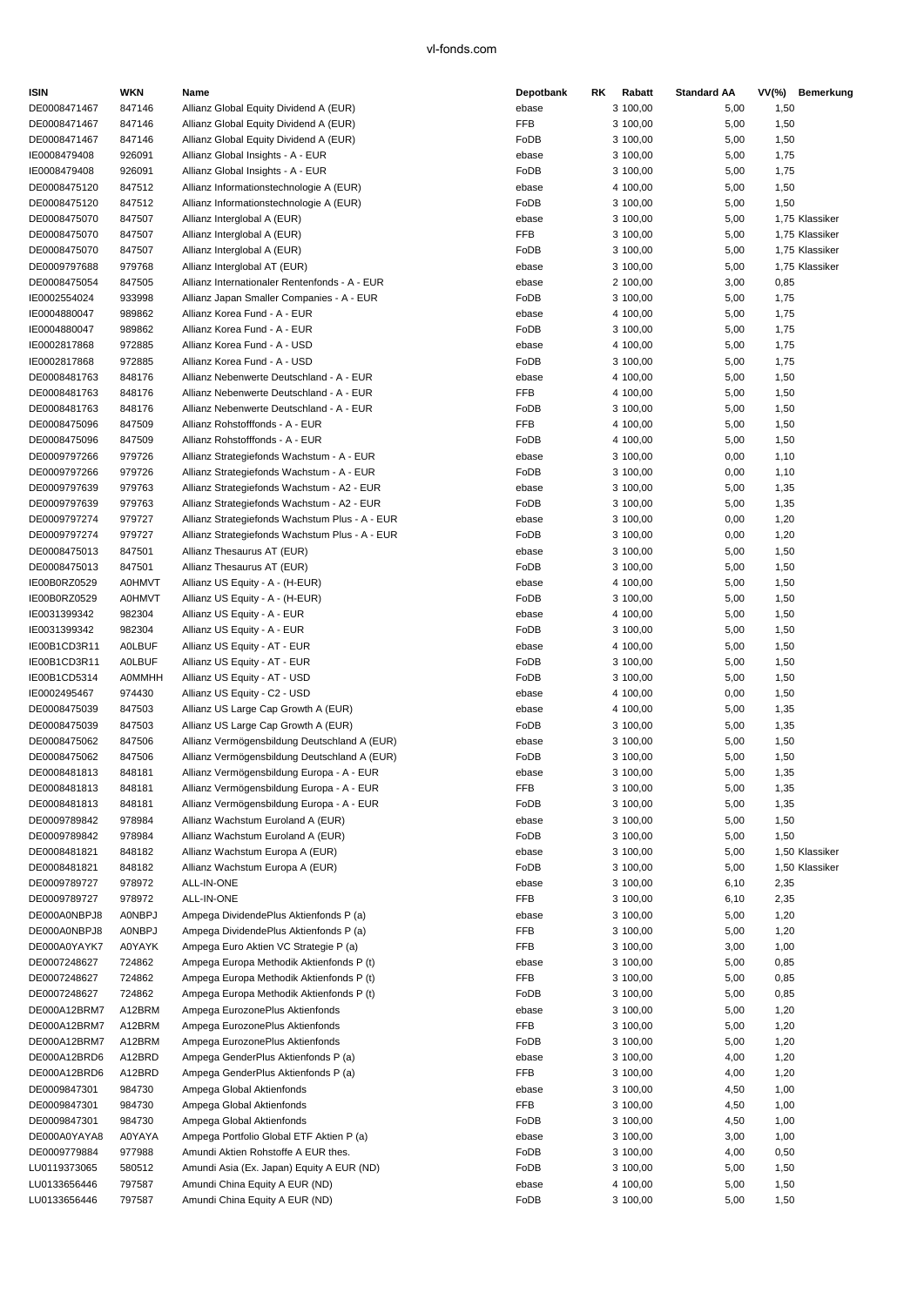| ISIN         | WKN           | Name                                           | Depotbank  | RK. | Rabatt   | <b>Standard AA</b> | VV(%) | <b>Bemerkung</b> |
|--------------|---------------|------------------------------------------------|------------|-----|----------|--------------------|-------|------------------|
| DE0008471467 | 847146        | Allianz Global Equity Dividend A (EUR)         | ebase      |     | 3 100,00 | 5,00               | 1,50  |                  |
| DE0008471467 | 847146        | Allianz Global Equity Dividend A (EUR)         | FFB        |     | 3 100,00 | 5,00               | 1,50  |                  |
| DE0008471467 | 847146        | Allianz Global Equity Dividend A (EUR)         | FoDB       |     | 3 100,00 | 5,00               | 1,50  |                  |
| IE0008479408 | 926091        | Allianz Global Insights - A - EUR              | ebase      |     | 3 100,00 | 5,00               | 1,75  |                  |
| IE0008479408 | 926091        | Allianz Global Insights - A - EUR              | FoDB       |     | 3 100,00 | 5,00               | 1,75  |                  |
| DE0008475120 | 847512        | Allianz Informationstechnologie A (EUR)        | ebase      |     | 4 100,00 | 5,00               | 1,50  |                  |
| DE0008475120 | 847512        | Allianz Informationstechnologie A (EUR)        | FoDB       |     | 3 100,00 | 5,00               | 1,50  |                  |
| DE0008475070 | 847507        | Allianz Interglobal A (EUR)                    | ebase      |     | 3 100,00 | 5,00               |       | 1,75 Klassiker   |
| DE0008475070 | 847507        | Allianz Interglobal A (EUR)                    | <b>FFB</b> |     | 3 100,00 | 5,00               |       | 1,75 Klassiker   |
| DE0008475070 | 847507        | Allianz Interglobal A (EUR)                    | FoDB       |     | 3 100,00 | 5,00               |       | 1,75 Klassiker   |
| DE0009797688 | 979768        | Allianz Interglobal AT (EUR)                   | ebase      |     | 3 100,00 | 5,00               |       | 1,75 Klassiker   |
| DE0008475054 | 847505        | Allianz Internationaler Rentenfonds - A - EUR  | ebase      |     | 2 100,00 | 3,00               | 0,85  |                  |
|              |               |                                                |            |     |          |                    |       |                  |
| IE0002554024 | 933998        | Allianz Japan Smaller Companies - A - EUR      | FoDB       |     | 3 100,00 | 5,00               | 1,75  |                  |
| IE0004880047 | 989862        | Allianz Korea Fund - A - EUR                   | ebase      |     | 4 100,00 | 5,00               | 1,75  |                  |
| IE0004880047 | 989862        | Allianz Korea Fund - A - EUR                   | FoDB       |     | 3 100,00 | 5,00               | 1,75  |                  |
| IE0002817868 | 972885        | Allianz Korea Fund - A - USD                   | ebase      |     | 4 100,00 | 5,00               | 1,75  |                  |
| IE0002817868 | 972885        | Allianz Korea Fund - A - USD                   | FoDB       |     | 3 100,00 | 5,00               | 1,75  |                  |
| DE0008481763 | 848176        | Allianz Nebenwerte Deutschland - A - EUR       | ebase      |     | 4 100,00 | 5,00               | 1,50  |                  |
| DE0008481763 | 848176        | Allianz Nebenwerte Deutschland - A - EUR       | <b>FFB</b> |     | 4 100,00 | 5,00               | 1,50  |                  |
| DE0008481763 | 848176        | Allianz Nebenwerte Deutschland - A - EUR       | FoDB       |     | 3 100,00 | 5,00               | 1,50  |                  |
| DE0008475096 | 847509        | Allianz Rohstofffonds - A - EUR                | <b>FFB</b> |     | 4 100,00 | 5,00               | 1,50  |                  |
| DE0008475096 | 847509        | Allianz Rohstofffonds - A - EUR                | FoDB       |     | 4 100,00 | 5,00               | 1,50  |                  |
| DE0009797266 | 979726        | Allianz Strategiefonds Wachstum - A - EUR      | ebase      |     | 3 100,00 | 0,00               | 1,10  |                  |
| DE0009797266 | 979726        | Allianz Strategiefonds Wachstum - A - EUR      | FoDB       |     | 3 100,00 | 0,00               | 1,10  |                  |
| DE0009797639 | 979763        | Allianz Strategiefonds Wachstum - A2 - EUR     | ebase      |     | 3 100,00 | 5,00               | 1,35  |                  |
| DE0009797639 | 979763        | Allianz Strategiefonds Wachstum - A2 - EUR     | FoDB       |     | 3 100,00 | 5,00               | 1,35  |                  |
| DE0009797274 | 979727        | Allianz Strategiefonds Wachstum Plus - A - EUR | ebase      |     | 3 100,00 | 0,00               | 1,20  |                  |
| DE0009797274 | 979727        | Allianz Strategiefonds Wachstum Plus - A - EUR | FoDB       |     | 3 100,00 | 0,00               | 1,20  |                  |
| DE0008475013 | 847501        | Allianz Thesaurus AT (EUR)                     | ebase      |     | 3 100,00 | 5,00               | 1,50  |                  |
| DE0008475013 | 847501        | Allianz Thesaurus AT (EUR)                     | FoDB       |     | 3 100,00 | 5,00               | 1,50  |                  |
| IE00B0RZ0529 | <b>A0HMVT</b> | Allianz US Equity - A - (H-EUR)                | ebase      |     | 4 100,00 | 5,00               | 1,50  |                  |
| IE00B0RZ0529 | <b>A0HMVT</b> | Allianz US Equity - A - (H-EUR)                | FoDB       |     | 3 100,00 | 5,00               | 1,50  |                  |
| IE0031399342 | 982304        |                                                |            |     | 4 100,00 | 5,00               | 1,50  |                  |
|              |               | Allianz US Equity - A - EUR                    | ebase      |     |          |                    |       |                  |
| IE0031399342 | 982304        | Allianz US Equity - A - EUR                    | FoDB       |     | 3 100,00 | 5,00               | 1,50  |                  |
| IE00B1CD3R11 | <b>AOLBUF</b> | Allianz US Equity - AT - EUR                   | ebase      |     | 4 100,00 | 5,00               | 1,50  |                  |
| IE00B1CD3R11 | <b>AOLBUF</b> | Allianz US Equity - AT - EUR                   | FoDB       |     | 3 100,00 | 5,00               | 1,50  |                  |
| IE00B1CD5314 | <b>A0MMHH</b> | Allianz US Equity - AT - USD                   | FoDB       |     | 3 100,00 | 5,00               | 1,50  |                  |
| IE0002495467 | 974430        | Allianz US Equity - C2 - USD                   | ebase      |     | 4 100,00 | 0,00               | 1,50  |                  |
| DE0008475039 | 847503        | Allianz US Large Cap Growth A (EUR)            | ebase      |     | 4 100,00 | 5,00               | 1,35  |                  |
| DE0008475039 | 847503        | Allianz US Large Cap Growth A (EUR)            | FoDB       |     | 3 100,00 | 5,00               | 1,35  |                  |
| DE0008475062 | 847506        | Allianz Vermögensbildung Deutschland A (EUR)   | ebase      |     | 3 100,00 | 5,00               | 1,50  |                  |
| DE0008475062 | 847506        | Allianz Vermögensbildung Deutschland A (EUR)   | FoDB       |     | 3 100,00 | 5,00               | 1,50  |                  |
| DE0008481813 | 848181        | Allianz Vermögensbildung Europa - A - EUR      | ebase      |     | 3 100,00 | 5,00               | 1,35  |                  |
| DE0008481813 | 848181        | Allianz Vermögensbildung Europa - A - EUR      | FFB        |     | 3 100,00 | 5,00               | 1,35  |                  |
| DE0008481813 | 848181        | Allianz Vermögensbildung Europa - A - EUR      | FoDB       |     | 3 100,00 | 5,00               | 1,35  |                  |
| DE0009789842 | 978984        | Allianz Wachstum Euroland A (EUR)              | ebase      |     | 3 100,00 | 5,00               | 1,50  |                  |
| DE0009789842 | 978984        | Allianz Wachstum Euroland A (EUR)              | FoDB       |     | 3 100,00 | 5,00               | 1,50  |                  |
| DE0008481821 | 848182        | Allianz Wachstum Europa A (EUR)                | ebase      |     | 3 100,00 | 5,00               |       | 1,50 Klassiker   |
| DE0008481821 | 848182        | Allianz Wachstum Europa A (EUR)                | FoDB       |     | 3 100,00 | 5,00               |       | 1,50 Klassiker   |
| DE0009789727 | 978972        | ALL-IN-ONE                                     | ebase      |     | 3 100,00 | 6,10               | 2,35  |                  |
| DE0009789727 | 978972        | ALL-IN-ONE                                     | FFB        |     | 3 100,00 | 6,10               | 2,35  |                  |
| DE000A0NBPJ8 | <b>AONBPJ</b> | Ampega DividendePlus Aktienfonds P (a)         | ebase      |     | 3 100,00 | 5,00               | 1,20  |                  |
| DE000A0NBPJ8 | <b>AONBPJ</b> | Ampega DividendePlus Aktienfonds P (a)         | FFB        |     | 3 100,00 | 5,00               | 1,20  |                  |
| DE000A0YAYK7 | <b>A0YAYK</b> | Ampega Euro Aktien VC Strategie P (a)          | FFB        |     | 3 100,00 | 3,00               | 1,00  |                  |
| DE0007248627 | 724862        | Ampega Europa Methodik Aktienfonds P (t)       | ebase      |     | 3 100,00 | 5,00               | 0,85  |                  |
| DE0007248627 | 724862        | Ampega Europa Methodik Aktienfonds P (t)       | FFB        |     | 3 100,00 | 5,00               | 0,85  |                  |
| DE0007248627 | 724862        | Ampega Europa Methodik Aktienfonds P (t)       | FoDB       |     | 3 100,00 | 5,00               | 0,85  |                  |
| DE000A12BRM7 | A12BRM        | Ampega EurozonePlus Aktienfonds                | ebase      |     | 3 100,00 | 5,00               | 1,20  |                  |
| DE000A12BRM7 | A12BRM        | Ampega EurozonePlus Aktienfonds                | <b>FFB</b> |     | 3 100,00 | 5,00               | 1,20  |                  |
| DE000A12BRM7 | A12BRM        | Ampega EurozonePlus Aktienfonds                | FoDB       |     | 3 100,00 | 5,00               | 1,20  |                  |
| DE000A12BRD6 | A12BRD        | Ampega GenderPlus Aktienfonds P (a)            | ebase      |     | 3 100,00 | 4,00               | 1,20  |                  |
|              |               |                                                |            |     |          |                    |       |                  |
| DE000A12BRD6 | A12BRD        | Ampega GenderPlus Aktienfonds P (a)            | FFB        |     | 3 100,00 | 4,00               | 1,20  |                  |
| DE0009847301 | 984730        | Ampega Global Aktienfonds                      | ebase      |     | 3 100,00 | 4,50               | 1,00  |                  |
| DE0009847301 | 984730        | Ampega Global Aktienfonds                      | FFB        |     | 3 100,00 | 4,50               | 1,00  |                  |
| DE0009847301 | 984730        | Ampega Global Aktienfonds                      | FoDB       |     | 3 100,00 | 4,50               | 1,00  |                  |
| DE000A0YAYA8 | A0YAYA        | Ampega Portfolio Global ETF Aktien P (a)       | ebase      |     | 3 100,00 | 3,00               | 1,00  |                  |
| DE0009779884 | 977988        | Amundi Aktien Rohstoffe A EUR thes.            | FoDB       |     | 3 100,00 | 4,00               | 0,50  |                  |
| LU0119373065 | 580512        | Amundi Asia (Ex. Japan) Equity A EUR (ND)      | FoDB       |     | 3 100,00 | 5,00               | 1,50  |                  |
| LU0133656446 | 797587        | Amundi China Equity A EUR (ND)                 | ebase      |     | 4 100,00 | 5,00               | 1,50  |                  |
| LU0133656446 | 797587        | Amundi China Equity A EUR (ND)                 | FoDB       |     | 3 100,00 | 5,00               | 1,50  |                  |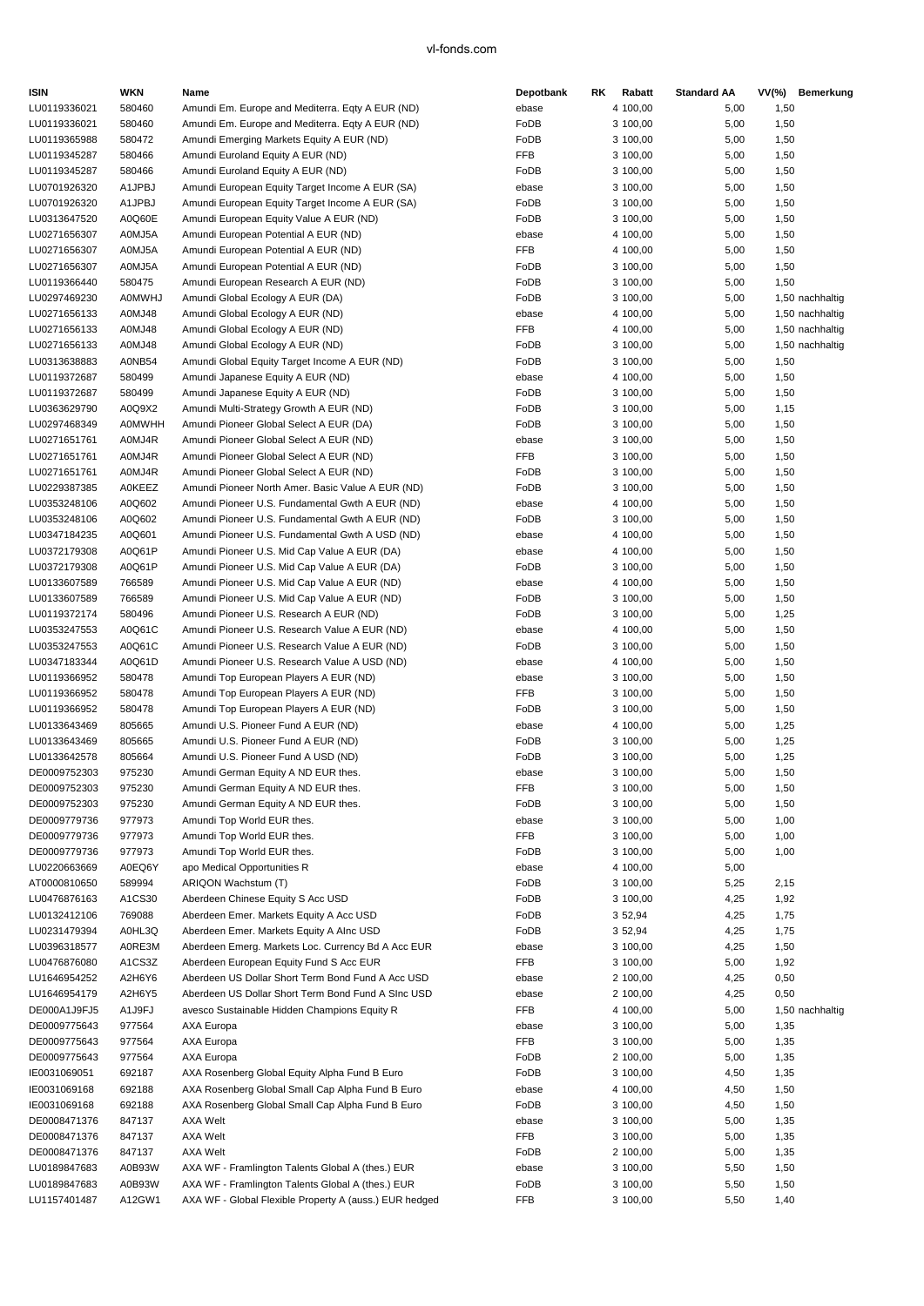| <b>ISIN</b>  | WKN           | Name                                                   | Depotbank  | RK | Rabatt   | <b>Standard AA</b> |      | VV(%) Bemerkung |
|--------------|---------------|--------------------------------------------------------|------------|----|----------|--------------------|------|-----------------|
| LU0119336021 | 580460        | Amundi Em. Europe and Mediterra. Eqty A EUR (ND)       | ebase      |    | 4 100,00 | 5,00               | 1,50 |                 |
| LU0119336021 | 580460        | Amundi Em. Europe and Mediterra. Eqty A EUR (ND)       | FoDB       |    | 3 100,00 | 5,00               | 1,50 |                 |
| LU0119365988 | 580472        | Amundi Emerging Markets Equity A EUR (ND)              | FoDB       |    | 3 100,00 | 5,00               | 1,50 |                 |
| LU0119345287 | 580466        | Amundi Euroland Equity A EUR (ND)                      | FFB        |    | 3 100,00 | 5,00               | 1,50 |                 |
| LU0119345287 | 580466        | Amundi Euroland Equity A EUR (ND)                      | FoDB       |    | 3 100,00 | 5,00               | 1,50 |                 |
| LU0701926320 | A1JPBJ        | Amundi European Equity Target Income A EUR (SA)        | ebase      |    | 3 100,00 | 5,00               | 1,50 |                 |
| LU0701926320 | A1JPBJ        | Amundi European Equity Target Income A EUR (SA)        | FoDB       |    | 3 100,00 | 5,00               | 1,50 |                 |
| LU0313647520 | A0Q60E        | Amundi European Equity Value A EUR (ND)                | FoDB       |    | 3 100,00 | 5,00               | 1,50 |                 |
| LU0271656307 | A0MJ5A        | Amundi European Potential A EUR (ND)                   | ebase      |    | 4 100,00 | 5,00               | 1,50 |                 |
| LU0271656307 | A0MJ5A        | Amundi European Potential A EUR (ND)                   | <b>FFB</b> |    | 4 100,00 | 5,00               | 1,50 |                 |
| LU0271656307 | A0MJ5A        | Amundi European Potential A EUR (ND)                   | FoDB       |    | 3 100,00 | 5,00               | 1,50 |                 |
| LU0119366440 | 580475        | Amundi European Research A EUR (ND)                    | FoDB       |    | 3 100,00 | 5,00               | 1,50 |                 |
| LU0297469230 | <b>A0MWHJ</b> | Amundi Global Ecology A EUR (DA)                       | FoDB       |    | 3 100,00 | 5,00               |      | 1,50 nachhaltig |
| LU0271656133 | A0MJ48        | Amundi Global Ecology A EUR (ND)                       | ebase      |    | 4 100,00 | 5,00               |      | 1,50 nachhaltig |
| LU0271656133 | A0MJ48        | Amundi Global Ecology A EUR (ND)                       | FFB        |    | 4 100,00 | 5,00               |      | 1,50 nachhaltig |
| LU0271656133 | A0MJ48        | Amundi Global Ecology A EUR (ND)                       | FoDB       |    | 3 100,00 | 5,00               |      | 1,50 nachhaltig |
| LU0313638883 | A0NB54        | Amundi Global Equity Target Income A EUR (ND)          | FoDB       |    | 3 100,00 | 5,00               | 1,50 |                 |
| LU0119372687 | 580499        | Amundi Japanese Equity A EUR (ND)                      | ebase      |    | 4 100,00 | 5,00               | 1,50 |                 |
| LU0119372687 | 580499        | Amundi Japanese Equity A EUR (ND)                      | FoDB       |    | 3 100,00 | 5,00               | 1,50 |                 |
| LU0363629790 | A0Q9X2        | Amundi Multi-Strategy Growth A EUR (ND)                | FoDB       |    | 3 100,00 | 5,00               | 1,15 |                 |
| LU0297468349 | <b>A0MWHH</b> | Amundi Pioneer Global Select A EUR (DA)                | FoDB       |    | 3 100,00 | 5,00               | 1,50 |                 |
| LU0271651761 | A0MJ4R        | Amundi Pioneer Global Select A EUR (ND)                | ebase      |    | 3 100,00 | 5,00               | 1,50 |                 |
| LU0271651761 | A0MJ4R        | Amundi Pioneer Global Select A EUR (ND)                | <b>FFB</b> |    | 3 100,00 | 5,00               | 1,50 |                 |
| LU0271651761 | A0MJ4R        | Amundi Pioneer Global Select A EUR (ND)                | FoDB       |    | 3 100,00 | 5,00               | 1,50 |                 |
| LU0229387385 | <b>A0KEEZ</b> | Amundi Pioneer North Amer. Basic Value A EUR (ND)      | FoDB       |    | 3 100,00 | 5,00               | 1,50 |                 |
| LU0353248106 | A0Q602        | Amundi Pioneer U.S. Fundamental Gwth A EUR (ND)        | ebase      |    | 4 100,00 | 5,00               | 1,50 |                 |
| LU0353248106 | A0Q602        | Amundi Pioneer U.S. Fundamental Gwth A EUR (ND)        | FoDB       |    | 3 100,00 | 5,00               | 1,50 |                 |
| LU0347184235 | A0Q601        | Amundi Pioneer U.S. Fundamental Gwth A USD (ND)        | ebase      |    | 4 100,00 | 5,00               | 1,50 |                 |
| LU0372179308 | A0Q61P        | Amundi Pioneer U.S. Mid Cap Value A EUR (DA)           | ebase      |    | 4 100,00 | 5,00               | 1,50 |                 |
| LU0372179308 | A0Q61P        | Amundi Pioneer U.S. Mid Cap Value A EUR (DA)           | FoDB       |    | 3 100,00 | 5,00               | 1,50 |                 |
| LU0133607589 | 766589        | Amundi Pioneer U.S. Mid Cap Value A EUR (ND)           | ebase      |    | 4 100,00 | 5,00               | 1,50 |                 |
| LU0133607589 | 766589        | Amundi Pioneer U.S. Mid Cap Value A EUR (ND)           | FoDB       |    | 3 100,00 | 5,00               | 1,50 |                 |
| LU0119372174 | 580496        | Amundi Pioneer U.S. Research A EUR (ND)                | FoDB       |    | 3 100,00 | 5,00               | 1,25 |                 |
| LU0353247553 | A0Q61C        | Amundi Pioneer U.S. Research Value A EUR (ND)          | ebase      |    | 4 100,00 | 5,00               | 1,50 |                 |
| LU0353247553 | A0Q61C        | Amundi Pioneer U.S. Research Value A EUR (ND)          | FoDB       |    | 3 100,00 | 5,00               | 1,50 |                 |
| LU0347183344 | A0Q61D        | Amundi Pioneer U.S. Research Value A USD (ND)          | ebase      |    | 4 100,00 | 5,00               | 1,50 |                 |
| LU0119366952 | 580478        | Amundi Top European Players A EUR (ND)                 | ebase      |    | 3 100,00 | 5,00               | 1,50 |                 |
| LU0119366952 | 580478        | Amundi Top European Players A EUR (ND)                 | FFB        |    | 3 100,00 | 5,00               | 1,50 |                 |
| LU0119366952 | 580478        | Amundi Top European Players A EUR (ND)                 | FoDB       |    | 3 100,00 | 5,00               | 1,50 |                 |
| LU0133643469 | 805665        | Amundi U.S. Pioneer Fund A EUR (ND)                    | ebase      |    | 4 100,00 | 5,00               | 1,25 |                 |
| LU0133643469 | 805665        | Amundi U.S. Pioneer Fund A EUR (ND)                    | FoDB       |    | 3 100,00 | 5,00               | 1,25 |                 |
| LU0133642578 | 805664        | Amundi U.S. Pioneer Fund A USD (ND)                    | FoDB       |    | 3 100,00 | 5,00               | 1,25 |                 |
| DE0009752303 | 975230        | Amundi German Equity A ND EUR thes.                    | ebase      |    | 3 100,00 | 5,00               | 1,50 |                 |
| DE0009752303 | 975230        | Amundi German Equity A ND EUR thes.                    | FFB        |    | 3 100,00 | 5,00               | 1,50 |                 |
| DE0009752303 | 975230        | Amundi German Equity A ND EUR thes.                    | FoDB       |    | 3 100,00 | 5,00               | 1,50 |                 |
| DE0009779736 | 977973        | Amundi Top World EUR thes.                             | ebase      |    | 3 100,00 | 5,00               | 1,00 |                 |
| DE0009779736 | 977973        | Amundi Top World EUR thes.                             | FFB        |    | 3 100,00 | 5,00               | 1,00 |                 |
| DE0009779736 | 977973        | Amundi Top World EUR thes.                             | FoDB       |    | 3 100,00 | 5,00               | 1,00 |                 |
| LU0220663669 | A0EQ6Y        | apo Medical Opportunities R                            | ebase      |    | 4 100,00 | 5,00               |      |                 |
| AT0000810650 | 589994        | ARIQON Wachstum (T)                                    | FoDB       |    | 3 100,00 | 5,25               | 2,15 |                 |
| LU0476876163 | A1CS30        | Aberdeen Chinese Equity S Acc USD                      | FoDB       |    | 3 100,00 | 4,25               | 1,92 |                 |
| LU0132412106 | 769088        | Aberdeen Emer. Markets Equity A Acc USD                | FoDB       |    | 3 52,94  | 4,25               | 1,75 |                 |
| LU0231479394 | A0HL3Q        | Aberdeen Emer. Markets Equity A Alnc USD               | FoDB       |    | 3 52,94  | 4,25               | 1,75 |                 |
| LU0396318577 | A0RE3M        | Aberdeen Emerg. Markets Loc. Currency Bd A Acc EUR     | ebase      |    | 3 100,00 | 4,25               | 1,50 |                 |
| LU0476876080 | A1CS3Z        | Aberdeen European Equity Fund S Acc EUR                | FFB        |    | 3 100,00 | 5,00               | 1,92 |                 |
| LU1646954252 | A2H6Y6        | Aberdeen US Dollar Short Term Bond Fund A Acc USD      | ebase      |    | 2 100,00 | 4,25               | 0,50 |                 |
| LU1646954179 | A2H6Y5        | Aberdeen US Dollar Short Term Bond Fund A SInc USD     | ebase      |    | 2 100,00 | 4,25               | 0,50 |                 |
| DE000A1J9FJ5 | A1J9FJ        | avesco Sustainable Hidden Champions Equity R           | FFB        |    | 4 100,00 | 5,00               |      | 1,50 nachhaltig |
| DE0009775643 | 977564        | AXA Europa                                             | ebase      |    | 3 100,00 | 5,00               | 1,35 |                 |
| DE0009775643 | 977564        | AXA Europa                                             | FFB        |    | 3 100,00 | 5,00               | 1,35 |                 |
| DE0009775643 | 977564        | AXA Europa                                             | FoDB       |    | 2 100,00 | 5,00               | 1,35 |                 |
| IE0031069051 | 692187        | AXA Rosenberg Global Equity Alpha Fund B Euro          | FoDB       |    | 3 100,00 | 4,50               | 1,35 |                 |
| IE0031069168 | 692188        | AXA Rosenberg Global Small Cap Alpha Fund B Euro       | ebase      |    | 4 100,00 | 4,50               | 1,50 |                 |
| IE0031069168 | 692188        | AXA Rosenberg Global Small Cap Alpha Fund B Euro       | FoDB       |    | 3 100,00 | 4,50               | 1,50 |                 |
| DE0008471376 | 847137        | <b>AXA Welt</b>                                        | ebase      |    | 3 100,00 | 5,00               | 1,35 |                 |
| DE0008471376 | 847137        | <b>AXA Welt</b>                                        | FFB        |    | 3 100,00 | 5,00               | 1,35 |                 |
| DE0008471376 | 847137        | <b>AXA Welt</b>                                        | FoDB       |    | 2 100,00 | 5,00               | 1,35 |                 |
| LU0189847683 | A0B93W        | AXA WF - Framlington Talents Global A (thes.) EUR      | ebase      |    | 3 100,00 | 5,50               | 1,50 |                 |
| LU0189847683 | A0B93W        | AXA WF - Framlington Talents Global A (thes.) EUR      | FoDB       |    | 3 100,00 | 5,50               | 1,50 |                 |
| LU1157401487 | A12GW1        | AXA WF - Global Flexible Property A (auss.) EUR hedged | FFB        |    | 3 100,00 | 5,50               | 1,40 |                 |
|              |               |                                                        |            |    |          |                    |      |                 |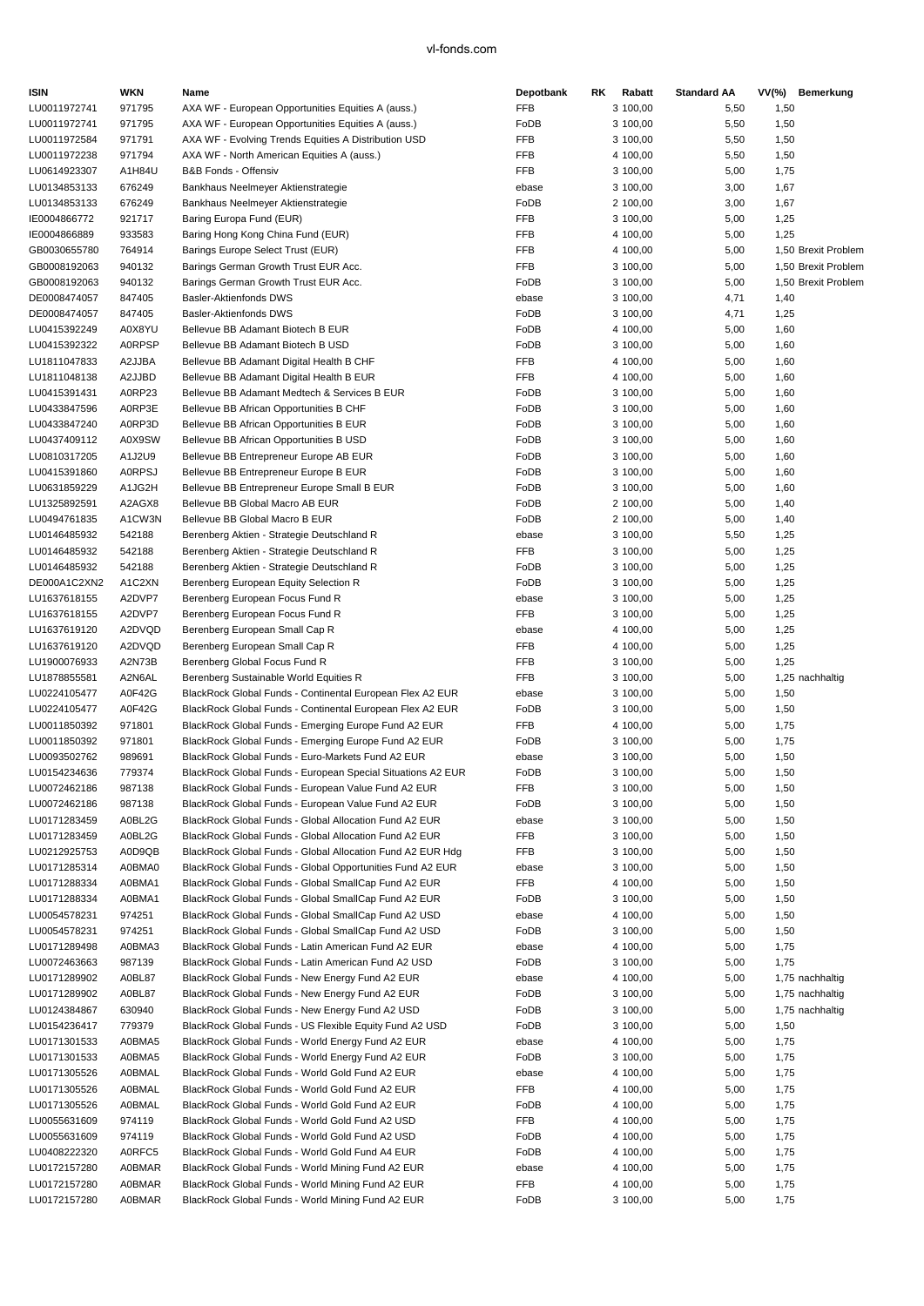| <b>ISIN</b>                  | WKN              | Name                                                                                                          | Depotbank                | RK | Rabatt               | <b>Standard AA</b> | VV(%)        | Bemerkung           |
|------------------------------|------------------|---------------------------------------------------------------------------------------------------------------|--------------------------|----|----------------------|--------------------|--------------|---------------------|
| LU0011972741                 | 971795           | AXA WF - European Opportunities Equities A (auss.)                                                            | FFB                      |    | 3 100,00             | 5,50               | 1,50         |                     |
| LU0011972741                 | 971795           | AXA WF - European Opportunities Equities A (auss.)                                                            | FoDB                     |    | 3 100,00             | 5,50               | 1,50         |                     |
| LU0011972584                 | 971791           | AXA WF - Evolving Trends Equities A Distribution USD                                                          | <b>FFB</b>               |    | 3 100,00             | 5,50               | 1,50         |                     |
| LU0011972238                 | 971794           | AXA WF - North American Equities A (auss.)                                                                    | <b>FFB</b>               |    | 4 100,00             | 5,50               | 1,50         |                     |
| LU0614923307                 | A1H84U           | B&B Fonds - Offensiv                                                                                          | <b>FFB</b>               |    | 3 100,00             | 5,00               | 1,75         |                     |
| LU0134853133                 | 676249           | Bankhaus Neelmeyer Aktienstrategie                                                                            | ebase                    |    | 3 100,00             | 3,00               | 1,67         |                     |
| LU0134853133                 | 676249           | Bankhaus Neelmeyer Aktienstrategie                                                                            | FoDB                     |    | 2 100,00             | 3,00               | 1,67         |                     |
| IE0004866772                 | 921717           | Baring Europa Fund (EUR)                                                                                      | <b>FFB</b>               |    | 3 100,00             | 5,00               | 1,25         |                     |
| IE0004866889<br>GB0030655780 | 933583<br>764914 | Baring Hong Kong China Fund (EUR)<br>Barings Europe Select Trust (EUR)                                        | <b>FFB</b><br><b>FFB</b> |    | 4 100,00<br>4 100,00 | 5,00<br>5,00       | 1,25         | 1,50 Brexit Problem |
| GB0008192063                 | 940132           | Barings German Growth Trust EUR Acc.                                                                          | <b>FFB</b>               |    | 3 100,00             | 5,00               |              | 1,50 Brexit Problem |
| GB0008192063                 | 940132           | Barings German Growth Trust EUR Acc.                                                                          | FoDB                     |    | 3 100,00             | 5,00               |              | 1.50 Brexit Problem |
| DE0008474057                 | 847405           | Basler-Aktienfonds DWS                                                                                        | ebase                    |    | 3 100,00             | 4,71               | 1,40         |                     |
| DE0008474057                 | 847405           | Basler-Aktienfonds DWS                                                                                        | FoDB                     |    | 3 100,00             | 4,71               | 1,25         |                     |
| LU0415392249                 | A0X8YU           | Bellevue BB Adamant Biotech B EUR                                                                             | FoDB                     |    | 4 100,00             | 5,00               | 1,60         |                     |
| LU0415392322                 | <b>AORPSP</b>    | Bellevue BB Adamant Biotech B USD                                                                             | FoDB                     |    | 3 100,00             | 5,00               | 1,60         |                     |
| LU1811047833                 | A2JJBA           | Bellevue BB Adamant Digital Health B CHF                                                                      | <b>FFB</b>               |    | 4 100,00             | 5,00               | 1,60         |                     |
| LU1811048138                 | A2JJBD           | Bellevue BB Adamant Digital Health B EUR                                                                      | <b>FFB</b>               |    | 4 100,00             | 5,00               | 1,60         |                     |
| LU0415391431                 | A0RP23           | Bellevue BB Adamant Medtech & Services B EUR                                                                  | FoDB                     |    | 3 100,00             | 5,00               | 1,60         |                     |
| LU0433847596                 | A0RP3E           | Bellevue BB African Opportunities B CHF                                                                       | FoDB                     |    | 3 100,00             | 5,00               | 1,60         |                     |
| LU0433847240                 | A0RP3D           | Bellevue BB African Opportunities B EUR                                                                       | FoDB                     |    | 3 100,00             | 5,00               | 1,60         |                     |
| LU0437409112                 | A0X9SW           | Bellevue BB African Opportunities B USD                                                                       | FoDB                     |    | 3 100,00             | 5,00               | 1,60         |                     |
| LU0810317205                 | A1J2U9           | Bellevue BB Entrepreneur Europe AB EUR                                                                        | FoDB                     |    | 3 100,00             | 5,00               | 1,60         |                     |
| LU0415391860                 | <b>A0RPSJ</b>    | Bellevue BB Entrepreneur Europe B EUR                                                                         | FoDB                     |    | 3 100,00             | 5,00               | 1,60         |                     |
| LU0631859229                 | A1JG2H           | Bellevue BB Entrepreneur Europe Small B EUR                                                                   | FoDB                     |    | 3 100,00             | 5,00               | 1,60         |                     |
| LU1325892591                 | A2AGX8           | Bellevue BB Global Macro AB EUR                                                                               | FoDB                     |    | 2 100,00             | 5,00               | 1,40         |                     |
| LU0494761835                 | A1CW3N           | Bellevue BB Global Macro B EUR                                                                                | FoDB                     |    | 2 100,00             | 5,00               | 1,40         |                     |
| LU0146485932<br>LU0146485932 | 542188<br>542188 | Berenberg Aktien - Strategie Deutschland R<br>Berenberg Aktien - Strategie Deutschland R                      | ebase<br><b>FFB</b>      |    | 3 100,00<br>3 100,00 | 5,50<br>5,00       | 1,25<br>1,25 |                     |
| LU0146485932                 | 542188           | Berenberg Aktien - Strategie Deutschland R                                                                    | FoDB                     |    | 3 100,00             | 5,00               | 1,25         |                     |
| DE000A1C2XN2                 | A1C2XN           | Berenberg European Equity Selection R                                                                         | FoDB                     |    | 3 100,00             | 5,00               | 1,25         |                     |
| LU1637618155                 | A2DVP7           | Berenberg European Focus Fund R                                                                               | ebase                    |    | 3 100,00             | 5,00               | 1,25         |                     |
| LU1637618155                 | A2DVP7           | Berenberg European Focus Fund R                                                                               | <b>FFB</b>               |    | 3 100,00             | 5,00               | 1,25         |                     |
| LU1637619120                 | A2DVQD           | Berenberg European Small Cap R                                                                                | ebase                    |    | 4 100,00             | 5,00               | 1,25         |                     |
| LU1637619120                 | A2DVQD           | Berenberg European Small Cap R                                                                                | FFB                      |    | 4 100,00             | 5,00               | 1,25         |                     |
| LU1900076933                 | A2N73B           | Berenberg Global Focus Fund R                                                                                 | <b>FFB</b>               |    | 3 100,00             | 5,00               | 1,25         |                     |
| LU1878855581                 | A2N6AL           | Berenberg Sustainable World Equities R                                                                        | <b>FFB</b>               |    | 3 100,00             | 5,00               |              | 1,25 nachhaltig     |
| LU0224105477                 | A0F42G           | BlackRock Global Funds - Continental European Flex A2 EUR                                                     | ebase                    |    | 3 100,00             | 5,00               | 1,50         |                     |
| LU0224105477                 | A0F42G           | BlackRock Global Funds - Continental European Flex A2 EUR                                                     | FoDB                     |    | 3 100,00             | 5,00               | 1,50         |                     |
| LU0011850392                 | 971801           | BlackRock Global Funds - Emerging Europe Fund A2 EUR                                                          | FFB                      |    | 4 100,00             | 5,00               | 1,75         |                     |
| LU0011850392                 | 971801           | BlackRock Global Funds - Emerging Europe Fund A2 EUR                                                          | FoDB                     |    | 3 100,00             | 5,00               | 1,75         |                     |
| LU0093502762                 | 989691           | BlackRock Global Funds - Euro-Markets Fund A2 EUR                                                             | ebase                    |    | 3 100,00             | 5,00               | 1,50         |                     |
| LU0154234636                 | 779374           | BlackRock Global Funds - European Special Situations A2 EUR                                                   | FoDB                     |    | 3 100,00             | 5,00               | 1,50         |                     |
| LU0072462186                 | 987138           | BlackRock Global Funds - European Value Fund A2 EUR                                                           | FFB                      |    | 3 100,00             | 5,00               | 1,50         |                     |
| LU0072462186                 | 987138           | BlackRock Global Funds - European Value Fund A2 EUR<br>BlackRock Global Funds - Global Allocation Fund A2 EUR | FoDB                     |    | 3 100,00<br>3 100,00 | 5,00               | 1,50         |                     |
| LU0171283459<br>LU0171283459 | A0BL2G<br>A0BL2G | BlackRock Global Funds - Global Allocation Fund A2 EUR                                                        | ebase<br>FFB             |    | 3 100,00             | 5,00<br>5,00       | 1,50<br>1,50 |                     |
| LU0212925753                 | A0D9QB           | BlackRock Global Funds - Global Allocation Fund A2 EUR Hdg                                                    | <b>FFB</b>               |    | 3 100,00             | 5,00               | 1,50         |                     |
| LU0171285314                 | A0BMA0           | BlackRock Global Funds - Global Opportunities Fund A2 EUR                                                     | ebase                    |    | 3 100,00             | 5,00               | 1,50         |                     |
| LU0171288334                 | A0BMA1           | BlackRock Global Funds - Global SmallCap Fund A2 EUR                                                          | <b>FFB</b>               |    | 4 100,00             | 5,00               | 1,50         |                     |
| LU0171288334                 | A0BMA1           | BlackRock Global Funds - Global SmallCap Fund A2 EUR                                                          | FoDB                     |    | 3 100,00             | 5,00               | 1,50         |                     |
| LU0054578231                 | 974251           | BlackRock Global Funds - Global SmallCap Fund A2 USD                                                          | ebase                    |    | 4 100,00             | 5,00               | 1,50         |                     |
| LU0054578231                 | 974251           | BlackRock Global Funds - Global SmallCap Fund A2 USD                                                          | FoDB                     |    | 3 100,00             | 5,00               | 1,50         |                     |
| LU0171289498                 | A0BMA3           | BlackRock Global Funds - Latin American Fund A2 EUR                                                           | ebase                    |    | 4 100,00             | 5,00               | 1,75         |                     |
| LU0072463663                 | 987139           | BlackRock Global Funds - Latin American Fund A2 USD                                                           | FoDB                     |    | 3 100,00             | 5,00               | 1,75         |                     |
| LU0171289902                 | A0BL87           | BlackRock Global Funds - New Energy Fund A2 EUR                                                               | ebase                    |    | 4 100,00             | 5,00               |              | 1,75 nachhaltig     |
| LU0171289902                 | A0BL87           | BlackRock Global Funds - New Energy Fund A2 EUR                                                               | FoDB                     |    | 3 100,00             | 5,00               |              | 1,75 nachhaltig     |
| LU0124384867                 | 630940           | BlackRock Global Funds - New Energy Fund A2 USD                                                               | FoDB                     |    | 3 100,00             | 5,00               |              | 1,75 nachhaltig     |
| LU0154236417                 | 779379           | BlackRock Global Funds - US Flexible Equity Fund A2 USD                                                       | FoDB                     |    | 3 100,00             | 5,00               | 1,50         |                     |
| LU0171301533                 | A0BMA5           | BlackRock Global Funds - World Energy Fund A2 EUR                                                             | ebase                    |    | 4 100,00             | 5,00               | 1,75         |                     |
| LU0171301533                 | A0BMA5           | BlackRock Global Funds - World Energy Fund A2 EUR                                                             | FoDB                     |    | 3 100,00             | 5,00               | 1,75         |                     |
| LU0171305526                 | <b>A0BMAL</b>    | BlackRock Global Funds - World Gold Fund A2 EUR                                                               | ebase                    |    | 4 100,00             | 5,00               | 1,75         |                     |
| LU0171305526                 | <b>A0BMAL</b>    | BlackRock Global Funds - World Gold Fund A2 EUR                                                               | <b>FFB</b>               |    | 4 100,00             | 5,00               | 1,75         |                     |
| LU0171305526                 | <b>A0BMAL</b>    | BlackRock Global Funds - World Gold Fund A2 EUR                                                               | FoDB                     |    | 4 100,00             | 5,00               | 1,75         |                     |
| LU0055631609<br>LU0055631609 | 974119<br>974119 | BlackRock Global Funds - World Gold Fund A2 USD<br>BlackRock Global Funds - World Gold Fund A2 USD            | <b>FFB</b><br>FoDB       |    | 4 100,00<br>4 100,00 | 5,00<br>5,00       | 1,75<br>1,75 |                     |
| LU0408222320                 | A0RFC5           | BlackRock Global Funds - World Gold Fund A4 EUR                                                               | FoDB                     |    | 4 100,00             | 5,00               | 1,75         |                     |
| LU0172157280                 | <b>A0BMAR</b>    | BlackRock Global Funds - World Mining Fund A2 EUR                                                             | ebase                    |    | 4 100,00             | 5,00               | 1,75         |                     |
| LU0172157280                 | <b>A0BMAR</b>    | BlackRock Global Funds - World Mining Fund A2 EUR                                                             | <b>FFB</b>               |    | 4 100,00             | 5,00               | 1,75         |                     |
| LU0172157280                 | <b>A0BMAR</b>    | BlackRock Global Funds - World Mining Fund A2 EUR                                                             | FoDB                     |    | 3 100,00             | 5,00               | 1,75         |                     |
|                              |                  |                                                                                                               |                          |    |                      |                    |              |                     |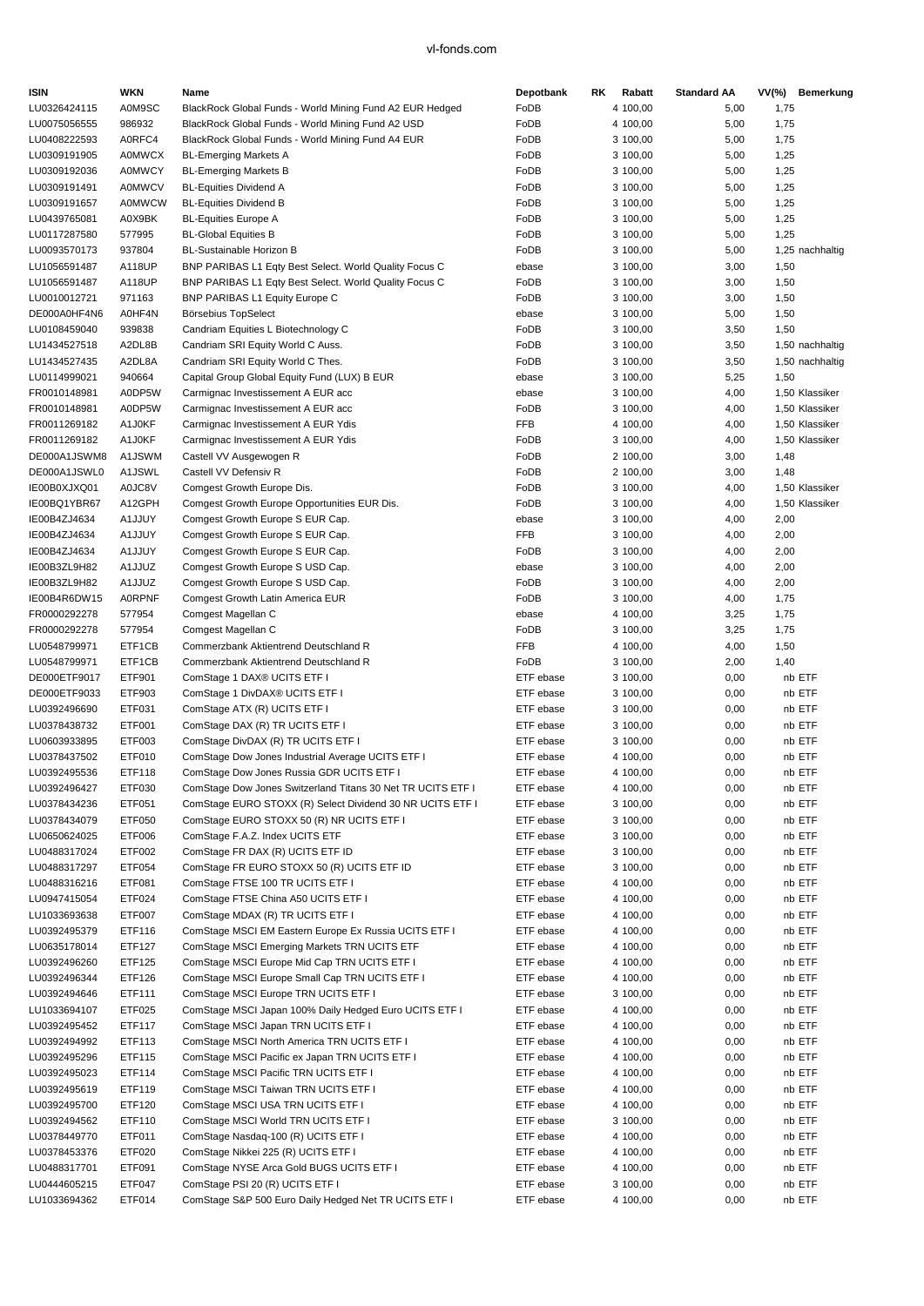| <b>ISIN</b>                  | <b>WKN</b>       | Name                                                                     | Depotbank     | RK. | Rabatt               | <b>Standard AA</b> |      | VV(%) Bemerkung                  |
|------------------------------|------------------|--------------------------------------------------------------------------|---------------|-----|----------------------|--------------------|------|----------------------------------|
| LU0326424115                 | A0M9SC           | BlackRock Global Funds - World Mining Fund A2 EUR Hedged                 | FoDB          |     | 4 100,00             | 5,00               | 1,75 |                                  |
| LU0075056555                 | 986932           | BlackRock Global Funds - World Mining Fund A2 USD                        | FoDB          |     | 4 100,00             | 5,00               | 1,75 |                                  |
| LU0408222593                 | A0RFC4           | BlackRock Global Funds - World Mining Fund A4 EUR                        | FoDB          |     | 3 100,00             | 5,00               | 1,75 |                                  |
| LU0309191905                 | A0MWCX           | <b>BL-Emerging Markets A</b>                                             | FoDB          |     | 3 100,00             | 5,00               | 1,25 |                                  |
| LU0309192036                 | <b>A0MWCY</b>    | <b>BL-Emerging Markets B</b>                                             | FoDB          |     | 3 100,00             | 5,00               | 1,25 |                                  |
| LU0309191491                 | <b>A0MWCV</b>    | <b>BL-Equities Dividend A</b>                                            | FoDB          |     | 3 100,00             | 5,00               | 1,25 |                                  |
| LU0309191657                 | <b>A0MWCW</b>    | <b>BL-Equities Dividend B</b>                                            | FoDB          |     | 3 100,00             | 5,00               | 1,25 |                                  |
| LU0439765081                 | A0X9BK           | <b>BL-Equities Europe A</b>                                              | FoDB          |     | 3 100,00             | 5,00               | 1,25 |                                  |
| LU0117287580                 | 577995           | <b>BL-Global Equities B</b>                                              | FoDB          |     | 3 100,00             | 5,00               | 1,25 |                                  |
| LU0093570173                 | 937804           | BL-Sustainable Horizon B                                                 | FoDB          |     | 3 100,00             | 5,00               |      | 1,25 nachhaltig                  |
| LU1056591487                 | A118UP           | BNP PARIBAS L1 Eqty Best Select. World Quality Focus C                   | ebase         |     | 3 100,00             | 3,00               | 1,50 |                                  |
| LU1056591487                 | A118UP           | BNP PARIBAS L1 Eqty Best Select. World Quality Focus C                   | FoDB          |     | 3 100,00             | 3,00               | 1,50 |                                  |
| LU0010012721                 | 971163           | BNP PARIBAS L1 Equity Europe C                                           | FoDB          |     | 3 100,00             | 3,00               | 1,50 |                                  |
| DE000A0HF4N6                 | A0HF4N           | Börsebius TopSelect                                                      | ebase         |     | 3 100,00             | 5,00               | 1,50 |                                  |
| LU0108459040                 | 939838           | Candriam Equities L Biotechnology C                                      | FoDB<br>FoDB  |     | 3 100,00             | 3,50               | 1,50 |                                  |
| LU1434527518<br>LU1434527435 | A2DL8B           | Candriam SRI Equity World C Auss.                                        | FoDB          |     | 3 100,00             | 3,50               |      | 1,50 nachhaltig                  |
|                              | A2DL8A           | Candriam SRI Equity World C Thes.                                        |               |     | 3 100,00             | 3,50               |      | 1,50 nachhaltig                  |
| LU0114999021                 | 940664<br>A0DP5W | Capital Group Global Equity Fund (LUX) B EUR                             | ebase         |     | 3 100,00             | 5,25               | 1,50 |                                  |
| FR0010148981<br>FR0010148981 | A0DP5W           | Carmignac Investissement A EUR acc<br>Carmignac Investissement A EUR acc | ebase<br>FoDB |     | 3 100,00<br>3 100,00 | 4,00<br>4,00       |      | 1,50 Klassiker<br>1,50 Klassiker |
| FR0011269182                 | A1J0KF           | Carmignac Investissement A EUR Ydis                                      | <b>FFB</b>    |     | 4 100,00             | 4,00               |      | 1,50 Klassiker                   |
| FR0011269182                 | A1J0KF           | Carmignac Investissement A EUR Ydis                                      | FoDB          |     | 3 100,00             | 4,00               |      | 1,50 Klassiker                   |
| DE000A1JSWM8                 | A1JSWM           | Castell VV Ausgewogen R                                                  | FoDB          |     | 2 100,00             | 3,00               | 1,48 |                                  |
| DE000A1JSWL0                 | A1JSWL           | Castell VV Defensiv R                                                    | FoDB          |     | 2 100,00             | 3,00               | 1,48 |                                  |
| IE00B0XJXQ01                 | A0JC8V           | Comgest Growth Europe Dis.                                               | FoDB          |     | 3 100,00             | 4,00               |      | 1,50 Klassiker                   |
| IE00BQ1YBR67                 | A12GPH           | Comgest Growth Europe Opportunities EUR Dis.                             | FoDB          |     | 3 100,00             | 4,00               |      | 1,50 Klassiker                   |
| IE00B4ZJ4634                 | A1JJUY           | Comgest Growth Europe S EUR Cap.                                         | ebase         |     | 3 100,00             | 4,00               | 2,00 |                                  |
| IE00B4ZJ4634                 | A1JJUY           | Comgest Growth Europe S EUR Cap.                                         | <b>FFB</b>    |     | 3 100,00             | 4,00               | 2,00 |                                  |
| IE00B4ZJ4634                 | A1JJUY           | Comgest Growth Europe S EUR Cap.                                         | FoDB          |     | 3 100,00             | 4,00               | 2,00 |                                  |
| IE00B3ZL9H82                 | A1JJUZ           | Comgest Growth Europe S USD Cap.                                         | ebase         |     | 3 100,00             | 4,00               | 2,00 |                                  |
| IE00B3ZL9H82                 | A1JJUZ           | Comgest Growth Europe S USD Cap.                                         | FoDB          |     | 3 100,00             | 4,00               | 2,00 |                                  |
| IE00B4R6DW15                 | <b>A0RPNF</b>    | Comgest Growth Latin America EUR                                         | FoDB          |     | 3 100,00             | 4,00               | 1,75 |                                  |
| FR0000292278                 | 577954           | Comgest Magellan C                                                       | ebase         |     | 4 100,00             | 3,25               | 1,75 |                                  |
| FR0000292278                 | 577954           | Comgest Magellan C                                                       | FoDB          |     | 3 100,00             | 3,25               | 1,75 |                                  |
| LU0548799971                 | ETF1CB           | Commerzbank Aktientrend Deutschland R                                    | <b>FFB</b>    |     | 4 100,00             | 4,00               | 1,50 |                                  |
| LU0548799971                 | ETF1CB           | Commerzbank Aktientrend Deutschland R                                    | FoDB          |     | 3 100,00             | 2,00               | 1,40 |                                  |
| DE000ETF9017                 | ETF901           | ComStage 1 DAX® UCITS ETF I                                              | ETF ebase     |     | 3 100,00             | 0,00               |      | nb ETF                           |
| DE000ETF9033                 | ETF903           | ComStage 1 DivDAX® UCITS ETF I                                           | ETF ebase     |     | 3 100,00             | 0,00               |      | nb ETF                           |
| LU0392496690                 | ETF031           | ComStage ATX (R) UCITS ETF I                                             | ETF ebase     |     | 3 100,00             | 0,00               |      | nb ETF                           |
| LU0378438732                 | ETF001           | ComStage DAX (R) TR UCITS ETF I                                          | ETF ebase     |     | 3 100,00             | 0,00               |      | nb ETF                           |
| LU0603933895                 | ETF003           | ComStage DivDAX (R) TR UCITS ETF I                                       | ETF ebase     |     | 3 100,00             | 0,00               |      | nb ETF                           |
| LU0378437502                 | ETF010           | ComStage Dow Jones Industrial Average UCITS ETF I                        | ETF ebase     |     | 4 100,00             | 0,00               |      | nb ETF                           |
| LU0392495536                 | ETF118           | ComStage Dow Jones Russia GDR UCITS ETF I                                | ETF ebase     |     | 4 100,00             | 0,00               |      | nb ETF                           |
| LU0392496427                 | ETF030           | ComStage Dow Jones Switzerland Titans 30 Net TR UCITS ETF I              | ETF ebase     |     | 4 100,00             | 0,00               |      | nb ETF                           |
| LU0378434236                 | ETF051           | ComStage EURO STOXX (R) Select Dividend 30 NR UCITS ETF I                | ETF ebase     |     | 3 100,00             | 0,00               |      | nb ETF                           |
| LU0378434079                 | ETF050           | ComStage EURO STOXX 50 (R) NR UCITS ETF I                                | ETF ebase     |     | 3 100,00             | 0,00               |      | nb ETF                           |
| LU0650624025                 | ETF006           | ComStage F.A.Z. Index UCITS ETF                                          | ETF ebase     |     | 3 100,00             | 0,00               |      | nb ETF                           |
| LU0488317024                 | ETF002           | ComStage FR DAX (R) UCITS ETF ID                                         | ETF ebase     |     | 3 100,00             | 0,00               |      | nb ETF                           |
| LU0488317297                 | ETF054           | ComStage FR EURO STOXX 50 (R) UCITS ETF ID                               | ETF ebase     |     | 3 100,00             | 0,00               |      | nb ETF                           |
| LU0488316216                 | ETF081           | ComStage FTSE 100 TR UCITS ETF I                                         | ETF ebase     |     | 4 100,00             | 0,00               |      | nb ETF                           |
| LU0947415054                 | ETF024           | ComStage FTSE China A50 UCITS ETF I                                      | ETF ebase     |     | 4 100,00             | 0,00               |      | nb ETF                           |
| LU1033693638                 | ETF007           | ComStage MDAX (R) TR UCITS ETF I                                         | ETF ebase     |     | 4 100,00             | 0,00               |      | nb ETF                           |
| LU0392495379                 | ETF116           | ComStage MSCI EM Eastern Europe Ex Russia UCITS ETF I                    | ETF ebase     |     | 4 100,00             | 0,00               |      | nb ETF                           |
| LU0635178014                 | ETF127           | ComStage MSCI Emerging Markets TRN UCITS ETF                             | ETF ebase     |     | 4 100,00             | 0,00               |      | nb ETF                           |
| LU0392496260                 | ETF125           | ComStage MSCI Europe Mid Cap TRN UCITS ETF I                             | ETF ebase     |     | 4 100,00             | 0,00               |      | nb ETF                           |
| LU0392496344                 | ETF126           | ComStage MSCI Europe Small Cap TRN UCITS ETF I                           | ETF ebase     |     | 4 100,00             | 0,00               |      | nb ETF                           |
| LU0392494646                 | ETF111           | ComStage MSCI Europe TRN UCITS ETF I                                     | ETF ebase     |     | 3 100,00             | 0,00               |      | nb ETF                           |
| LU1033694107                 | ETF025           | ComStage MSCI Japan 100% Daily Hedged Euro UCITS ETF I                   | ETF ebase     |     | 4 100,00             | 0,00               |      | nb ETF                           |
| LU0392495452                 | ETF117           | ComStage MSCI Japan TRN UCITS ETF I                                      | ETF ebase     |     | 4 100,00             | 0,00               |      | nb ETF                           |
| LU0392494992                 | ETF113           | ComStage MSCI North America TRN UCITS ETF I                              | ETF ebase     |     | 4 100,00             | 0,00               |      | nb ETF                           |
| LU0392495296                 | ETF115           | ComStage MSCI Pacific ex Japan TRN UCITS ETF I                           | ETF ebase     |     | 4 100,00             | 0,00               |      | nb ETF                           |
| LU0392495023                 | ETF114           | ComStage MSCI Pacific TRN UCITS ETF I                                    | ETF ebase     |     | 4 100,00             | 0,00               |      | nb ETF                           |
| LU0392495619                 | ETF119           | ComStage MSCI Taiwan TRN UCITS ETF I                                     | ETF ebase     |     | 4 100,00             | 0,00               |      | nb ETF                           |
| LU0392495700                 | ETF120           | ComStage MSCI USA TRN UCITS ETF I                                        | ETF ebase     |     | 4 100,00             | 0,00               |      | nb ETF                           |
| LU0392494562                 | ETF110           | ComStage MSCI World TRN UCITS ETF I                                      | ETF ebase     |     | 3 100,00             | 0,00               |      | nb ETF                           |
| LU0378449770                 | ETF011           | ComStage Nasdaq-100 (R) UCITS ETF I                                      | ETF ebase     |     | 4 100,00             | 0,00               |      | nb ETF                           |
| LU0378453376                 | ETF020           | ComStage Nikkei 225 (R) UCITS ETF I                                      | ETF ebase     |     | 4 100,00             | 0,00               |      | nb ETF                           |
| LU0488317701                 | ETF091           | ComStage NYSE Arca Gold BUGS UCITS ETF I                                 | ETF ebase     |     | 4 100,00             | 0,00               |      | nb ETF                           |
| LU0444605215                 | ETF047           | ComStage PSI 20 (R) UCITS ETF I                                          | ETF ebase     |     | 3 100,00             | 0,00               |      | nb ETF                           |
| LU1033694362                 | ETF014           | ComStage S&P 500 Euro Daily Hedged Net TR UCITS ETF I                    | ETF ebase     |     | 4 100,00             | 0,00               |      | nb ETF                           |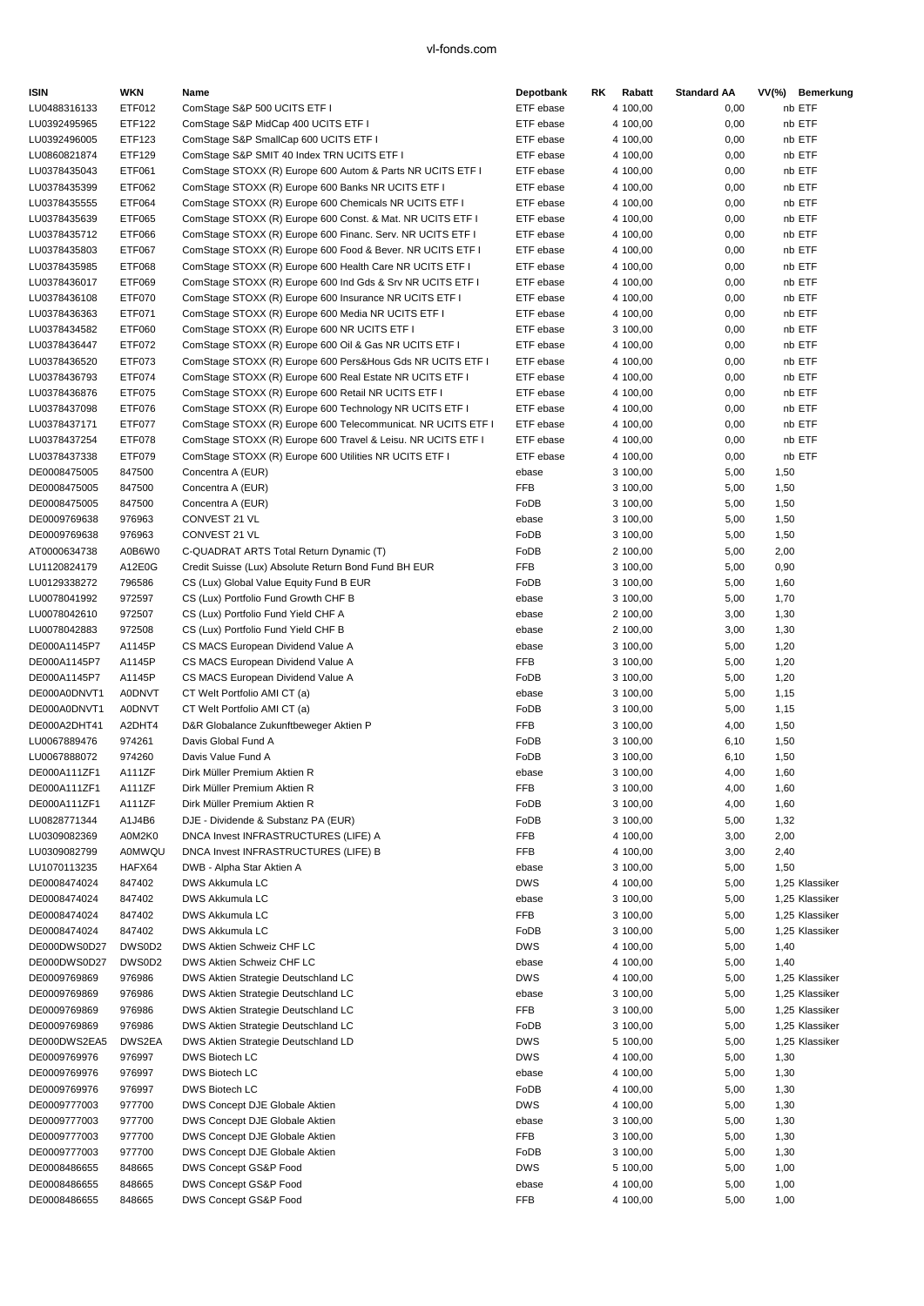| <b>ISIN</b>                  | WKN              | Name                                                                                                                         | Depotbank              | Rabatt<br>RK.        | <b>Standard AA</b> | $VV(\%)$<br>Bemerkung |
|------------------------------|------------------|------------------------------------------------------------------------------------------------------------------------------|------------------------|----------------------|--------------------|-----------------------|
| LU0488316133                 | ETF012           | ComStage S&P 500 UCITS ETF I                                                                                                 | ETF ebase              | 4 100,00             | 0,00               | nb ETF                |
| LU0392495965                 | ETF122           | ComStage S&P MidCap 400 UCITS ETF I                                                                                          | ETF ebase              | 4 100,00             | 0,00               | nb ETF                |
| LU0392496005                 | ETF123           | ComStage S&P SmallCap 600 UCITS ETF I                                                                                        | ETF ebase              | 4 100,00             | 0,00               | nb ETF                |
| LU0860821874                 | ETF129           | ComStage S&P SMIT 40 Index TRN UCITS ETF I                                                                                   | ETF ebase              | 4 100,00             | 0,00               | nb ETF                |
| LU0378435043                 | ETF061           | ComStage STOXX (R) Europe 600 Autom & Parts NR UCITS ETF I                                                                   | ETF ebase              | 4 100,00             | 0,00               | nb ETF                |
| LU0378435399                 | ETF062           | ComStage STOXX (R) Europe 600 Banks NR UCITS ETF I                                                                           | ETF ebase              | 4 100,00             | 0,00               | nb ETF                |
| LU0378435555                 | ETF064           | ComStage STOXX (R) Europe 600 Chemicals NR UCITS ETF I                                                                       | ETF ebase              | 4 100,00             | 0,00               | nb ETF                |
| LU0378435639                 | ETF065           | ComStage STOXX (R) Europe 600 Const. & Mat. NR UCITS ETF I                                                                   | ETF ebase              | 4 100,00             | 0,00               | nb ETF                |
| LU0378435712                 | ETF066           | ComStage STOXX (R) Europe 600 Financ. Serv. NR UCITS ETF I                                                                   | ETF ebase              | 4 100,00             | 0,00               | nb ETF                |
| LU0378435803                 | <b>ETF067</b>    | ComStage STOXX (R) Europe 600 Food & Bever. NR UCITS ETF I                                                                   | ETF ebase              | 4 100,00             | 0,00               | nb ETF                |
| LU0378435985                 | ETF068           | ComStage STOXX (R) Europe 600 Health Care NR UCITS ETF I                                                                     | ETF ebase              | 4 100,00             | 0,00               | nb ETF                |
| LU0378436017                 | ETF069           | ComStage STOXX (R) Europe 600 Ind Gds & Srv NR UCITS ETF I                                                                   | ETF ebase              | 4 100,00             | 0,00               | nb ETF                |
| LU0378436108                 | <b>ETF070</b>    | ComStage STOXX (R) Europe 600 Insurance NR UCITS ETF I                                                                       | ETF ebase              | 4 100,00             | 0,00               | nb ETF                |
| LU0378436363                 | ETF071           | ComStage STOXX (R) Europe 600 Media NR UCITS ETF I                                                                           | ETF ebase              | 4 100,00             | 0,00               | nb ETF                |
| LU0378434582                 | ETF060           | ComStage STOXX (R) Europe 600 NR UCITS ETF I                                                                                 | ETF ebase              | 3 100,00             | 0,00               | nb ETF                |
| LU0378436447                 | ETF072           | ComStage STOXX (R) Europe 600 Oil & Gas NR UCITS ETF I                                                                       | ETF ebase              | 4 100,00             | 0,00               | nb ETF                |
| LU0378436520                 | ETF073           | ComStage STOXX (R) Europe 600 Pers&Hous Gds NR UCITS ETF I                                                                   | ETF ebase              | 4 100,00             | 0,00               | nb ETF                |
| LU0378436793                 | ETF074           | ComStage STOXX (R) Europe 600 Real Estate NR UCITS ETF I                                                                     | ETF ebase              | 4 100,00             | 0,00               | nb ETF                |
| LU0378436876<br>LU0378437098 | <b>ETF075</b>    | ComStage STOXX (R) Europe 600 Retail NR UCITS ETF I                                                                          | ETF ebase<br>ETF ebase | 4 100,00             | 0,00               | nb ETF<br>nb ETF      |
| LU0378437171                 | ETF076<br>ETF077 | ComStage STOXX (R) Europe 600 Technology NR UCITS ETF I                                                                      | ETF ebase              | 4 100,00<br>4 100,00 | 0,00<br>0,00       | nb ETF                |
| LU0378437254                 | ETF078           | ComStage STOXX (R) Europe 600 Telecommunicat. NR UCITS ETF I<br>ComStage STOXX (R) Europe 600 Travel & Leisu. NR UCITS ETF I | ETF ebase              | 4 100,00             | 0,00               | nb ETF                |
| LU0378437338                 | ETF079           | ComStage STOXX (R) Europe 600 Utilities NR UCITS ETF I                                                                       | ETF ebase              | 4 100,00             | 0,00               | nb ETF                |
| DE0008475005                 | 847500           | Concentra A (EUR)                                                                                                            | ebase                  | 3 100,00             | 5,00               | 1,50                  |
| DE0008475005                 | 847500           | Concentra A (EUR)                                                                                                            | FFB                    | 3 100,00             | 5,00               | 1,50                  |
| DE0008475005                 | 847500           | Concentra A (EUR)                                                                                                            | FoDB                   | 3 100,00             | 5,00               | 1,50                  |
| DE0009769638                 | 976963           | CONVEST 21 VL                                                                                                                | ebase                  | 3 100,00             | 5,00               | 1,50                  |
| DE0009769638                 | 976963           | CONVEST 21 VL                                                                                                                | FoDB                   | 3 100,00             | 5,00               | 1,50                  |
| AT0000634738                 | A0B6W0           | C-QUADRAT ARTS Total Return Dynamic (T)                                                                                      | FoDB                   | 2 100,00             | 5,00               | 2,00                  |
| LU1120824179                 | A12E0G           | Credit Suisse (Lux) Absolute Return Bond Fund BH EUR                                                                         | <b>FFB</b>             | 3 100,00             | 5,00               | 0,90                  |
| LU0129338272                 | 796586           | CS (Lux) Global Value Equity Fund B EUR                                                                                      | FoDB                   | 3 100,00             | 5,00               | 1,60                  |
| LU0078041992                 | 972597           | CS (Lux) Portfolio Fund Growth CHF B                                                                                         | ebase                  | 3 100,00             | 5,00               | 1,70                  |
| LU0078042610                 | 972507           | CS (Lux) Portfolio Fund Yield CHF A                                                                                          | ebase                  | 2 100,00             | 3,00               | 1,30                  |
| LU0078042883                 | 972508           | CS (Lux) Portfolio Fund Yield CHF B                                                                                          | ebase                  | 2 100,00             | 3,00               | 1,30                  |
| DE000A1145P7                 | A1145P           | CS MACS European Dividend Value A                                                                                            | ebase                  | 3 100,00             | 5,00               | 1,20                  |
| DE000A1145P7                 | A1145P           | CS MACS European Dividend Value A                                                                                            | <b>FFB</b>             | 3 100,00             | 5,00               | 1,20                  |
| DE000A1145P7                 | A1145P           | CS MACS European Dividend Value A                                                                                            | FoDB                   | 3 100,00             | 5,00               | 1,20                  |
| DE000A0DNVT1                 | A0DNVT           | CT Welt Portfolio AMI CT (a)                                                                                                 | ebase                  | 3 100,00             | 5,00               | 1,15                  |
| DE000A0DNVT1                 | <b>A0DNVT</b>    | CT Welt Portfolio AMI CT (a)                                                                                                 | FoDB                   | 3 100,00             | 5,00               | 1,15                  |
| DE000A2DHT41                 | A2DHT4           | D&R Globalance Zukunftbeweger Aktien P                                                                                       | <b>FFB</b>             | 3 100,00             | 4,00               | 1,50                  |
| LU0067889476                 | 974261           | Davis Global Fund A                                                                                                          | FoDB                   | 3 100,00             | 6,10               | 1,50                  |
| LU0067888072                 | 974260           | Davis Value Fund A                                                                                                           | FoDB                   | 3 100,00             | 6, 10              | 1,50                  |
| DE000A111ZF1                 | A111ZF           | Dirk Müller Premium Aktien R                                                                                                 | ebase                  | 3 100.00             | 4,00               | 1,60                  |
| DE000A111ZF1                 | A111ZF           | Dirk Müller Premium Aktien R                                                                                                 | FFB                    | 3 100,00             | 4,00               | 1,60                  |
| DE000A111ZF1                 | A111ZF           | Dirk Müller Premium Aktien R                                                                                                 | FoDB                   | 3 100,00             | 4,00               | 1,60                  |
| LU0828771344                 | A1J4B6           | DJE - Dividende & Substanz PA (EUR)                                                                                          | FoDB                   | 3 100,00             | 5,00               | 1,32                  |
| LU0309082369                 | A0M2K0           | DNCA Invest INFRASTRUCTURES (LIFE) A                                                                                         | FFB                    | 4 100,00             | 3,00               | 2,00                  |
| LU0309082799                 | A0MWQU           | DNCA Invest INFRASTRUCTURES (LIFE) B                                                                                         | FFB                    | 4 100,00             | 3,00               | 2,40                  |
| LU1070113235                 | HAFX64           | DWB - Alpha Star Aktien A                                                                                                    | ebase                  | 3 100,00             | 5,00               | 1,50                  |
| DE0008474024                 | 847402           | DWS Akkumula LC                                                                                                              | DWS                    | 4 100,00             | 5,00               | 1,25 Klassiker        |
| DE0008474024                 | 847402           | DWS Akkumula LC                                                                                                              | ebase                  | 3 100,00             | 5,00               | 1,25 Klassiker        |
| DE0008474024                 | 847402           | DWS Akkumula LC                                                                                                              | FFB                    | 3 100,00             | 5,00               | 1,25 Klassiker        |
| DE0008474024                 | 847402           | DWS Akkumula LC                                                                                                              | FoDB                   | 3 100,00             | 5,00               | 1,25 Klassiker        |
| DE000DWS0D27                 | DWS0D2           | DWS Aktien Schweiz CHF LC                                                                                                    | <b>DWS</b>             | 4 100,00             | 5,00               | 1,40                  |
| DE000DWS0D27                 | DWS0D2           | DWS Aktien Schweiz CHF LC                                                                                                    | ebase                  | 4 100,00             | 5,00               | 1,40                  |
| DE0009769869                 | 976986           | DWS Aktien Strategie Deutschland LC                                                                                          | <b>DWS</b>             | 4 100,00             | 5,00               | 1,25 Klassiker        |
| DE0009769869                 | 976986           | DWS Aktien Strategie Deutschland LC                                                                                          | ebase                  | 3 100,00             | 5,00               | 1,25 Klassiker        |
| DE0009769869                 | 976986           | DWS Aktien Strategie Deutschland LC                                                                                          | FFB                    | 3 100,00             | 5,00               | 1,25 Klassiker        |
| DE0009769869                 | 976986           | DWS Aktien Strategie Deutschland LC                                                                                          | FoDB                   | 3 100,00             | 5,00               | 1,25 Klassiker        |
| DE000DWS2EA5                 | DWS2EA           | DWS Aktien Strategie Deutschland LD                                                                                          | <b>DWS</b>             | 5 100,00             | 5,00               | 1,25 Klassiker        |
| DE0009769976                 | 976997           | DWS Biotech LC                                                                                                               | <b>DWS</b>             | 4 100,00             | 5,00               | 1,30                  |
| DE0009769976                 | 976997           | DWS Biotech LC                                                                                                               | ebase                  | 4 100,00             | 5,00               | 1,30                  |
| DE0009769976                 | 976997           | DWS Biotech LC                                                                                                               | FoDB                   | 4 100,00             | 5,00               | 1,30                  |
| DE0009777003                 | 977700           | DWS Concept DJE Globale Aktien                                                                                               | <b>DWS</b>             | 4 100,00             | 5,00               | 1,30                  |
| DE0009777003                 | 977700           | DWS Concept DJE Globale Aktien                                                                                               | ebase                  | 3 100,00             | 5,00               | 1,30                  |
| DE0009777003<br>DE0009777003 | 977700<br>977700 | DWS Concept DJE Globale Aktien<br>DWS Concept DJE Globale Aktien                                                             | FFB<br>FoDB            | 3 100,00<br>3 100,00 | 5,00               | 1,30                  |
| DE0008486655                 | 848665           | DWS Concept GS&P Food                                                                                                        | <b>DWS</b>             | 5 100,00             | 5,00<br>5,00       | 1,30<br>1,00          |
| DE0008486655                 | 848665           | DWS Concept GS&P Food                                                                                                        | ebase                  | 4 100,00             | 5,00               | 1,00                  |
| DE0008486655                 | 848665           | DWS Concept GS&P Food                                                                                                        | FFB                    | 4 100,00             | 5,00               | 1,00                  |
|                              |                  |                                                                                                                              |                        |                      |                    |                       |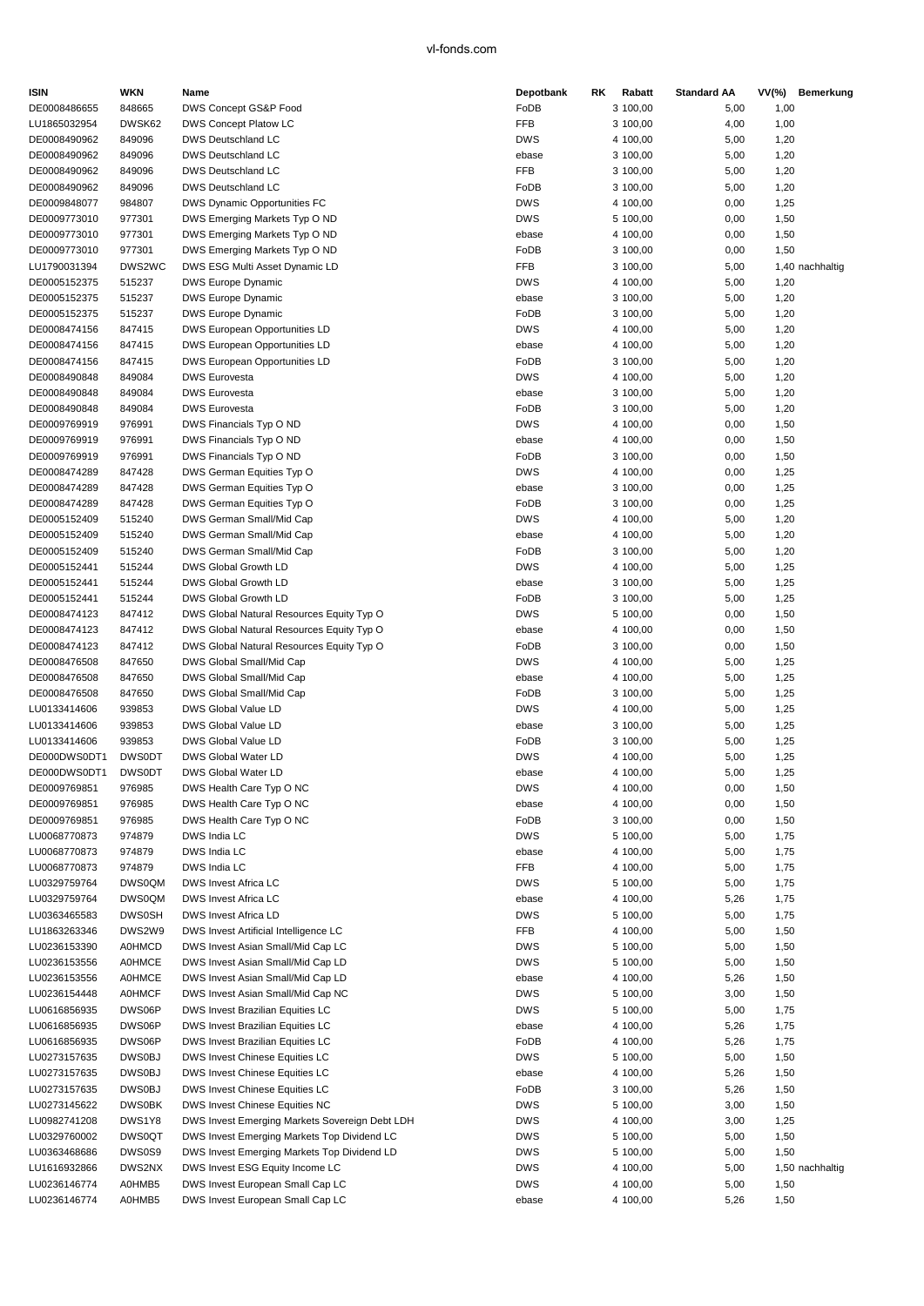| <b>ISIN</b>                  | <b>WKN</b>       | Name                                                                  | Depotbank          | RK. | Rabatt               | <b>Standard AA</b> |              | VV(%) Bemerkung |
|------------------------------|------------------|-----------------------------------------------------------------------|--------------------|-----|----------------------|--------------------|--------------|-----------------|
| DE0008486655                 | 848665           | DWS Concept GS&P Food                                                 | FoDB               |     | 3 100,00             | 5,00               | 1,00         |                 |
| LU1865032954                 | DWSK62           | DWS Concept Platow LC                                                 | FFB                |     | 3 100,00             | 4,00               | 1,00         |                 |
| DE0008490962                 | 849096           | DWS Deutschland LC                                                    | <b>DWS</b>         |     | 4 100,00             | 5,00               | 1,20         |                 |
| DE0008490962                 | 849096           | DWS Deutschland LC                                                    | ebase              |     | 3 100,00             | 5,00               | 1,20         |                 |
| DE0008490962                 | 849096           | DWS Deutschland LC                                                    | FFB                |     | 3 100,00             | 5,00               | 1,20         |                 |
| DE0008490962                 | 849096           | <b>DWS Deutschland LC</b>                                             | FoDB               |     | 3 100,00             | 5,00               | 1,20         |                 |
| DE0009848077                 | 984807           | DWS Dynamic Opportunities FC                                          | <b>DWS</b>         |     | 4 100,00             | 0,00               | 1,25         |                 |
| DE0009773010                 | 977301           | DWS Emerging Markets Typ O ND                                         | <b>DWS</b>         |     | 5 100,00             | 0,00               | 1,50         |                 |
| DE0009773010                 | 977301           | DWS Emerging Markets Typ O ND                                         | ebase              |     | 4 100,00             | 0,00               | 1,50         |                 |
| DE0009773010                 | 977301           | DWS Emerging Markets Typ O ND                                         | FoDB               |     | 3 100,00             | 0,00               | 1,50         |                 |
| LU1790031394                 | DWS2WC           | DWS ESG Multi Asset Dynamic LD                                        | FFB                |     | 3 100,00             | 5,00               |              | 1,40 nachhaltig |
| DE0005152375                 | 515237           | DWS Europe Dynamic                                                    | <b>DWS</b>         |     | 4 100,00             | 5,00               | 1,20         |                 |
| DE0005152375                 | 515237           | <b>DWS Europe Dynamic</b>                                             | ebase              |     | 3 100,00             | 5,00               | 1,20         |                 |
| DE0005152375                 | 515237           | <b>DWS Europe Dynamic</b>                                             | FoDB               |     | 3 100,00             | 5,00               | 1,20         |                 |
| DE0008474156                 | 847415           | DWS European Opportunities LD                                         | <b>DWS</b>         |     | 4 100,00             | 5,00               | 1,20         |                 |
| DE0008474156                 | 847415           | DWS European Opportunities LD                                         | ebase              |     | 4 100,00             | 5,00               | 1,20         |                 |
| DE0008474156                 | 847415           | DWS European Opportunities LD                                         | FoDB               |     | 3 100,00             | 5,00               | 1,20         |                 |
| DE0008490848                 | 849084           | <b>DWS Eurovesta</b>                                                  | <b>DWS</b>         |     | 4 100,00             | 5,00               | 1,20         |                 |
| DE0008490848                 | 849084           | <b>DWS Eurovesta</b>                                                  | ebase              |     | 3 100,00             | 5,00               | 1,20         |                 |
| DE0008490848                 | 849084           | <b>DWS Eurovesta</b>                                                  | FoDB               |     | 3 100,00             | 5,00               | 1,20         |                 |
| DE0009769919                 | 976991           | DWS Financials Typ O ND                                               | <b>DWS</b>         |     | 4 100,00             | 0,00               | 1,50         |                 |
| DE0009769919                 | 976991           | DWS Financials Typ O ND                                               | ebase              |     | 4 100,00             | 0,00               | 1,50         |                 |
| DE0009769919                 | 976991           | DWS Financials Typ O ND                                               | FoDB               |     | 3 100,00             | 0,00               | 1,50         |                 |
| DE0008474289                 | 847428           | DWS German Equities Typ O                                             | <b>DWS</b>         |     | 4 100,00             | 0,00               | 1,25         |                 |
| DE0008474289                 | 847428           | DWS German Equities Typ O                                             | ebase              |     | 3 100,00             | 0,00               | 1,25         |                 |
| DE0008474289                 | 847428           | DWS German Equities Typ O                                             | FoDB               |     | 3 100,00             | 0,00               | 1,25         |                 |
| DE0005152409                 | 515240           | DWS German Small/Mid Cap                                              | <b>DWS</b>         |     | 4 100,00             | 5,00               | 1,20         |                 |
| DE0005152409                 | 515240           | DWS German Small/Mid Cap                                              | ebase              |     | 4 100,00             | 5,00               | 1,20         |                 |
| DE0005152409                 | 515240           | DWS German Small/Mid Cap                                              | FoDB               |     | 3 100,00             | 5,00               | 1,20         |                 |
| DE0005152441                 | 515244           | DWS Global Growth LD                                                  | <b>DWS</b>         |     | 4 100,00             | 5,00               | 1,25         |                 |
| DE0005152441                 | 515244           | DWS Global Growth LD                                                  | ebase              |     | 3 100,00             | 5,00               | 1,25         |                 |
| DE0005152441                 | 515244           | DWS Global Growth LD                                                  | FoDB               |     | 3 100,00             | 5,00               | 1,25         |                 |
| DE0008474123                 | 847412           | DWS Global Natural Resources Equity Typ O                             | <b>DWS</b>         |     | 5 100,00             | 0,00               | 1,50         |                 |
| DE0008474123                 | 847412           | DWS Global Natural Resources Equity Typ O                             | ebase              |     | 4 100,00             | 0,00               | 1,50         |                 |
| DE0008474123<br>DE0008476508 | 847412<br>847650 | DWS Global Natural Resources Equity Typ O<br>DWS Global Small/Mid Cap | FoDB<br><b>DWS</b> |     | 3 100,00<br>4 100,00 | 0,00<br>5,00       | 1,50         |                 |
|                              |                  |                                                                       |                    |     |                      |                    | 1,25         |                 |
| DE0008476508<br>DE0008476508 | 847650<br>847650 | DWS Global Small/Mid Cap<br>DWS Global Small/Mid Cap                  | ebase<br>FoDB      |     | 4 100,00<br>3 100,00 | 5,00<br>5,00       | 1,25<br>1,25 |                 |
| LU0133414606                 | 939853           | DWS Global Value LD                                                   | <b>DWS</b>         |     | 4 100,00             | 5,00               | 1,25         |                 |
| LU0133414606                 | 939853           | DWS Global Value LD                                                   | ebase              |     | 3 100,00             | 5,00               | 1,25         |                 |
| LU0133414606                 | 939853           | DWS Global Value LD                                                   | FoDB               |     | 3 100,00             | 5,00               | 1,25         |                 |
| DE000DWS0DT1                 | <b>DWS0DT</b>    | DWS Global Water LD                                                   | <b>DWS</b>         |     | 4 100,00             | 5,00               | 1,25         |                 |
| DE000DWS0DT1                 | <b>DWS0DT</b>    | DWS Global Water LD                                                   | ebase              |     | 4 100,00             | 5,00               | 1,25         |                 |
| DE0009769851                 | 976985           | DWS Health Care Typ O NC                                              | <b>DWS</b>         |     | 4 100,00             | 0,00               | 1,50         |                 |
| DE0009769851                 | 976985           | DWS Health Care Typ O NC                                              | ebase              |     | 4 100,00             | 0,00               | 1,50         |                 |
| DE0009769851                 | 976985           | DWS Health Care Typ O NC                                              | FoDB               |     | 3 100,00             | 0,00               | 1,50         |                 |
| LU0068770873                 | 974879           | DWS India LC                                                          | <b>DWS</b>         |     | 5 100,00             | 5,00               | 1,75         |                 |
| LU0068770873                 | 974879           | DWS India LC                                                          | ebase              |     | 4 100,00             | 5,00               | 1,75         |                 |
| LU0068770873                 | 974879           | DWS India LC                                                          | FFB                |     | 4 100,00             | 5,00               | 1,75         |                 |
| LU0329759764                 | <b>DWS0QM</b>    | DWS Invest Africa LC                                                  | <b>DWS</b>         |     | 5 100,00             | 5,00               | 1,75         |                 |
| LU0329759764                 | <b>DWS0QM</b>    | DWS Invest Africa LC                                                  | ebase              |     | 4 100,00             | 5,26               | 1,75         |                 |
| LU0363465583                 | <b>DWS0SH</b>    | DWS Invest Africa LD                                                  | <b>DWS</b>         |     | 5 100,00             | 5,00               | 1,75         |                 |
| LU1863263346                 | DWS2W9           | DWS Invest Artificial Intelligence LC                                 | FFB                |     | 4 100,00             | 5,00               | 1,50         |                 |
| LU0236153390                 | <b>A0HMCD</b>    | DWS Invest Asian Small/Mid Cap LC                                     | <b>DWS</b>         |     | 5 100,00             | 5,00               | 1,50         |                 |
| LU0236153556                 | <b>A0HMCE</b>    | DWS Invest Asian Small/Mid Cap LD                                     | <b>DWS</b>         |     | 5 100,00             | 5,00               | 1,50         |                 |
| LU0236153556                 | <b>A0HMCE</b>    | DWS Invest Asian Small/Mid Cap LD                                     | ebase              |     | 4 100,00             | 5,26               | 1,50         |                 |
| LU0236154448                 | <b>A0HMCF</b>    | DWS Invest Asian Small/Mid Cap NC                                     | <b>DWS</b>         |     | 5 100,00             | 3,00               | 1,50         |                 |
| LU0616856935                 | DWS06P           | DWS Invest Brazilian Equities LC                                      | <b>DWS</b>         |     | 5 100,00             | 5,00               | 1,75         |                 |
| LU0616856935                 | DWS06P           | DWS Invest Brazilian Equities LC                                      | ebase              |     | 4 100,00             | 5,26               | 1,75         |                 |
| LU0616856935                 | DWS06P           | DWS Invest Brazilian Equities LC                                      | FoDB               |     | 4 100,00             | 5,26               | 1,75         |                 |
| LU0273157635                 | <b>DWS0BJ</b>    | DWS Invest Chinese Equities LC                                        | <b>DWS</b>         |     | 5 100,00             | 5,00               | 1,50         |                 |
| LU0273157635                 | DWS0BJ           | DWS Invest Chinese Equities LC                                        | ebase              |     | 4 100,00             | 5,26               | 1,50         |                 |
| LU0273157635                 | <b>DWS0BJ</b>    | DWS Invest Chinese Equities LC                                        | FoDB               |     | 3 100,00             | 5,26               | 1,50         |                 |
| LU0273145622                 | <b>DWS0BK</b>    | DWS Invest Chinese Equities NC                                        | <b>DWS</b>         |     | 5 100,00             | 3,00               | 1,50         |                 |
| LU0982741208                 | DWS1Y8           | DWS Invest Emerging Markets Sovereign Debt LDH                        | <b>DWS</b>         |     | 4 100,00             | 3,00               | 1,25         |                 |
| LU0329760002                 | <b>DWS0QT</b>    | DWS Invest Emerging Markets Top Dividend LC                           | <b>DWS</b>         |     | 5 100,00             | 5,00               | 1,50         |                 |
| LU0363468686                 | DWS0S9           | DWS Invest Emerging Markets Top Dividend LD                           | <b>DWS</b>         |     | 5 100,00             | 5,00               | 1,50         |                 |
| LU1616932866                 | DWS2NX           | DWS Invest ESG Equity Income LC                                       | <b>DWS</b>         |     | 4 100,00             | 5,00               |              | 1,50 nachhaltig |
| LU0236146774                 | A0HMB5           | DWS Invest European Small Cap LC                                      | <b>DWS</b>         |     | 4 100,00             | 5,00               | 1,50         |                 |
| LU0236146774                 | A0HMB5           | DWS Invest European Small Cap LC                                      | ebase              |     | 4 100,00             | 5,26               | 1,50         |                 |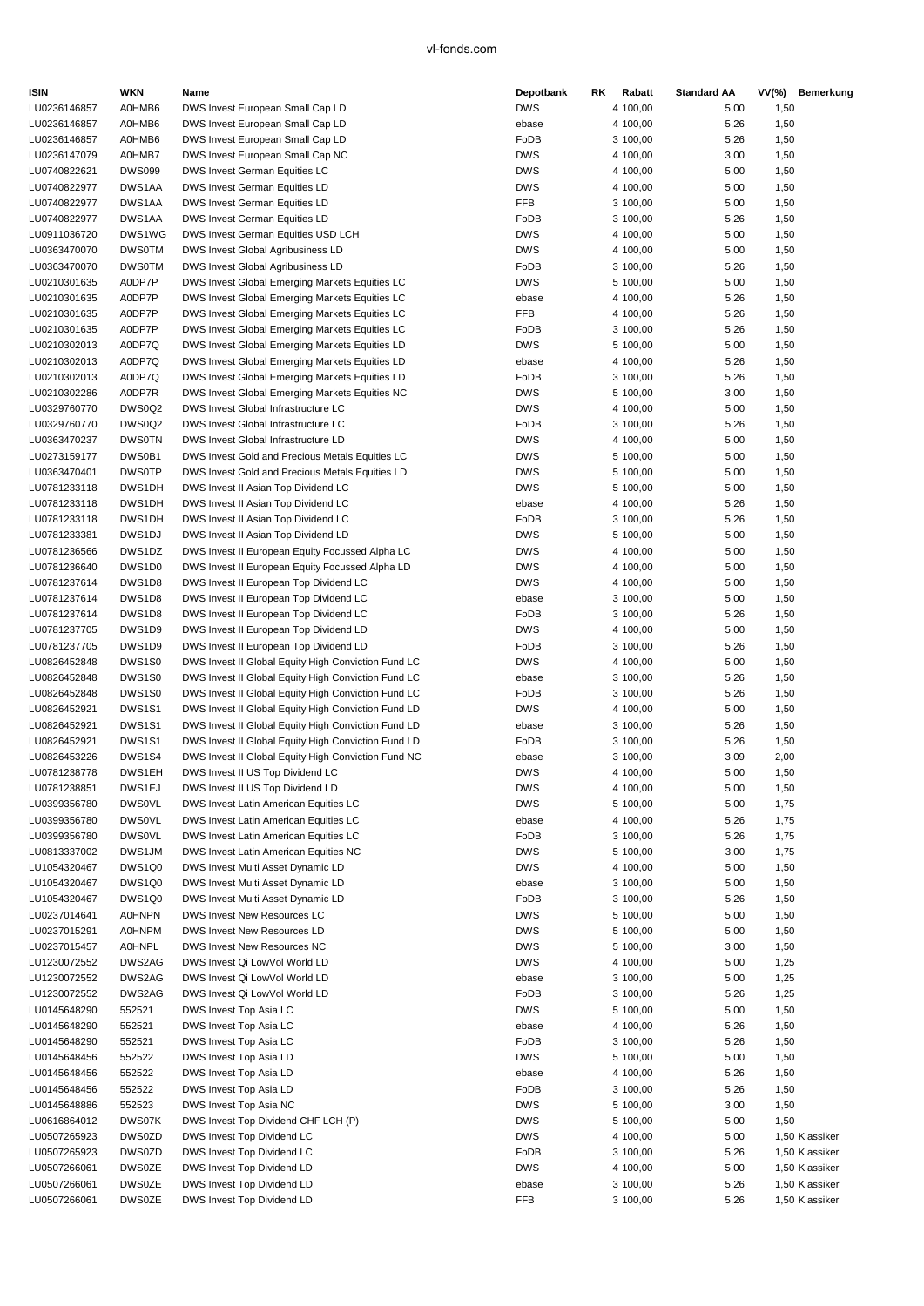| ISIN         | WKN           | Name                                                | Depotbank  | RK | Rabatt   | <b>Standard AA</b> | VV(%) | Bemerkung      |
|--------------|---------------|-----------------------------------------------------|------------|----|----------|--------------------|-------|----------------|
| LU0236146857 | A0HMB6        | DWS Invest European Small Cap LD                    | <b>DWS</b> |    | 4 100,00 | 5,00               | 1,50  |                |
| LU0236146857 | A0HMB6        | DWS Invest European Small Cap LD                    | ebase      |    | 4 100,00 | 5,26               | 1,50  |                |
| LU0236146857 | A0HMB6        | DWS Invest European Small Cap LD                    | FoDB       |    | 3 100,00 | 5,26               | 1,50  |                |
| LU0236147079 | A0HMB7        | DWS Invest European Small Cap NC                    | <b>DWS</b> |    | 4 100,00 | 3,00               | 1,50  |                |
| LU0740822621 | <b>DWS099</b> | DWS Invest German Equities LC                       | <b>DWS</b> |    | 4 100,00 | 5,00               | 1,50  |                |
| LU0740822977 | DWS1AA        | DWS Invest German Equities LD                       | <b>DWS</b> |    | 4 100,00 | 5,00               | 1,50  |                |
| LU0740822977 | DWS1AA        | DWS Invest German Equities LD                       | FFB        |    | 3 100,00 | 5,00               | 1,50  |                |
| LU0740822977 | DWS1AA        | DWS Invest German Equities LD                       | FoDB       |    | 3 100,00 | 5,26               | 1,50  |                |
| LU0911036720 | DWS1WG        | DWS Invest German Equities USD LCH                  | <b>DWS</b> |    | 4 100,00 | 5,00               | 1,50  |                |
| LU0363470070 | <b>DWS0TM</b> | DWS Invest Global Agribusiness LD                   | <b>DWS</b> |    | 4 100,00 | 5,00               | 1,50  |                |
| LU0363470070 | <b>DWS0TM</b> | DWS Invest Global Agribusiness LD                   | FoDB       |    | 3 100,00 | 5,26               | 1,50  |                |
| LU0210301635 | A0DP7P        | DWS Invest Global Emerging Markets Equities LC      | <b>DWS</b> |    | 5 100,00 | 5,00               | 1,50  |                |
| LU0210301635 | A0DP7P        | DWS Invest Global Emerging Markets Equities LC      | ebase      |    | 4 100,00 | 5,26               | 1,50  |                |
| LU0210301635 | A0DP7P        | DWS Invest Global Emerging Markets Equities LC      | FFB        |    | 4 100,00 | 5,26               | 1,50  |                |
| LU0210301635 | A0DP7P        | DWS Invest Global Emerging Markets Equities LC      | FoDB       |    | 3 100,00 | 5,26               | 1,50  |                |
| LU0210302013 | A0DP7Q        | DWS Invest Global Emerging Markets Equities LD      | <b>DWS</b> |    | 5 100,00 | 5,00               | 1,50  |                |
| LU0210302013 | A0DP7Q        | DWS Invest Global Emerging Markets Equities LD      | ebase      |    | 4 100,00 | 5,26               | 1,50  |                |
| LU0210302013 | A0DP7Q        | DWS Invest Global Emerging Markets Equities LD      | FoDB       |    | 3 100,00 | 5,26               | 1,50  |                |
| LU0210302286 | A0DP7R        | DWS Invest Global Emerging Markets Equities NC      | <b>DWS</b> |    | 5 100,00 | 3,00               | 1,50  |                |
| LU0329760770 | DWS0Q2        | DWS Invest Global Infrastructure LC                 | <b>DWS</b> |    | 4 100,00 | 5,00               | 1,50  |                |
| LU0329760770 | DWS0Q2        | DWS Invest Global Infrastructure LC                 | FoDB       |    | 3 100,00 | 5,26               | 1,50  |                |
| LU0363470237 | <b>DWS0TN</b> | DWS Invest Global Infrastructure LD                 | <b>DWS</b> |    | 4 100,00 | 5,00               | 1,50  |                |
| LU0273159177 | DWS0B1        | DWS Invest Gold and Precious Metals Equities LC     | <b>DWS</b> |    | 5 100,00 | 5,00               | 1,50  |                |
| LU0363470401 | <b>DWS0TP</b> | DWS Invest Gold and Precious Metals Equities LD     | <b>DWS</b> |    | 5 100,00 | 5,00               | 1,50  |                |
| LU0781233118 | DWS1DH        | DWS Invest II Asian Top Dividend LC                 | <b>DWS</b> |    | 5 100,00 | 5,00               | 1,50  |                |
| LU0781233118 | DWS1DH        | DWS Invest II Asian Top Dividend LC                 | ebase      |    | 4 100,00 | 5,26               | 1,50  |                |
| LU0781233118 | DWS1DH        | DWS Invest II Asian Top Dividend LC                 | FoDB       |    | 3 100,00 | 5,26               | 1,50  |                |
| LU0781233381 | DWS1DJ        | DWS Invest II Asian Top Dividend LD                 | <b>DWS</b> |    | 5 100,00 | 5,00               | 1,50  |                |
| LU0781236566 | DWS1DZ        | DWS Invest II European Equity Focussed Alpha LC     | <b>DWS</b> |    | 4 100,00 | 5,00               | 1,50  |                |
| LU0781236640 | DWS1D0        | DWS Invest II European Equity Focussed Alpha LD     | <b>DWS</b> |    | 4 100,00 | 5,00               | 1,50  |                |
| LU0781237614 | DWS1D8        | DWS Invest II European Top Dividend LC              | <b>DWS</b> |    | 4 100,00 | 5,00               | 1,50  |                |
| LU0781237614 | DWS1D8        | DWS Invest II European Top Dividend LC              | ebase      |    | 3 100,00 | 5,00               | 1,50  |                |
| LU0781237614 | DWS1D8        | DWS Invest II European Top Dividend LC              | FoDB       |    | 3 100,00 | 5,26               | 1,50  |                |
| LU0781237705 | DWS1D9        | DWS Invest II European Top Dividend LD              | <b>DWS</b> |    | 4 100,00 | 5,00               | 1,50  |                |
| LU0781237705 | DWS1D9        | DWS Invest II European Top Dividend LD              | FoDB       |    | 3 100,00 | 5,26               | 1,50  |                |
| LU0826452848 | DWS1S0        | DWS Invest II Global Equity High Conviction Fund LC | <b>DWS</b> |    | 4 100,00 | 5,00               | 1,50  |                |
| LU0826452848 | DWS1S0        | DWS Invest II Global Equity High Conviction Fund LC | ebase      |    | 3 100,00 | 5,26               | 1,50  |                |
| LU0826452848 | DWS1S0        | DWS Invest II Global Equity High Conviction Fund LC | FoDB       |    | 3 100,00 | 5,26               | 1,50  |                |
| LU0826452921 | DWS1S1        | DWS Invest II Global Equity High Conviction Fund LD | <b>DWS</b> |    | 4 100,00 | 5,00               | 1,50  |                |
| LU0826452921 | DWS1S1        | DWS Invest II Global Equity High Conviction Fund LD | ebase      |    | 3 100,00 | 5,26               | 1,50  |                |
| LU0826452921 | DWS1S1        | DWS Invest II Global Equity High Conviction Fund LD | FoDB       |    | 3 100,00 | 5,26               | 1,50  |                |
| LU0826453226 | DWS1S4        | DWS Invest II Global Equity High Conviction Fund NC | ebase      |    | 3 100,00 | 3,09               | 2,00  |                |
| LU0781238778 | DWS1EH        | DWS Invest II US Top Dividend LC                    | <b>DWS</b> |    | 4 100.00 | 5,00               | 1,50  |                |
| LU0781238851 | DWS1EJ        | DWS Invest II US Top Dividend LD                    | <b>DWS</b> |    | 4 100,00 | 5,00               | 1,50  |                |
| LU0399356780 | <b>DWS0VL</b> | DWS Invest Latin American Equities LC               | <b>DWS</b> |    | 5 100,00 | 5,00               | 1,75  |                |
| LU0399356780 | <b>DWS0VL</b> | DWS Invest Latin American Equities LC               | ebase      |    | 4 100,00 | 5,26               | 1,75  |                |
| LU0399356780 | <b>DWS0VL</b> | DWS Invest Latin American Equities LC               | FoDB       |    | 3 100,00 | 5,26               | 1,75  |                |
| LU0813337002 | DWS1JM        | DWS Invest Latin American Equities NC               | <b>DWS</b> |    | 5 100,00 | 3,00               | 1,75  |                |
| LU1054320467 | DWS1Q0        | DWS Invest Multi Asset Dynamic LD                   | <b>DWS</b> |    | 4 100,00 | 5,00               | 1,50  |                |
| LU1054320467 | DWS1Q0        | DWS Invest Multi Asset Dynamic LD                   | ebase      |    | 3 100,00 | 5,00               | 1,50  |                |
| LU1054320467 | DWS1Q0        | DWS Invest Multi Asset Dynamic LD                   | FoDB       |    | 3 100,00 | 5,26               | 1,50  |                |
| LU0237014641 | <b>A0HNPN</b> | DWS Invest New Resources LC                         | <b>DWS</b> |    | 5 100,00 | 5,00               | 1,50  |                |
| LU0237015291 | <b>A0HNPM</b> | DWS Invest New Resources LD                         | <b>DWS</b> |    | 5 100,00 | 5,00               | 1,50  |                |
| LU0237015457 | <b>A0HNPL</b> | DWS Invest New Resources NC                         | <b>DWS</b> |    | 5 100,00 | 3,00               | 1,50  |                |
| LU1230072552 | DWS2AG        | DWS Invest Qi LowVol World LD                       | <b>DWS</b> |    | 4 100,00 | 5,00               | 1,25  |                |
| LU1230072552 | DWS2AG        | DWS Invest Qi LowVol World LD                       | ebase      |    | 3 100,00 | 5,00               | 1,25  |                |
| LU1230072552 | DWS2AG        | DWS Invest Qi LowVol World LD                       | FoDB       |    | 3 100,00 | 5,26               | 1,25  |                |
| LU0145648290 | 552521        | DWS Invest Top Asia LC                              | <b>DWS</b> |    | 5 100,00 | 5,00               | 1,50  |                |
| LU0145648290 | 552521        | DWS Invest Top Asia LC                              | ebase      |    | 4 100,00 | 5,26               | 1,50  |                |
| LU0145648290 | 552521        | DWS Invest Top Asia LC                              | FoDB       |    | 3 100,00 | 5,26               | 1,50  |                |
| LU0145648456 | 552522        | DWS Invest Top Asia LD                              | <b>DWS</b> |    | 5 100,00 | 5,00               | 1,50  |                |
| LU0145648456 | 552522        | DWS Invest Top Asia LD                              | ebase      |    | 4 100,00 | 5,26               | 1,50  |                |
| LU0145648456 | 552522        | DWS Invest Top Asia LD                              | FoDB       |    | 3 100,00 | 5,26               | 1,50  |                |
| LU0145648886 | 552523        | DWS Invest Top Asia NC                              | <b>DWS</b> |    | 5 100,00 | 3,00               | 1,50  |                |
| LU0616864012 | DWS07K        | DWS Invest Top Dividend CHF LCH (P)                 | <b>DWS</b> |    | 5 100,00 | 5,00               | 1,50  |                |
| LU0507265923 | DWS0ZD        | DWS Invest Top Dividend LC                          | <b>DWS</b> |    | 4 100,00 | 5,00               |       | 1,50 Klassiker |
| LU0507265923 | DWS0ZD        | DWS Invest Top Dividend LC                          | FoDB       |    | 3 100,00 | 5,26               |       | 1,50 Klassiker |
| LU0507266061 | DWS0ZE        | DWS Invest Top Dividend LD                          | <b>DWS</b> |    | 4 100,00 | 5,00               |       | 1,50 Klassiker |
| LU0507266061 | DWS0ZE        | DWS Invest Top Dividend LD                          | ebase      |    | 3 100,00 | 5,26               |       | 1,50 Klassiker |
| LU0507266061 | DWS0ZE        | DWS Invest Top Dividend LD                          | FFB        |    | 3 100,00 | 5,26               |       | 1,50 Klassiker |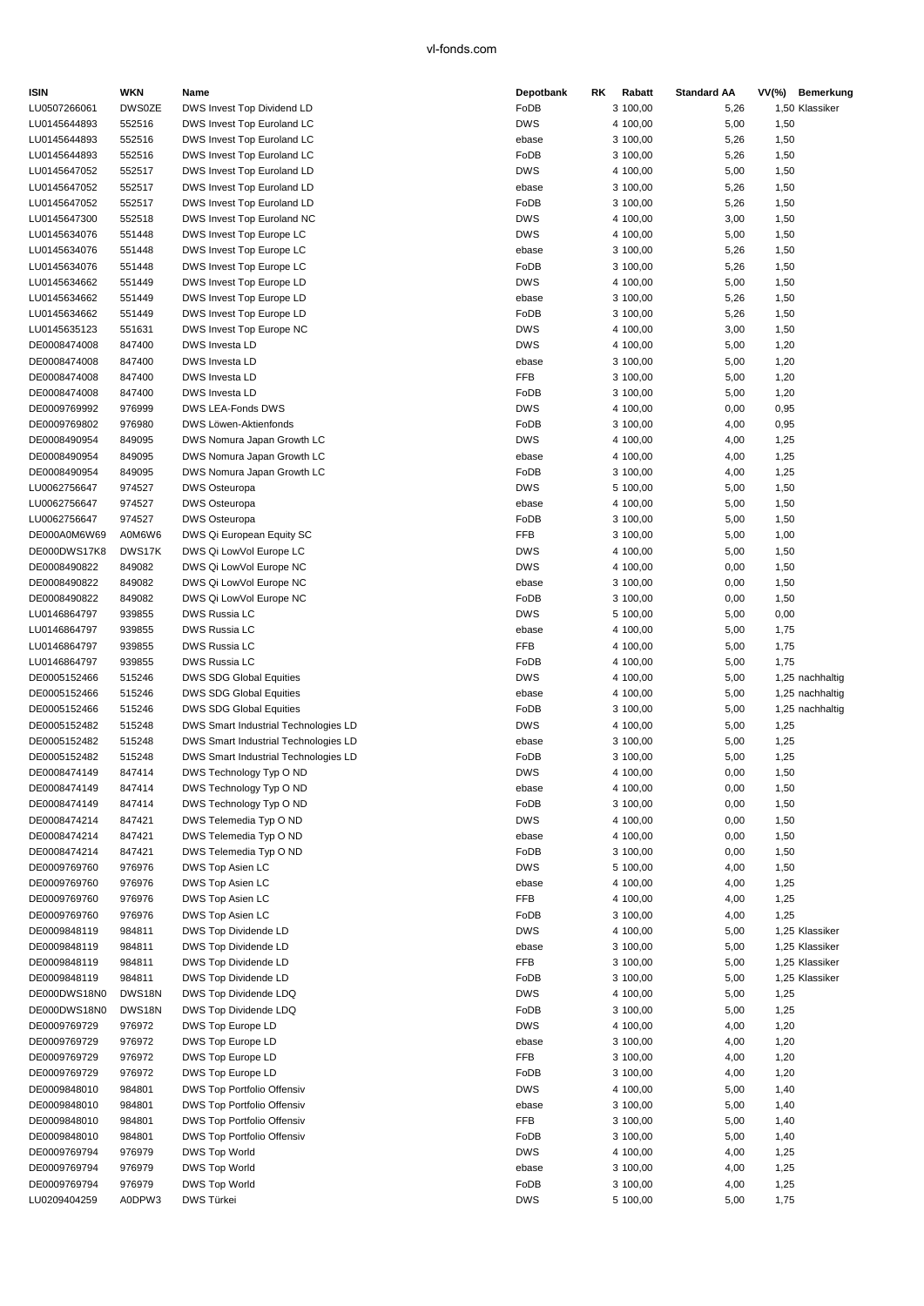| ISIN         | WKN           | Name                                 | Depotbank  | RK. | Rabatt   | <b>Standard AA</b> | VV(%) | Bemerkung       |
|--------------|---------------|--------------------------------------|------------|-----|----------|--------------------|-------|-----------------|
| LU0507266061 | <b>DWS0ZE</b> | DWS Invest Top Dividend LD           | FoDB       |     | 3 100,00 | 5,26               |       | 1,50 Klassiker  |
| LU0145644893 | 552516        | DWS Invest Top Euroland LC           | <b>DWS</b> |     | 4 100,00 | 5,00               | 1,50  |                 |
| LU0145644893 | 552516        | DWS Invest Top Euroland LC           | ebase      |     | 3 100,00 | 5,26               | 1,50  |                 |
| LU0145644893 | 552516        | DWS Invest Top Euroland LC           | FoDB       |     | 3 100,00 | 5,26               | 1,50  |                 |
| LU0145647052 | 552517        | DWS Invest Top Euroland LD           | <b>DWS</b> |     | 4 100,00 | 5,00               | 1,50  |                 |
| LU0145647052 | 552517        | DWS Invest Top Euroland LD           | ebase      |     | 3 100,00 | 5,26               | 1,50  |                 |
| LU0145647052 | 552517        | DWS Invest Top Euroland LD           | FoDB       |     | 3 100,00 | 5,26               | 1,50  |                 |
| LU0145647300 | 552518        | DWS Invest Top Euroland NC           | <b>DWS</b> |     | 4 100,00 | 3,00               | 1,50  |                 |
| LU0145634076 | 551448        | DWS Invest Top Europe LC             | <b>DWS</b> |     | 4 100,00 | 5,00               | 1,50  |                 |
| LU0145634076 | 551448        | DWS Invest Top Europe LC             | ebase      |     | 3 100,00 | 5,26               | 1,50  |                 |
| LU0145634076 | 551448        | DWS Invest Top Europe LC             | FoDB       |     | 3 100,00 | 5,26               | 1,50  |                 |
|              |               |                                      |            |     |          |                    |       |                 |
| LU0145634662 | 551449        | DWS Invest Top Europe LD             | <b>DWS</b> |     | 4 100,00 | 5,00               | 1,50  |                 |
| LU0145634662 | 551449        | DWS Invest Top Europe LD             | ebase      |     | 3 100,00 | 5,26               | 1,50  |                 |
| LU0145634662 | 551449        | DWS Invest Top Europe LD             | FoDB       |     | 3 100,00 | 5,26               | 1,50  |                 |
| LU0145635123 | 551631        | DWS Invest Top Europe NC             | <b>DWS</b> |     | 4 100,00 | 3,00               | 1,50  |                 |
| DE0008474008 | 847400        | DWS Investa LD                       | <b>DWS</b> |     | 4 100,00 | 5,00               | 1,20  |                 |
| DE0008474008 | 847400        | DWS Investa LD                       | ebase      |     | 3 100,00 | 5,00               | 1,20  |                 |
| DE0008474008 | 847400        | DWS Investa LD                       | <b>FFB</b> |     | 3 100,00 | 5,00               | 1,20  |                 |
| DE0008474008 | 847400        | DWS Investa LD                       | FoDB       |     | 3 100,00 | 5,00               | 1,20  |                 |
| DE0009769992 | 976999        | DWS LEA-Fonds DWS                    | <b>DWS</b> |     | 4 100,00 | 0,00               | 0,95  |                 |
| DE0009769802 | 976980        | DWS Löwen-Aktienfonds                | FoDB       |     | 3 100,00 | 4,00               | 0,95  |                 |
| DE0008490954 | 849095        | DWS Nomura Japan Growth LC           | <b>DWS</b> |     | 4 100,00 | 4,00               | 1,25  |                 |
| DE0008490954 | 849095        | DWS Nomura Japan Growth LC           | ebase      |     | 4 100,00 | 4,00               | 1,25  |                 |
| DE0008490954 | 849095        | DWS Nomura Japan Growth LC           | FoDB       |     | 3 100,00 | 4,00               | 1,25  |                 |
| LU0062756647 | 974527        | <b>DWS Osteuropa</b>                 | <b>DWS</b> |     | 5 100,00 | 5,00               | 1,50  |                 |
| LU0062756647 | 974527        | <b>DWS Osteuropa</b>                 | ebase      |     | 4 100,00 | 5,00               | 1,50  |                 |
| LU0062756647 | 974527        | <b>DWS Osteuropa</b>                 | FoDB       |     | 3 100,00 | 5,00               | 1,50  |                 |
|              |               |                                      |            |     |          |                    |       |                 |
| DE000A0M6W69 | A0M6W6        | DWS Qi European Equity SC            | FFB        |     | 3 100,00 | 5,00               | 1,00  |                 |
| DE000DWS17K8 | DWS17K        | DWS Qi LowVol Europe LC              | <b>DWS</b> |     | 4 100,00 | 5,00               | 1,50  |                 |
| DE0008490822 | 849082        | DWS Qi LowVol Europe NC              | <b>DWS</b> |     | 4 100,00 | 0,00               | 1,50  |                 |
| DE0008490822 | 849082        | DWS Qi LowVol Europe NC              | ebase      |     | 3 100,00 | 0,00               | 1,50  |                 |
| DE0008490822 | 849082        | DWS Qi LowVol Europe NC              | FoDB       |     | 3 100,00 | 0,00               | 1,50  |                 |
| LU0146864797 | 939855        | DWS Russia LC                        | <b>DWS</b> |     | 5 100,00 | 5,00               | 0,00  |                 |
| LU0146864797 | 939855        | DWS Russia LC                        | ebase      |     | 4 100,00 | 5,00               | 1,75  |                 |
| LU0146864797 | 939855        | DWS Russia LC                        | FFB        |     | 4 100,00 | 5,00               | 1,75  |                 |
| LU0146864797 | 939855        | DWS Russia LC                        | FoDB       |     | 4 100,00 | 5,00               | 1,75  |                 |
| DE0005152466 | 515246        | <b>DWS SDG Global Equities</b>       | <b>DWS</b> |     | 4 100,00 | 5,00               |       | 1,25 nachhaltig |
| DE0005152466 | 515246        | DWS SDG Global Equities              | ebase      |     | 4 100,00 | 5,00               |       | 1,25 nachhaltig |
| DE0005152466 | 515246        | DWS SDG Global Equities              | FoDB       |     | 3 100,00 | 5,00               |       | 1,25 nachhaltig |
| DE0005152482 | 515248        | DWS Smart Industrial Technologies LD | <b>DWS</b> |     | 4 100,00 | 5,00               | 1,25  |                 |
| DE0005152482 | 515248        | DWS Smart Industrial Technologies LD | ebase      |     | 3 100,00 | 5,00               | 1,25  |                 |
| DE0005152482 | 515248        | DWS Smart Industrial Technologies LD | FoDB       |     | 3 100,00 | 5,00               | 1,25  |                 |
| DE0008474149 | 847414        | DWS Technology Typ O ND              | <b>DWS</b> |     | 4 100,00 | 0,00               | 1,50  |                 |
| DE0008474149 | 847414        | DWS Technology Typ O ND              | ebase      |     | 4 100,00 | 0,00               | 1,50  |                 |
| DE0008474149 | 847414        | DWS Technology Typ O ND              | FoDB       |     | 3 100,00 | 0,00               | 1,50  |                 |
|              |               |                                      |            |     |          |                    |       |                 |
| DE0008474214 | 847421        | DWS Telemedia Typ O ND               | <b>DWS</b> |     | 4 100,00 | 0,00               | 1,50  |                 |
| DE0008474214 | 847421        | DWS Telemedia Typ O ND               | ebase      |     | 4 100,00 | 0,00               | 1,50  |                 |
| DE0008474214 | 847421        | DWS Telemedia Typ O ND               | FoDB       |     | 3 100,00 | 0,00               | 1,50  |                 |
| DE0009769760 | 976976        | DWS Top Asien LC                     | <b>DWS</b> |     | 5 100,00 | 4,00               | 1,50  |                 |
| DE0009769760 | 976976        | DWS Top Asien LC                     | ebase      |     | 4 100,00 | 4,00               | 1,25  |                 |
| DE0009769760 | 976976        | DWS Top Asien LC                     | FFB        |     | 4 100,00 | 4,00               | 1,25  |                 |
| DE0009769760 | 976976        | DWS Top Asien LC                     | FoDB       |     | 3 100,00 | 4,00               | 1,25  |                 |
| DE0009848119 | 984811        | DWS Top Dividende LD                 | <b>DWS</b> |     | 4 100,00 | 5,00               |       | 1,25 Klassiker  |
| DE0009848119 | 984811        | DWS Top Dividende LD                 | ebase      |     | 3 100,00 | 5,00               |       | 1,25 Klassiker  |
| DE0009848119 | 984811        | DWS Top Dividende LD                 | FFB        |     | 3 100,00 | 5,00               |       | 1,25 Klassiker  |
| DE0009848119 | 984811        | DWS Top Dividende LD                 | FoDB       |     | 3 100,00 | 5,00               |       | 1,25 Klassiker  |
| DE000DWS18N0 | DWS18N        | DWS Top Dividende LDQ                | <b>DWS</b> |     | 4 100,00 | 5,00               | 1,25  |                 |
| DE000DWS18N0 | DWS18N        | DWS Top Dividende LDQ                | FoDB       |     | 3 100,00 | 5,00               | 1,25  |                 |
| DE0009769729 | 976972        | DWS Top Europe LD                    | <b>DWS</b> |     | 4 100,00 | 4,00               | 1,20  |                 |
| DE0009769729 | 976972        | DWS Top Europe LD                    | ebase      |     | 3 100,00 | 4,00               | 1,20  |                 |
| DE0009769729 | 976972        | DWS Top Europe LD                    | FFB        |     | 3 100,00 | 4,00               | 1,20  |                 |
| DE0009769729 | 976972        | DWS Top Europe LD                    | FoDB       |     | 3 100,00 | 4,00               | 1,20  |                 |
| DE0009848010 | 984801        | DWS Top Portfolio Offensiv           | <b>DWS</b> |     | 4 100,00 | 5,00               | 1,40  |                 |
| DE0009848010 | 984801        |                                      |            |     |          | 5,00               | 1,40  |                 |
|              |               | DWS Top Portfolio Offensiv           | ebase      |     | 3 100,00 |                    |       |                 |
| DE0009848010 | 984801        | DWS Top Portfolio Offensiv           | FFB        |     | 3 100,00 | 5,00               | 1,40  |                 |
| DE0009848010 | 984801        | DWS Top Portfolio Offensiv           | FoDB       |     | 3 100,00 | 5,00               | 1,40  |                 |
| DE0009769794 | 976979        | DWS Top World                        | <b>DWS</b> |     | 4 100,00 | 4,00               | 1,25  |                 |
| DE0009769794 | 976979        | <b>DWS Top World</b>                 | ebase      |     | 3 100,00 | 4,00               | 1,25  |                 |
| DE0009769794 | 976979        | DWS Top World                        | FoDB       |     | 3 100,00 | 4,00               | 1,25  |                 |
| LU0209404259 | A0DPW3        | DWS Türkei                           | <b>DWS</b> |     | 5 100,00 | 5,00               | 1,75  |                 |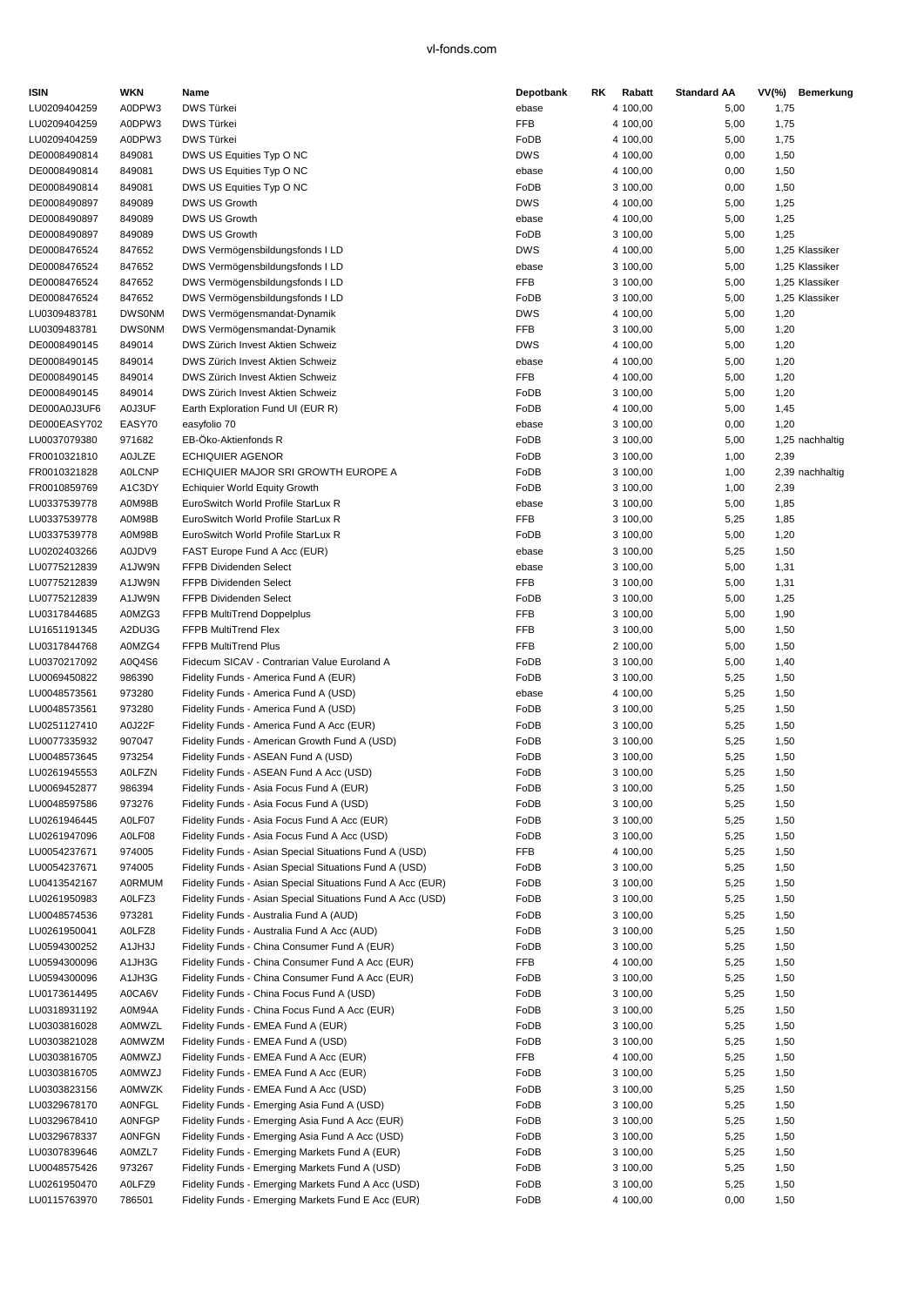| <b>ISIN</b>                  | WKN              | Name                                                                       | Depotbank           | RK | Rabatt               | <b>Standard AA</b> |              | VV(%) Bemerkung |
|------------------------------|------------------|----------------------------------------------------------------------------|---------------------|----|----------------------|--------------------|--------------|-----------------|
| LU0209404259                 | A0DPW3           | <b>DWS Türkei</b>                                                          | ebase               |    | 4 100,00             | 5,00               | 1,75         |                 |
| LU0209404259                 | A0DPW3           | DWS Türkei                                                                 | <b>FFB</b>          |    | 4 100,00             | 5,00               | 1,75         |                 |
| LU0209404259                 | A0DPW3           | DWS Türkei                                                                 | FoDB                |    | 4 100,00             | 5,00               | 1,75         |                 |
| DE0008490814                 | 849081           | DWS US Equities Typ O NC                                                   | <b>DWS</b>          |    | 4 100,00             | 0,00               | 1,50         |                 |
| DE0008490814                 | 849081           | DWS US Equities Typ O NC                                                   | ebase               |    | 4 100,00             | 0,00               | 1,50         |                 |
| DE0008490814                 | 849081           | DWS US Equities Typ O NC                                                   | FoDB                |    | 3 100,00             | 0,00               | 1,50         |                 |
| DE0008490897                 | 849089           | DWS US Growth                                                              | <b>DWS</b>          |    | 4 100,00             | 5,00               | 1,25         |                 |
| DE0008490897                 | 849089           | DWS US Growth                                                              | ebase               |    | 4 100,00             | 5,00               | 1,25         |                 |
| DE0008490897                 | 849089           | DWS US Growth                                                              | FoDB                |    | 3 100,00             | 5,00               | 1,25         |                 |
| DE0008476524                 | 847652           | DWS Vermögensbildungsfonds I LD                                            | <b>DWS</b>          |    | 4 100,00             | 5,00               |              | 1,25 Klassiker  |
| DE0008476524                 | 847652           | DWS Vermögensbildungsfonds I LD                                            | ebase               |    | 3 100,00             | 5,00               |              | 1,25 Klassiker  |
| DE0008476524                 | 847652           | DWS Vermögensbildungsfonds I LD                                            | FFB                 |    | 3 100,00             | 5,00               |              | 1,25 Klassiker  |
| DE0008476524                 | 847652           | DWS Vermögensbildungsfonds I LD                                            | FoDB                |    | 3 100,00             | 5,00               |              | 1,25 Klassiker  |
| LU0309483781                 | <b>DWS0NM</b>    | DWS Vermögensmandat-Dynamik                                                | <b>DWS</b>          |    | 4 100,00             | 5,00               | 1,20         |                 |
| LU0309483781                 | <b>DWS0NM</b>    | DWS Vermögensmandat-Dynamik                                                | FFB                 |    | 3 100,00             | 5,00               | 1,20         |                 |
| DE0008490145                 | 849014           | DWS Zürich Invest Aktien Schweiz                                           | <b>DWS</b>          |    | 4 100,00             | 5,00               | 1,20         |                 |
| DE0008490145                 | 849014           | DWS Zürich Invest Aktien Schweiz                                           | ebase               |    | 4 100,00             | 5,00               | 1,20         |                 |
| DE0008490145                 | 849014           | DWS Zürich Invest Aktien Schweiz                                           | FFB                 |    | 4 100,00             | 5,00               | 1,20         |                 |
| DE0008490145                 | 849014           | DWS Zürich Invest Aktien Schweiz                                           | FoDB                |    | 3 100,00             | 5,00               | 1,20         |                 |
| DE000A0J3UF6                 | A0J3UF           | Earth Exploration Fund UI (EUR R)                                          | FoDB                |    | 4 100,00             | 5,00               | 1,45         |                 |
| DE000EASY702                 | EASY70<br>971682 | easyfolio 70<br>EB-Öko-Aktienfonds R                                       | ebase               |    | 3 100,00             | 0,00               | 1,20         |                 |
| LU0037079380<br>FR0010321810 | <b>A0JLZE</b>    | <b>ECHIQUIER AGENOR</b>                                                    | FoDB<br>FoDB        |    | 3 100,00             | 5,00               |              | 1,25 nachhaltig |
|                              |                  |                                                                            |                     |    | 3 100,00             | 1,00               | 2,39         |                 |
| FR0010321828                 | <b>AOLCNP</b>    | ECHIQUIER MAJOR SRI GROWTH EUROPE A                                        | FoDB                |    | 3 100,00             | 1,00               |              | 2,39 nachhaltig |
| FR0010859769                 | A1C3DY           | <b>Echiquier World Equity Growth</b><br>EuroSwitch World Profile StarLux R | FoDB                |    | 3 100,00             | 1,00               | 2,39         |                 |
| LU0337539778                 | A0M98B           |                                                                            | ebase<br><b>FFB</b> |    | 3 100,00             | 5,00               | 1,85         |                 |
| LU0337539778                 | A0M98B           | EuroSwitch World Profile StarLux R                                         |                     |    | 3 100,00             | 5,25               | 1,85         |                 |
| LU0337539778                 | A0M98B           | EuroSwitch World Profile StarLux R                                         | FoDB                |    | 3 100,00             | 5,00               | 1,20         |                 |
| LU0202403266<br>LU0775212839 | A0JDV9<br>A1JW9N | FAST Europe Fund A Acc (EUR)<br>FFPB Dividenden Select                     | ebase<br>ebase      |    | 3 100,00<br>3 100,00 | 5,25<br>5,00       | 1,50         |                 |
| LU0775212839                 | A1JW9N           | <b>FFPB Dividenden Select</b>                                              | FFB                 |    | 3 100,00             | 5,00               | 1,31<br>1,31 |                 |
| LU0775212839                 | A1JW9N           | <b>FFPB Dividenden Select</b>                                              | FoDB                |    |                      |                    | 1,25         |                 |
| LU0317844685                 | A0MZG3           | FFPB MultiTrend Doppelplus                                                 | <b>FFB</b>          |    | 3 100,00<br>3 100,00 | 5,00<br>5,00       | 1,90         |                 |
| LU1651191345                 | A2DU3G           | FFPB MultiTrend Flex                                                       | FFB                 |    | 3 100,00             | 5,00               | 1,50         |                 |
| LU0317844768                 | A0MZG4           | <b>FFPB MultiTrend Plus</b>                                                | FFB                 |    | 2 100,00             | 5,00               | 1,50         |                 |
| LU0370217092                 | A0Q4S6           | Fidecum SICAV - Contrarian Value Euroland A                                | FoDB                |    | 3 100,00             | 5,00               | 1,40         |                 |
| LU0069450822                 | 986390           | Fidelity Funds - America Fund A (EUR)                                      | FoDB                |    | 3 100,00             | 5,25               | 1,50         |                 |
| LU0048573561                 | 973280           | Fidelity Funds - America Fund A (USD)                                      | ebase               |    | 4 100,00             | 5,25               | 1,50         |                 |
| LU0048573561                 | 973280           | Fidelity Funds - America Fund A (USD)                                      | FoDB                |    | 3 100,00             | 5,25               | 1,50         |                 |
| LU0251127410                 | A0J22F           | Fidelity Funds - America Fund A Acc (EUR)                                  | FoDB                |    | 3 100,00             | 5,25               | 1,50         |                 |
| LU0077335932                 | 907047           | Fidelity Funds - American Growth Fund A (USD)                              | FoDB                |    | 3 100,00             | 5,25               | 1,50         |                 |
| LU0048573645                 | 973254           | Fidelity Funds - ASEAN Fund A (USD)                                        | FoDB                |    | 3 100,00             | 5,25               | 1,50         |                 |
| LU0261945553                 | A0LFZN           | Fidelity Funds - ASEAN Fund A Acc (USD)                                    | FoDB                |    | 3 100,00             | 5,25               | 1,50         |                 |
| LU0069452877                 | 986394           | Fidelity Funds - Asia Focus Fund A (EUR)                                   | FoDB                |    | 3 100,00             | 5,25               | 1,50         |                 |
| LU0048597586                 | 973276           | Fidelity Funds - Asia Focus Fund A (USD)                                   | FoDB                |    | 3 100,00             | 5,25               | 1,50         |                 |
| LU0261946445                 | A0LF07           | Fidelity Funds - Asia Focus Fund A Acc (EUR)                               | FoDB                |    | 3 100,00             | 5,25               | 1,50         |                 |
| LU0261947096                 | A0LF08           | Fidelity Funds - Asia Focus Fund A Acc (USD)                               | FoDB                |    | 3 100,00             | 5,25               | 1,50         |                 |
| LU0054237671                 | 974005           | Fidelity Funds - Asian Special Situations Fund A (USD)                     | <b>FFB</b>          |    | 4 100,00             | 5,25               | 1,50         |                 |
| LU0054237671                 | 974005           | Fidelity Funds - Asian Special Situations Fund A (USD)                     | FoDB                |    | 3 100,00             | 5,25               | 1,50         |                 |
| LU0413542167                 | <b>A0RMUM</b>    | Fidelity Funds - Asian Special Situations Fund A Acc (EUR)                 | FoDB                |    | 3 100,00             | 5,25               | 1,50         |                 |
| LU0261950983                 | A0LFZ3           | Fidelity Funds - Asian Special Situations Fund A Acc (USD)                 | FoDB                |    | 3 100,00             | 5,25               | 1,50         |                 |
| LU0048574536                 | 973281           | Fidelity Funds - Australia Fund A (AUD)                                    | FoDB                |    | 3 100,00             | 5,25               | 1,50         |                 |
| LU0261950041                 | A0LFZ8           | Fidelity Funds - Australia Fund A Acc (AUD)                                | FoDB                |    | 3 100,00             | 5,25               | 1,50         |                 |
| LU0594300252                 | A1JH3J           | Fidelity Funds - China Consumer Fund A (EUR)                               | FoDB                |    | 3 100,00             | 5,25               | 1,50         |                 |
| LU0594300096                 | A1JH3G           | Fidelity Funds - China Consumer Fund A Acc (EUR)                           | FFB                 |    | 4 100,00             | 5,25               | 1,50         |                 |
| LU0594300096                 | A1JH3G           | Fidelity Funds - China Consumer Fund A Acc (EUR)                           | FoDB                |    | 3 100,00             | 5,25               | 1,50         |                 |
| LU0173614495                 | A0CA6V           | Fidelity Funds - China Focus Fund A (USD)                                  | FoDB                |    | 3 100,00             | 5,25               | 1,50         |                 |
| LU0318931192                 | A0M94A           | Fidelity Funds - China Focus Fund A Acc (EUR)                              | FoDB                |    | 3 100,00             | 5,25               | 1,50         |                 |
| LU0303816028                 | A0MWZL           | Fidelity Funds - EMEA Fund A (EUR)                                         | FoDB                |    | 3 100,00             | 5,25               | 1,50         |                 |
| LU0303821028                 | <b>A0MWZM</b>    | Fidelity Funds - EMEA Fund A (USD)                                         | FoDB                |    | 3 100,00             | 5,25               | 1,50         |                 |
| LU0303816705                 | A0MWZJ           | Fidelity Funds - EMEA Fund A Acc (EUR)                                     | FFB                 |    | 4 100,00             | 5,25               | 1,50         |                 |
| LU0303816705                 | A0MWZJ           | Fidelity Funds - EMEA Fund A Acc (EUR)                                     | FoDB                |    | 3 100,00             | 5,25               | 1,50         |                 |
| LU0303823156                 | <b>A0MWZK</b>    | Fidelity Funds - EMEA Fund A Acc (USD)                                     | FoDB                |    | 3 100,00             | 5,25               | 1,50         |                 |
| LU0329678170                 | <b>AONFGL</b>    | Fidelity Funds - Emerging Asia Fund A (USD)                                | FoDB                |    | 3 100,00             | 5,25               | 1,50         |                 |
| LU0329678410                 | <b>AONFGP</b>    | Fidelity Funds - Emerging Asia Fund A Acc (EUR)                            | FoDB                |    | 3 100,00             | 5,25               | 1,50         |                 |
| LU0329678337                 | <b>AONFGN</b>    | Fidelity Funds - Emerging Asia Fund A Acc (USD)                            | FoDB                |    | 3 100,00             | 5,25               | 1,50         |                 |
| LU0307839646                 | A0MZL7           | Fidelity Funds - Emerging Markets Fund A (EUR)                             | FoDB                |    | 3 100,00             | 5,25               | 1,50         |                 |
| LU0048575426                 | 973267           | Fidelity Funds - Emerging Markets Fund A (USD)                             | FoDB                |    | 3 100,00             | 5,25               | 1,50         |                 |
| LU0261950470                 | A0LFZ9           | Fidelity Funds - Emerging Markets Fund A Acc (USD)                         | FoDB                |    | 3 100,00             | 5,25               | 1,50         |                 |
| LU0115763970                 | 786501           | Fidelity Funds - Emerging Markets Fund E Acc (EUR)                         | FoDB                |    | 4 100,00             | 0,00               | 1,50         |                 |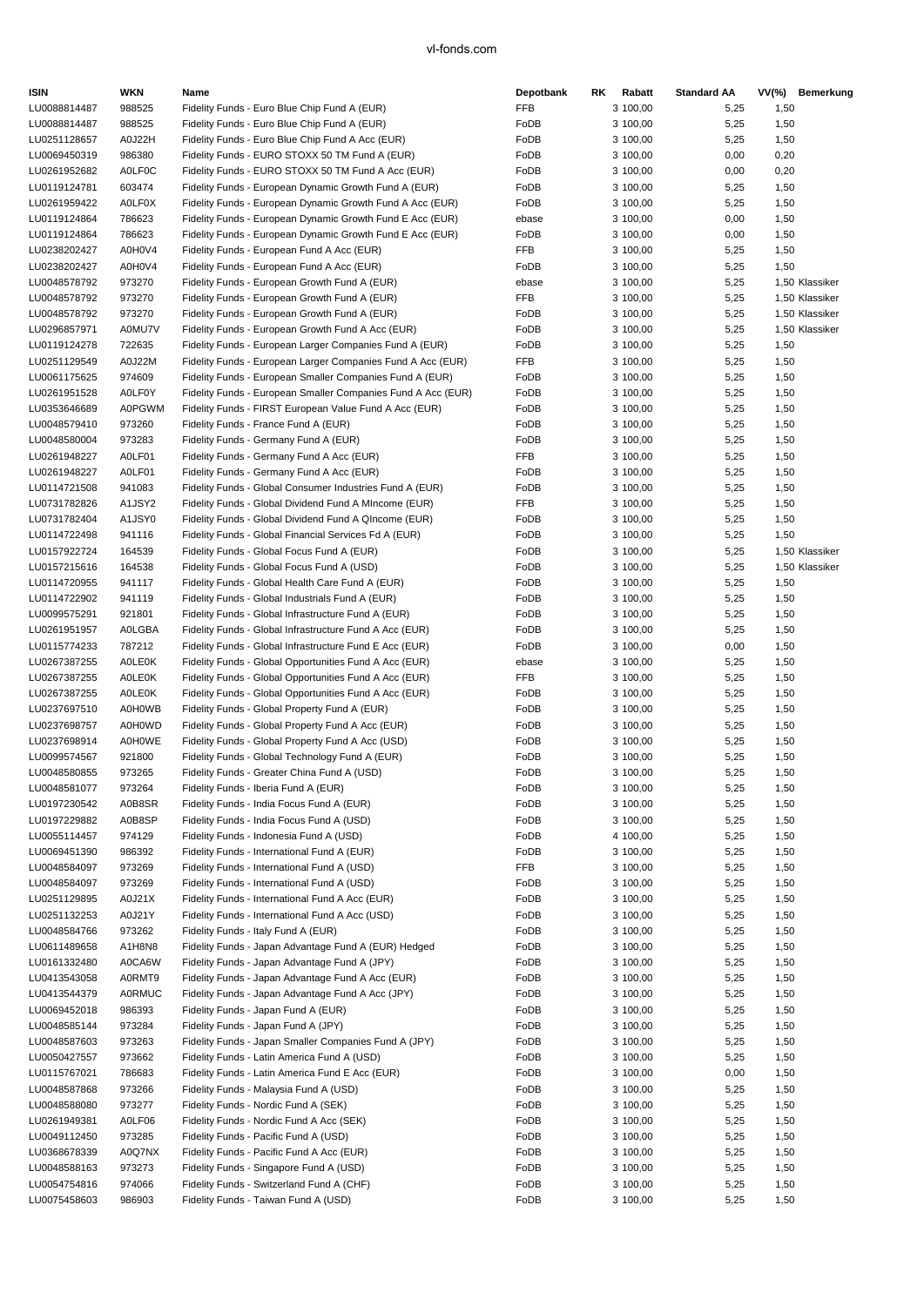| <b>ISIN</b>                  | WKN                     | Name                                                                                                  | Depotbank    | RK | Rabatt               | <b>Standard AA</b> |              | VV(%) Bemerkung |
|------------------------------|-------------------------|-------------------------------------------------------------------------------------------------------|--------------|----|----------------------|--------------------|--------------|-----------------|
| LU0088814487                 | 988525                  | Fidelity Funds - Euro Blue Chip Fund A (EUR)                                                          | FFB          |    | 3 100,00             | 5,25               | 1,50         |                 |
| LU0088814487                 | 988525                  | Fidelity Funds - Euro Blue Chip Fund A (EUR)                                                          | FoDB         |    | 3 100,00             | 5,25               | 1,50         |                 |
| LU0251128657                 | A0J22H                  | Fidelity Funds - Euro Blue Chip Fund A Acc (EUR)                                                      | FoDB         |    | 3 100,00             | 5,25               | 1,50         |                 |
| LU0069450319                 | 986380                  | Fidelity Funds - EURO STOXX 50 TM Fund A (EUR)                                                        | FoDB         |    | 3 100,00             | 0,00               | 0,20         |                 |
| LU0261952682                 | <b>AOLFOC</b>           | Fidelity Funds - EURO STOXX 50 TM Fund A Acc (EUR)                                                    | FoDB         |    | 3 100,00             | 0,00               | 0,20         |                 |
| LU0119124781                 | 603474                  | Fidelity Funds - European Dynamic Growth Fund A (EUR)                                                 | FoDB         |    | 3 100,00             | 5,25               | 1,50         |                 |
| LU0261959422                 | <b>AOLFOX</b>           | Fidelity Funds - European Dynamic Growth Fund A Acc (EUR)                                             | FoDB         |    | 3 100,00             | 5,25               | 1,50         |                 |
| LU0119124864                 | 786623                  | Fidelity Funds - European Dynamic Growth Fund E Acc (EUR)                                             | ebase        |    | 3 100,00             | 0,00               | 1,50         |                 |
| LU0119124864                 | 786623                  | Fidelity Funds - European Dynamic Growth Fund E Acc (EUR)                                             | FoDB         |    | 3 100,00             | 0,00               | 1,50         |                 |
| LU0238202427                 | A0H0V4                  | Fidelity Funds - European Fund A Acc (EUR)                                                            | FFB          |    | 3 100,00             | 5,25               | 1,50         |                 |
| LU0238202427                 | A0H0V4                  | Fidelity Funds - European Fund A Acc (EUR)                                                            | FoDB         |    | 3 100,00             | 5,25               | 1,50         |                 |
| LU0048578792                 | 973270                  | Fidelity Funds - European Growth Fund A (EUR)                                                         | ebase        |    | 3 100,00             | 5,25               |              | 1,50 Klassiker  |
| LU0048578792                 | 973270                  | Fidelity Funds - European Growth Fund A (EUR)                                                         | <b>FFB</b>   |    | 3 100,00             | 5,25               |              | 1,50 Klassiker  |
| LU0048578792                 | 973270                  | Fidelity Funds - European Growth Fund A (EUR)                                                         | FoDB         |    | 3 100,00             | 5,25               |              | 1,50 Klassiker  |
| LU0296857971                 | A0MU7V                  | Fidelity Funds - European Growth Fund A Acc (EUR)                                                     | FoDB         |    | 3 100,00             | 5,25               |              | 1,50 Klassiker  |
| LU0119124278                 | 722635                  | Fidelity Funds - European Larger Companies Fund A (EUR)                                               | FoDB         |    | 3 100,00             | 5,25               | 1,50         |                 |
| LU0251129549                 | A0J22M                  | Fidelity Funds - European Larger Companies Fund A Acc (EUR)                                           | FFB          |    | 3 100,00             | 5,25               | 1,50         |                 |
| LU0061175625                 | 974609                  | Fidelity Funds - European Smaller Companies Fund A (EUR)                                              | FoDB         |    | 3 100,00             | 5,25               | 1,50         |                 |
| LU0261951528                 | A0LF0Y                  | Fidelity Funds - European Smaller Companies Fund A Acc (EUR)                                          | FoDB         |    | 3 100,00             | 5,25               | 1,50         |                 |
| LU0353646689                 | <b>A0PGWM</b>           | Fidelity Funds - FIRST European Value Fund A Acc (EUR)                                                | FoDB         |    | 3 100,00             | 5,25               | 1,50         |                 |
| LU0048579410                 | 973260                  | Fidelity Funds - France Fund A (EUR)                                                                  | FoDB         |    | 3 100,00             | 5,25               | 1,50         |                 |
| LU0048580004                 | 973283                  | Fidelity Funds - Germany Fund A (EUR)                                                                 | FoDB         |    | 3 100,00             | 5,25               | 1,50         |                 |
| LU0261948227                 | A0LF01                  | Fidelity Funds - Germany Fund A Acc (EUR)                                                             | <b>FFB</b>   |    | 3 100,00             | 5,25               | 1,50         |                 |
| LU0261948227                 | A0LF01                  | Fidelity Funds - Germany Fund A Acc (EUR)                                                             | FoDB         |    | 3 100,00             | 5,25               | 1,50         |                 |
| LU0114721508                 | 941083                  | Fidelity Funds - Global Consumer Industries Fund A (EUR)                                              | FoDB         |    | 3 100,00             | 5,25               | 1,50         |                 |
| LU0731782826                 | A1JSY2                  | Fidelity Funds - Global Dividend Fund A MIncome (EUR)                                                 | FFB          |    | 3 100,00             | 5,25               | 1,50         |                 |
| LU0731782404                 | A1JSY0                  | Fidelity Funds - Global Dividend Fund A QIncome (EUR)                                                 | FoDB         |    | 3 100,00             | 5,25               | 1,50         |                 |
| LU0114722498                 | 941116                  | Fidelity Funds - Global Financial Services Fd A (EUR)                                                 | FoDB         |    | 3 100,00             | 5,25               | 1,50         |                 |
| LU0157922724                 | 164539                  | Fidelity Funds - Global Focus Fund A (EUR)                                                            | FoDB         |    | 3 100,00             | 5,25               |              | 1,50 Klassiker  |
| LU0157215616                 | 164538                  | Fidelity Funds - Global Focus Fund A (USD)                                                            | FoDB         |    | 3 100,00             | 5,25               |              | 1,50 Klassiker  |
| LU0114720955                 | 941117                  | Fidelity Funds - Global Health Care Fund A (EUR)                                                      | FoDB         |    | 3 100,00             | 5,25               | 1,50         |                 |
| LU0114722902                 | 941119                  | Fidelity Funds - Global Industrials Fund A (EUR)                                                      | FoDB         |    | 3 100,00             | 5,25               | 1,50         |                 |
| LU0099575291                 | 921801                  | Fidelity Funds - Global Infrastructure Fund A (EUR)                                                   | FoDB         |    | 3 100,00             | 5,25               | 1,50         |                 |
| LU0261951957                 | A0LGBA                  | Fidelity Funds - Global Infrastructure Fund A Acc (EUR)                                               | FoDB         |    | 3 100,00             | 5,25               | 1,50         |                 |
| LU0115774233                 | 787212                  | Fidelity Funds - Global Infrastructure Fund E Acc (EUR)                                               | FoDB         |    | 3 100,00             | 0,00               | 1,50         |                 |
| LU0267387255                 | <b>AOLEOK</b>           | Fidelity Funds - Global Opportunities Fund A Acc (EUR)                                                | ebase        |    | 3 100,00             | 5,25               | 1,50         |                 |
| LU0267387255                 | <b>AOLEOK</b>           | Fidelity Funds - Global Opportunities Fund A Acc (EUR)                                                | FFB          |    | 3 100,00             | 5,25               | 1,50         |                 |
| LU0267387255                 | <b>AOLEOK</b>           | Fidelity Funds - Global Opportunities Fund A Acc (EUR)                                                | FoDB         |    | 3 100,00             | 5,25               | 1,50         |                 |
| LU0237697510                 | <b>A0H0WB</b>           | Fidelity Funds - Global Property Fund A (EUR)                                                         | FoDB         |    | 3 100,00             | 5,25               | 1,50         |                 |
| LU0237698757                 | A0H0WD                  | Fidelity Funds - Global Property Fund A Acc (EUR)                                                     | FoDB         |    | 3 100,00             | 5,25               | 1,50         |                 |
| LU0237698914                 | <b>A0H0WE</b>           | Fidelity Funds - Global Property Fund A Acc (USD)                                                     | FoDB         |    | 3 100,00             | 5,25               | 1,50         |                 |
| LU0099574567                 | 921800                  | Fidelity Funds - Global Technology Fund A (EUR)                                                       | FoDB         |    | 3 100,00             | 5,25               | 1,50         |                 |
| LU0048580855                 | 973265                  | Fidelity Funds - Greater China Fund A (USD)                                                           | FoDB         |    | 3 100,00             | 5,25               | 1,50         |                 |
| LU0048581077                 | 973264                  | Fidelity Funds - Iberia Fund A (EUR)                                                                  | FoDB         |    | 3 100,00             | 5,25               | 1,50         |                 |
| LU0197230542                 | A0B8SR                  | Fidelity Funds - India Focus Fund A (EUR)                                                             | FoDB         |    | 3 100,00             | 5,25               | 1,50         |                 |
| LU0197229882                 | A0B8SP                  | Fidelity Funds - India Focus Fund A (USD)                                                             | FoDB         |    | 3 100,00             | 5,25               | 1,50         |                 |
| LU0055114457                 | 974129                  | Fidelity Funds - Indonesia Fund A (USD)                                                               | FoDB         |    | 4 100,00             | 5,25               | 1,50         |                 |
| LU0069451390                 | 986392                  | Fidelity Funds - International Fund A (EUR)                                                           | FoDB         |    | 3 100,00             | 5,25               | 1,50         |                 |
| LU0048584097                 | 973269                  | Fidelity Funds - International Fund A (USD)                                                           | FFB          |    | 3 100,00             | 5,25               | 1,50         |                 |
| LU0048584097                 | 973269                  | Fidelity Funds - International Fund A (USD)                                                           | FoDB         |    | 3 100,00             | 5,25               | 1,50         |                 |
| LU0251129895                 | A0J21X                  | Fidelity Funds - International Fund A Acc (EUR)                                                       | FoDB         |    | 3 100,00<br>3 100,00 | 5,25               | 1,50         |                 |
| LU0251132253<br>LU0048584766 | A0J21Y                  | Fidelity Funds - International Fund A Acc (USD)                                                       | FoDB<br>FoDB |    |                      | 5,25               | 1,50         |                 |
|                              | 973262                  | Fidelity Funds - Italy Fund A (EUR)                                                                   |              |    | 3 100,00             | 5,25               | 1,50         |                 |
| LU0611489658<br>LU0161332480 | A1H8N8<br>A0CA6W        | Fidelity Funds - Japan Advantage Fund A (EUR) Hedged<br>Fidelity Funds - Japan Advantage Fund A (JPY) | FoDB<br>FoDB |    | 3 100,00             | 5,25               | 1,50         |                 |
|                              |                         | Fidelity Funds - Japan Advantage Fund A Acc (EUR)                                                     | FoDB         |    | 3 100,00             | 5,25               | 1,50         |                 |
| LU0413543058                 | A0RMT9                  |                                                                                                       |              |    | 3 100,00             | 5,25               | 1,50         |                 |
| LU0413544379<br>LU0069452018 | <b>A0RMUC</b><br>986393 | Fidelity Funds - Japan Advantage Fund A Acc (JPY)<br>Fidelity Funds - Japan Fund A (EUR)              | FoDB<br>FoDB |    | 3 100,00             | 5,25<br>5,25       | 1,50         |                 |
| LU0048585144                 | 973284                  | Fidelity Funds - Japan Fund A (JPY)                                                                   | FoDB         |    | 3 100,00<br>3 100,00 | 5,25               | 1,50<br>1,50 |                 |
| LU0048587603                 | 973263                  | Fidelity Funds - Japan Smaller Companies Fund A (JPY)                                                 | FoDB         |    | 3 100,00             | 5,25               | 1,50         |                 |
| LU0050427557                 | 973662                  | Fidelity Funds - Latin America Fund A (USD)                                                           | FoDB         |    | 3 100,00             | 5,25               | 1,50         |                 |
|                              |                         |                                                                                                       |              |    |                      |                    |              |                 |
| LU0115767021<br>LU0048587868 | 786683<br>973266        | Fidelity Funds - Latin America Fund E Acc (EUR)<br>Fidelity Funds - Malaysia Fund A (USD)             | FoDB<br>FoDB |    | 3 100,00<br>3 100,00 | 0,00               | 1,50<br>1,50 |                 |
| LU0048588080                 | 973277                  | Fidelity Funds - Nordic Fund A (SEK)                                                                  | FoDB         |    | 3 100,00             | 5,25<br>5,25       | 1,50         |                 |
| LU0261949381                 | A0LF06                  | Fidelity Funds - Nordic Fund A Acc (SEK)                                                              | FoDB         |    | 3 100,00             | 5,25               | 1,50         |                 |
| LU0049112450                 | 973285                  | Fidelity Funds - Pacific Fund A (USD)                                                                 | FoDB         |    | 3 100,00             | 5,25               | 1,50         |                 |
| LU0368678339                 | A0Q7NX                  | Fidelity Funds - Pacific Fund A Acc (EUR)                                                             | FoDB         |    | 3 100,00             | 5,25               | 1,50         |                 |
| LU0048588163                 | 973273                  | Fidelity Funds - Singapore Fund A (USD)                                                               | FoDB         |    | 3 100,00             | 5,25               | 1,50         |                 |
| LU0054754816                 | 974066                  | Fidelity Funds - Switzerland Fund A (CHF)                                                             | FoDB         |    | 3 100,00             | 5,25               | 1,50         |                 |
| LU0075458603                 | 986903                  | Fidelity Funds - Taiwan Fund A (USD)                                                                  | FoDB         |    | 3 100,00             | 5,25               | 1,50         |                 |
|                              |                         |                                                                                                       |              |    |                      |                    |              |                 |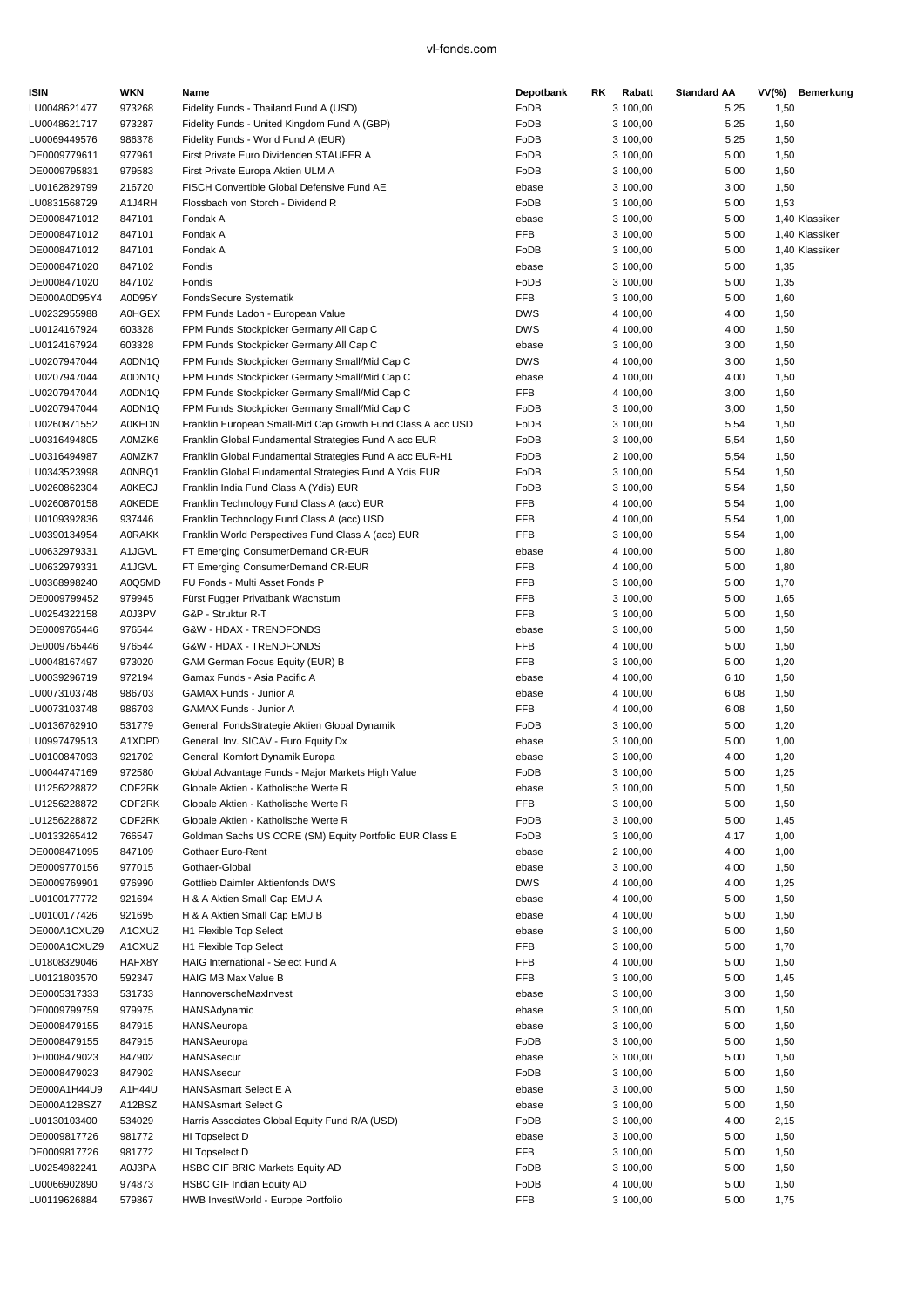| <b>ISIN</b>                  | <b>WKN</b>       | Name                                                                                           | Depotbank           | RK. | Rabatt               | <b>Standard AA</b> | $VV(\%)$     | Bemerkung      |
|------------------------------|------------------|------------------------------------------------------------------------------------------------|---------------------|-----|----------------------|--------------------|--------------|----------------|
| LU0048621477                 | 973268           | Fidelity Funds - Thailand Fund A (USD)                                                         | FoDB                |     | 3 100,00             | 5,25               | 1,50         |                |
| LU0048621717                 | 973287           | Fidelity Funds - United Kingdom Fund A (GBP)                                                   | FoDB                |     | 3 100,00             | 5,25               | 1,50         |                |
| LU0069449576                 | 986378           | Fidelity Funds - World Fund A (EUR)                                                            | FoDB                |     | 3 100,00             | 5,25               | 1,50         |                |
| DE0009779611                 | 977961           | First Private Euro Dividenden STAUFER A                                                        | FoDB                |     | 3 100,00             | 5,00               | 1,50         |                |
| DE0009795831                 | 979583           | First Private Europa Aktien ULM A                                                              | FoDB                |     | 3 100,00             | 5,00               | 1,50         |                |
| LU0162829799                 | 216720           | FISCH Convertible Global Defensive Fund AE                                                     | ebase               |     | 3 100,00             | 3,00               | 1,50         |                |
| LU0831568729                 | A1J4RH           | Flossbach von Storch - Dividend R                                                              | FoDB                |     | 3 100,00             | 5,00               | 1,53         |                |
| DE0008471012                 | 847101           | Fondak A                                                                                       | ebase               |     | 3 100,00             | 5,00               |              | 1,40 Klassiker |
| DE0008471012                 | 847101           | Fondak A                                                                                       | <b>FFB</b>          |     | 3 100,00             | 5,00               |              | 1.40 Klassiker |
| DE0008471012                 | 847101           | Fondak A                                                                                       | FoDB                |     | 3 100,00             | 5,00               |              | 1,40 Klassiker |
| DE0008471020                 | 847102           | Fondis                                                                                         | ebase               |     | 3 100,00             | 5,00               | 1,35         |                |
| DE0008471020                 | 847102           | Fondis                                                                                         | FoDB                |     | 3 100,00             | 5,00               | 1,35         |                |
| DE000A0D95Y4                 | A0D95Y           | FondsSecure Systematik                                                                         | <b>FFB</b>          |     | 3 100,00             | 5,00               | 1,60         |                |
| LU0232955988                 | <b>A0HGEX</b>    | FPM Funds Ladon - European Value                                                               | <b>DWS</b>          |     | 4 100,00             | 4,00               | 1,50         |                |
| LU0124167924                 | 603328           | FPM Funds Stockpicker Germany All Cap C                                                        | <b>DWS</b>          |     | 4 100,00             | 4,00               | 1,50         |                |
| LU0124167924                 | 603328           | FPM Funds Stockpicker Germany All Cap C                                                        | ebase               |     | 3 100,00             | 3,00               | 1,50         |                |
| LU0207947044<br>LU0207947044 | A0DN1Q           | FPM Funds Stockpicker Germany Small/Mid Cap C                                                  | <b>DWS</b>          |     | 4 100,00             | 3,00               | 1,50         |                |
| LU0207947044                 | A0DN1Q<br>A0DN1Q | FPM Funds Stockpicker Germany Small/Mid Cap C<br>FPM Funds Stockpicker Germany Small/Mid Cap C | ebase<br><b>FFB</b> |     | 4 100,00             | 4,00<br>3,00       | 1,50<br>1,50 |                |
| LU0207947044                 | A0DN1Q           | FPM Funds Stockpicker Germany Small/Mid Cap C                                                  | FoDB                |     | 4 100,00<br>3 100,00 | 3,00               | 1,50         |                |
| LU0260871552                 | <b>A0KEDN</b>    | Franklin European Small-Mid Cap Growth Fund Class A acc USD                                    | FoDB                |     | 3 100,00             | 5,54               | 1,50         |                |
| LU0316494805                 | A0MZK6           | Franklin Global Fundamental Strategies Fund A acc EUR                                          | FoDB                |     | 3 100,00             | 5,54               | 1,50         |                |
| LU0316494987                 | A0MZK7           | Franklin Global Fundamental Strategies Fund A acc EUR-H1                                       | FoDB                |     | 2 100,00             | 5,54               | 1,50         |                |
| LU0343523998                 | A0NBQ1           | Franklin Global Fundamental Strategies Fund A Ydis EUR                                         | FoDB                |     | 3 100,00             | 5,54               | 1,50         |                |
| LU0260862304                 | <b>A0KECJ</b>    | Franklin India Fund Class A (Ydis) EUR                                                         | FoDB                |     | 3 100,00             | 5,54               | 1,50         |                |
| LU0260870158                 | <b>A0KEDE</b>    | Franklin Technology Fund Class A (acc) EUR                                                     | <b>FFB</b>          |     | 4 100,00             | 5,54               | 1,00         |                |
| LU0109392836                 | 937446           | Franklin Technology Fund Class A (acc) USD                                                     | FFB                 |     | 4 100,00             | 5,54               | 1,00         |                |
| LU0390134954                 | <b>A0RAKK</b>    | Franklin World Perspectives Fund Class A (acc) EUR                                             | <b>FFB</b>          |     | 3 100,00             | 5,54               | 1,00         |                |
| LU0632979331                 | A1JGVL           | FT Emerging ConsumerDemand CR-EUR                                                              | ebase               |     | 4 100,00             | 5,00               | 1,80         |                |
| LU0632979331                 | A1JGVL           | FT Emerging ConsumerDemand CR-EUR                                                              | <b>FFB</b>          |     | 4 100,00             | 5,00               | 1,80         |                |
| LU0368998240                 | A0Q5MD           | FU Fonds - Multi Asset Fonds P                                                                 | <b>FFB</b>          |     | 3 100,00             | 5,00               | 1,70         |                |
| DE0009799452                 | 979945           | Fürst Fugger Privatbank Wachstum                                                               | <b>FFB</b>          |     | 3 100,00             | 5,00               | 1,65         |                |
| LU0254322158                 | A0J3PV           | G&P - Struktur R-T                                                                             | <b>FFB</b>          |     | 3 100,00             | 5,00               | 1,50         |                |
| DE0009765446                 | 976544           | G&W - HDAX - TRENDFONDS                                                                        | ebase               |     | 3 100,00             | 5,00               | 1,50         |                |
| DE0009765446                 | 976544           | G&W - HDAX - TRENDFONDS                                                                        | FFB                 |     | 4 100,00             | 5,00               | 1,50         |                |
| LU0048167497                 | 973020           | GAM German Focus Equity (EUR) B                                                                | <b>FFB</b>          |     | 3 100,00             | 5,00               | 1,20         |                |
| LU0039296719                 | 972194           | Gamax Funds - Asia Pacific A                                                                   | ebase               |     | 4 100,00             | 6, 10              | 1,50         |                |
| LU0073103748                 | 986703           | <b>GAMAX Funds - Junior A</b>                                                                  | ebase               |     | 4 100,00             | 6,08               | 1,50         |                |
| LU0073103748                 | 986703           | GAMAX Funds - Junior A                                                                         | FFB                 |     | 4 100,00             | 6,08               | 1,50         |                |
| LU0136762910                 | 531779           | Generali FondsStrategie Aktien Global Dynamik                                                  | FoDB                |     | 3 100,00             | 5,00               | 1,20         |                |
| LU0997479513                 | A1XDPD           | Generali Inv. SICAV - Euro Equity Dx                                                           | ebase               |     | 3 100,00             | 5,00               | 1,00         |                |
| LU0100847093                 | 921702           | Generali Komfort Dynamik Europa                                                                | ebase               |     | 3 100,00             | 4,00               | 1,20         |                |
| LU0044747169                 | 972580           | Global Advantage Funds - Major Markets High Value                                              | FoDB                |     | 3 100,00             | 5,00               | 1,25         |                |
| LU1256228872                 | CDF2RK           | Globale Aktien - Katholische Werte R                                                           | ebase               |     | 3 100,00             | 5,00               | 1,50         |                |
| LU1256228872                 | CDF2RK           | Globale Aktien - Katholische Werte R                                                           | FFB                 |     | 3 100,00             | 5,00               | 1,50         |                |
| LU1256228872                 | CDF2RK           | Globale Aktien - Katholische Werte R                                                           | FoDB                |     | 3 100,00             | 5,00               | 1,45         |                |
| LU0133265412                 | 766547           | Goldman Sachs US CORE (SM) Equity Portfolio EUR Class E                                        | FoDB                |     | 3 100,00             | 4,17               | 1,00         |                |
| DE0008471095                 | 847109           | Gothaer Euro-Rent                                                                              | ebase               |     | 2 100,00             | 4,00               | 1,00         |                |
| DE0009770156                 | 977015           | Gothaer-Global                                                                                 | ebase               |     | 3 100,00             | 4,00               | 1,50         |                |
| DE0009769901                 | 976990           | Gottlieb Daimler Aktienfonds DWS                                                               | <b>DWS</b>          |     | 4 100,00             | 4,00               | 1,25         |                |
| LU0100177772                 | 921694           | H & A Aktien Small Cap EMU A                                                                   | ebase               |     | 4 100,00             | 5,00               | 1,50         |                |
| LU0100177426                 | 921695           | H & A Aktien Small Cap EMU B                                                                   | ebase               |     | 4 100,00             | 5,00               | 1,50         |                |
| DE000A1CXUZ9                 | A1CXUZ           | H1 Flexible Top Select                                                                         | ebase               |     | 3 100,00             | 5,00               | 1,50         |                |
| DE000A1CXUZ9                 | A1CXUZ           | H1 Flexible Top Select                                                                         | <b>FFB</b>          |     | 3 100,00             | 5,00               | 1,70         |                |
| LU1808329046                 | HAFX8Y           | HAIG International - Select Fund A                                                             | FFB                 |     | 4 100,00             | 5,00               | 1,50         |                |
| LU0121803570                 | 592347           | HAIG MB Max Value B                                                                            | FFB                 |     | 3 100,00             | 5,00               | 1,45         |                |
| DE0005317333                 | 531733           | HannoverscheMaxInvest                                                                          | ebase               |     | 3 100,00             | 3,00               | 1,50         |                |
| DE0009799759                 | 979975           | HANSAdynamic                                                                                   | ebase               |     | 3 100,00             | 5,00               | 1,50         |                |
| DE0008479155                 | 847915           | HANSAeuropa                                                                                    | ebase               |     | 3 100,00             | 5,00               | 1,50         |                |
| DE0008479155                 | 847915           | HANSAeuropa                                                                                    | FoDB                |     | 3 100,00             | 5,00               | 1,50         |                |
| DE0008479023                 | 847902           | HANSAsecur                                                                                     | ebase               |     | 3 100,00             | 5,00               | 1,50         |                |
| DE0008479023                 | 847902           | HANSAsecur                                                                                     | FoDB                |     | 3 100,00             | 5,00               | 1,50         |                |
| DE000A1H44U9<br>DE000A12BSZ7 | A1H44U           | <b>HANSAsmart Select E A</b><br><b>HANSAsmart Select G</b>                                     | ebase               |     | 3 100,00             | 5,00<br>5,00       | 1,50         |                |
| LU0130103400                 | A12BSZ<br>534029 |                                                                                                | ebase<br>FoDB       |     | 3 100,00<br>3 100,00 |                    | 1,50         |                |
| DE0009817726                 | 981772           | Harris Associates Global Equity Fund R/A (USD)<br>HI Topselect D                               | ebase               |     | 3 100,00             | 4,00<br>5,00       | 2,15<br>1,50 |                |
| DE0009817726                 | 981772           | HI Topselect D                                                                                 | FFB                 |     | 3 100,00             | 5,00               | 1,50         |                |
| LU0254982241                 | A0J3PA           | <b>HSBC GIF BRIC Markets Equity AD</b>                                                         | FoDB                |     | 3 100,00             | 5,00               | 1,50         |                |
| LU0066902890                 | 974873           | HSBC GIF Indian Equity AD                                                                      | FoDB                |     | 4 100,00             | 5,00               | 1,50         |                |
| LU0119626884                 | 579867           | HWB InvestWorld - Europe Portfolio                                                             | <b>FFB</b>          |     | 3 100,00             | 5,00               | 1,75         |                |
|                              |                  |                                                                                                |                     |     |                      |                    |              |                |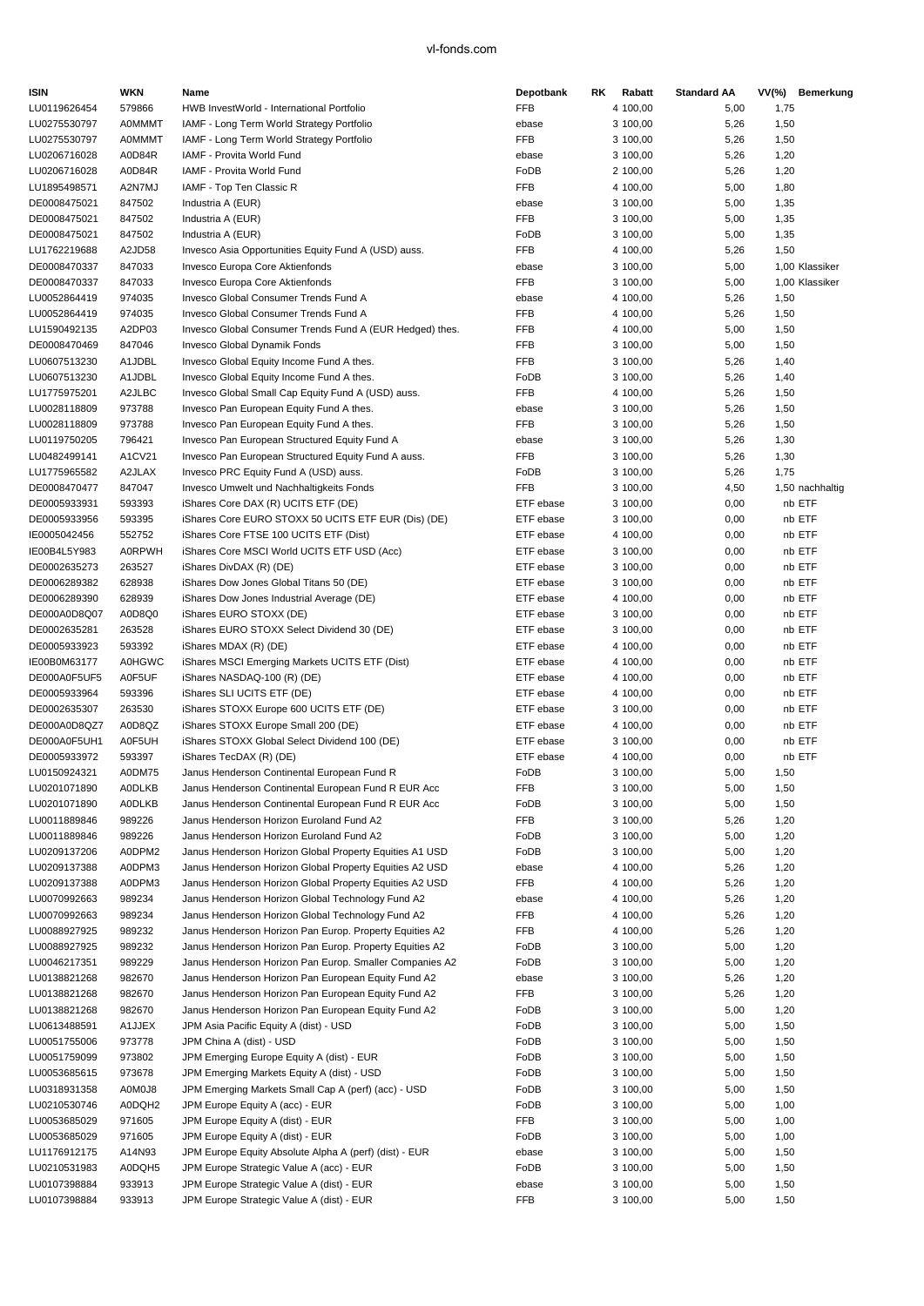| <b>ISIN</b>                  | <b>WKN</b>       | Name                                                                                                               | Depotbank              | RK. | Rabatt               | <b>Standard AA</b> |              | VV(%) Bemerkung  |
|------------------------------|------------------|--------------------------------------------------------------------------------------------------------------------|------------------------|-----|----------------------|--------------------|--------------|------------------|
| LU0119626454                 | 579866           | HWB InvestWorld - International Portfolio                                                                          | <b>FFB</b>             |     | 4 100.00             | 5,00               | 1,75         |                  |
| LU0275530797                 | <b>A0MMMT</b>    | IAMF - Long Term World Strategy Portfolio                                                                          | ebase                  |     | 3 100,00             | 5,26               | 1,50         |                  |
| LU0275530797                 | <b>A0MMMT</b>    | IAMF - Long Term World Strategy Portfolio                                                                          | <b>FFB</b>             |     | 3 100,00             | 5,26               | 1,50         |                  |
| LU0206716028                 | A0D84R           | IAMF - Provita World Fund                                                                                          | ebase                  |     | 3 100,00             | 5,26               | 1,20         |                  |
| LU0206716028                 | A0D84R           | IAMF - Provita World Fund                                                                                          | FoDB                   |     | 2 100,00             | 5,26               | 1,20         |                  |
| LU1895498571                 | A2N7MJ           | IAMF - Top Ten Classic R                                                                                           | <b>FFB</b>             |     | 4 100,00             | 5,00               | 1,80         |                  |
| DE0008475021                 | 847502           | Industria A (EUR)                                                                                                  | ebase                  |     | 3 100,00             | 5,00               | 1,35         |                  |
| DE0008475021                 | 847502           | Industria A (EUR)                                                                                                  | <b>FFB</b>             |     | 3 100,00             | 5,00               | 1,35         |                  |
| DE0008475021                 | 847502           | Industria A (EUR)                                                                                                  | FoDB<br><b>FFB</b>     |     | 3 100,00             | 5,00               | 1,35         |                  |
| LU1762219688<br>DE0008470337 | A2JD58<br>847033 | Invesco Asia Opportunities Equity Fund A (USD) auss.<br>Invesco Europa Core Aktienfonds                            | ebase                  |     | 4 100,00<br>3 100,00 | 5,26<br>5,00       | 1,50         | 1,00 Klassiker   |
| DE0008470337                 | 847033           | Invesco Europa Core Aktienfonds                                                                                    | <b>FFB</b>             |     | 3 100,00             | 5,00               |              | 1,00 Klassiker   |
| LU0052864419                 | 974035           | Invesco Global Consumer Trends Fund A                                                                              | ebase                  |     | 4 100,00             | 5,26               | 1,50         |                  |
| LU0052864419                 | 974035           | Invesco Global Consumer Trends Fund A                                                                              | FFB                    |     | 4 100,00             | 5,26               | 1,50         |                  |
| LU1590492135                 | A2DP03           | Invesco Global Consumer Trends Fund A (EUR Hedged) thes.                                                           | FFB                    |     | 4 100,00             | 5,00               | 1,50         |                  |
| DE0008470469                 | 847046           | Invesco Global Dynamik Fonds                                                                                       | <b>FFB</b>             |     | 3 100,00             | 5,00               | 1,50         |                  |
| LU0607513230                 | A1JDBL           | Invesco Global Equity Income Fund A thes.                                                                          | <b>FFB</b>             |     | 3 100,00             | 5,26               | 1,40         |                  |
| LU0607513230                 | A1JDBL           | Invesco Global Equity Income Fund A thes.                                                                          | FoDB                   |     | 3 100,00             | 5,26               | 1,40         |                  |
| LU1775975201                 | A2JLBC           | Invesco Global Small Cap Equity Fund A (USD) auss.                                                                 | FFB                    |     | 4 100,00             | 5,26               | 1,50         |                  |
| LU0028118809                 | 973788           | Invesco Pan European Equity Fund A thes.                                                                           | ebase                  |     | 3 100,00             | 5,26               | 1,50         |                  |
| LU0028118809                 | 973788           | Invesco Pan European Equity Fund A thes.                                                                           | <b>FFB</b>             |     | 3 100,00             | 5,26               | 1,50         |                  |
| LU0119750205                 | 796421           | Invesco Pan European Structured Equity Fund A                                                                      | ebase                  |     | 3 100,00             | 5,26               | 1,30         |                  |
| LU0482499141                 | A1CV21           | Invesco Pan European Structured Equity Fund A auss.                                                                | <b>FFB</b>             |     | 3 100,00             | 5,26               | 1,30         |                  |
| LU1775965582                 | A2JLAX           | Invesco PRC Equity Fund A (USD) auss.                                                                              | FoDB                   |     | 3 100,00             | 5,26               | 1,75         |                  |
| DE0008470477                 | 847047           | Invesco Umwelt und Nachhaltigkeits Fonds                                                                           | FFB                    |     | 3 100,00             | 4,50               |              | 1,50 nachhaltig  |
| DE0005933931                 | 593393           | iShares Core DAX (R) UCITS ETF (DE)                                                                                | ETF ebase              |     | 3 100,00             | 0,00               |              | nb ETF           |
| DE0005933956                 | 593395           | iShares Core EURO STOXX 50 UCITS ETF EUR (Dis) (DE)                                                                | ETF ebase              |     | 3 100,00             | 0,00               |              | nb ETF           |
| IE0005042456                 | 552752           | iShares Core FTSE 100 UCITS ETF (Dist)                                                                             | ETF ebase              |     | 4 100,00             | 0,00               |              | nb ETF           |
| IE00B4L5Y983                 | <b>A0RPWH</b>    | iShares Core MSCI World UCITS ETF USD (Acc)                                                                        | ETF ebase              |     | 3 100,00             | 0,00               |              | nb ETF           |
| DE0002635273<br>DE0006289382 | 263527<br>628938 | iShares DivDAX (R) (DE)<br>iShares Dow Jones Global Titans 50 (DE)                                                 | ETF ebase<br>ETF ebase |     | 3 100,00<br>3 100,00 | 0,00<br>0,00       |              | nb ETF<br>nb ETF |
| DE0006289390                 | 628939           | iShares Dow Jones Industrial Average (DE)                                                                          | ETF ebase              |     | 4 100,00             | 0,00               |              | nb ETF           |
| DE000A0D8Q07                 | A0D8Q0           | iShares EURO STOXX (DE)                                                                                            | ETF ebase              |     | 3 100,00             | 0,00               |              | nb ETF           |
| DE0002635281                 | 263528           | iShares EURO STOXX Select Dividend 30 (DE)                                                                         | ETF ebase              |     | 3 100,00             | 0,00               |              | nb ETF           |
| DE0005933923                 | 593392           | iShares MDAX (R) (DE)                                                                                              | ETF ebase              |     | 4 100,00             | 0,00               |              | nb ETF           |
| IE00B0M63177                 | <b>A0HGWC</b>    | iShares MSCI Emerging Markets UCITS ETF (Dist)                                                                     | ETF ebase              |     | 4 100,00             | 0,00               |              | nb ETF           |
| DE000A0F5UF5                 | A0F5UF           | iShares NASDAQ-100 (R) (DE)                                                                                        | ETF ebase              |     | 4 100,00             | 0,00               |              | nb ETF           |
| DE0005933964                 | 593396           | iShares SLI UCITS ETF (DE)                                                                                         | ETF ebase              |     | 4 100,00             | 0,00               |              | nb ETF           |
| DE0002635307                 | 263530           | iShares STOXX Europe 600 UCITS ETF (DE)                                                                            | ETF ebase              |     | 3 100,00             | 0,00               |              | nb ETF           |
| DE000A0D8QZ7                 | A0D8QZ           | iShares STOXX Europe Small 200 (DE)                                                                                | ETF ebase              |     | 4 100,00             | 0,00               |              | nb ETF           |
| DE000A0F5UH1                 | A0F5UH           | iShares STOXX Global Select Dividend 100 (DE)                                                                      | ETF ebase              |     | 3 100,00             | 0,00               |              | nb ETF           |
| DE0005933972                 | 593397           | iShares TecDAX (R) (DE)                                                                                            | ETF ebase              |     | 4 100,00             | 0,00               |              | nb ETF           |
| LU0150924321                 | A0DM75           | Janus Henderson Continental European Fund R                                                                        | FoDB                   |     | 3 100,00             | 5,00               | 1,50         |                  |
| LU0201071890                 | <b>AODLKB</b>    | Janus Henderson Continental European Fund R EUR Acc                                                                | FFB                    |     | 3 100,00             | 5,00               | 1,50         |                  |
| LU0201071890                 | <b>A0DLKB</b>    | Janus Henderson Continental European Fund R EUR Acc                                                                | FoDB                   |     | 3 100,00             | 5,00               | 1,50         |                  |
| LU0011889846                 | 989226           | Janus Henderson Horizon Euroland Fund A2                                                                           | FFB                    |     | 3 100,00             | 5,26               | 1,20         |                  |
| LU0011889846                 | 989226           | Janus Henderson Horizon Euroland Fund A2                                                                           | FoDB                   |     | 3 100,00             | 5,00               | 1,20         |                  |
| LU0209137206<br>LU0209137388 | A0DPM2<br>A0DPM3 | Janus Henderson Horizon Global Property Equities A1 USD<br>Janus Henderson Horizon Global Property Equities A2 USD | FoDB                   |     | 3 100,00             | 5,00               | 1,20         |                  |
| LU0209137388                 | A0DPM3           | Janus Henderson Horizon Global Property Equities A2 USD                                                            | ebase<br>FFB           |     | 4 100,00<br>4 100,00 | 5,26<br>5,26       | 1,20<br>1,20 |                  |
| LU0070992663                 | 989234           | Janus Henderson Horizon Global Technology Fund A2                                                                  | ebase                  |     | 4 100,00             | 5,26               | 1,20         |                  |
| LU0070992663                 | 989234           | Janus Henderson Horizon Global Technology Fund A2                                                                  | FFB                    |     | 4 100,00             | 5,26               | 1,20         |                  |
| LU0088927925                 | 989232           | Janus Henderson Horizon Pan Europ. Property Equities A2                                                            | FFB                    |     | 4 100,00             | 5,26               | 1,20         |                  |
| LU0088927925                 | 989232           | Janus Henderson Horizon Pan Europ. Property Equities A2                                                            | FoDB                   |     | 3 100,00             | 5,00               | 1,20         |                  |
| LU0046217351                 | 989229           | Janus Henderson Horizon Pan Europ. Smaller Companies A2                                                            | FoDB                   |     | 3 100,00             | 5,00               | 1,20         |                  |
| LU0138821268                 | 982670           | Janus Henderson Horizon Pan European Equity Fund A2                                                                | ebase                  |     | 3 100,00             | 5,26               | 1,20         |                  |
| LU0138821268                 | 982670           | Janus Henderson Horizon Pan European Equity Fund A2                                                                | FFB                    |     | 3 100,00             | 5,26               | 1,20         |                  |
| LU0138821268                 | 982670           | Janus Henderson Horizon Pan European Equity Fund A2                                                                | FoDB                   |     | 3 100,00             | 5,00               | 1,20         |                  |
| LU0613488591                 | A1JJEX           | JPM Asia Pacific Equity A (dist) - USD                                                                             | FoDB                   |     | 3 100,00             | 5,00               | 1,50         |                  |
| LU0051755006                 | 973778           | JPM China A (dist) - USD                                                                                           | FoDB                   |     | 3 100,00             | 5,00               | 1,50         |                  |
| LU0051759099                 | 973802           | JPM Emerging Europe Equity A (dist) - EUR                                                                          | FoDB                   |     | 3 100,00             | 5,00               | 1,50         |                  |
| LU0053685615                 | 973678           | JPM Emerging Markets Equity A (dist) - USD                                                                         | FoDB                   |     | 3 100,00             | 5,00               | 1,50         |                  |
| LU0318931358                 | A0M0J8           | JPM Emerging Markets Small Cap A (perf) (acc) - USD                                                                | FoDB                   |     | 3 100,00             | 5,00               | 1,50         |                  |
| LU0210530746                 | A0DQH2           | JPM Europe Equity A (acc) - EUR                                                                                    | FoDB                   |     | 3 100,00             | 5,00               | 1,00         |                  |
| LU0053685029                 | 971605           | JPM Europe Equity A (dist) - EUR                                                                                   | FFB                    |     | 3 100,00             | 5,00               | 1,00         |                  |
| LU0053685029                 | 971605           | JPM Europe Equity A (dist) - EUR                                                                                   | FoDB                   |     | 3 100,00             | 5,00               | 1,00         |                  |
| LU1176912175                 | A14N93           | JPM Europe Equity Absolute Alpha A (perf) (dist) - EUR                                                             | ebase                  |     | 3 100,00             | 5,00               | 1,50         |                  |
| LU0210531983                 | A0DQH5           | JPM Europe Strategic Value A (acc) - EUR                                                                           | FoDB                   |     | 3 100,00             | 5,00               | 1,50         |                  |
| LU0107398884                 | 933913           | JPM Europe Strategic Value A (dist) - EUR                                                                          | ebase                  |     | 3 100,00             | 5,00               | 1,50         |                  |
| LU0107398884                 | 933913           | JPM Europe Strategic Value A (dist) - EUR                                                                          | FFB                    |     | 3 100,00             | 5,00               | 1,50         |                  |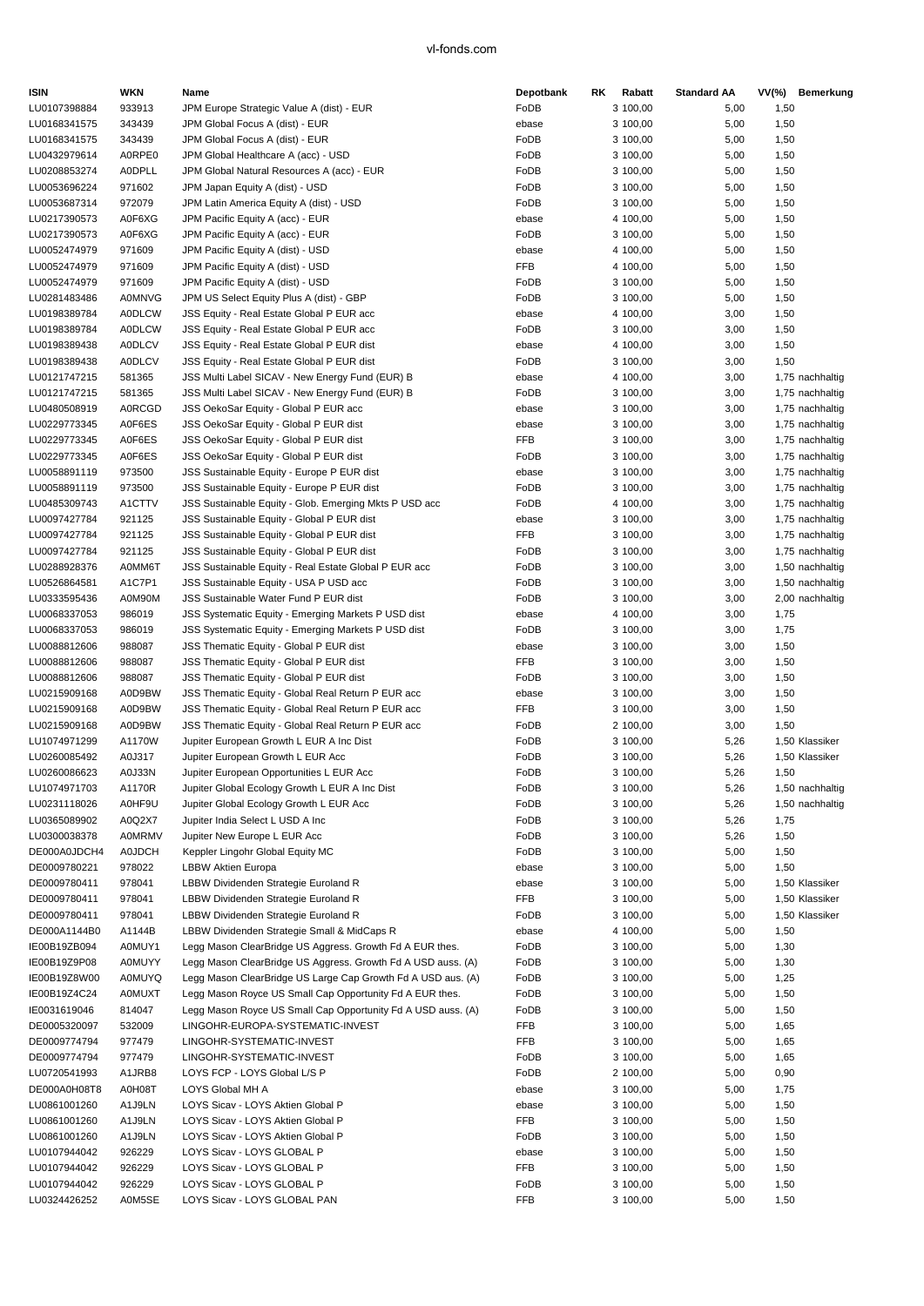| <b>ISIN</b>                  | WKN                            | Name                                                                   | Depotbank     | RK. | Rabatt               | <b>Standard AA</b> |              | VV(%) Bemerkung |
|------------------------------|--------------------------------|------------------------------------------------------------------------|---------------|-----|----------------------|--------------------|--------------|-----------------|
| LU0107398884                 | 933913                         | JPM Europe Strategic Value A (dist) - EUR                              | FoDB          |     | 3 100,00             | 5,00               | 1,50         |                 |
| LU0168341575                 | 343439                         | JPM Global Focus A (dist) - EUR                                        | ebase         |     | 3 100,00             | 5,00               | 1,50         |                 |
| LU0168341575                 | 343439                         | JPM Global Focus A (dist) - EUR                                        | FoDB          |     | 3 100,00             | 5,00               | 1,50         |                 |
| LU0432979614                 | A0RPE0                         | JPM Global Healthcare A (acc) - USD                                    | FoDB          |     | 3 100,00             | 5,00               | 1,50         |                 |
| LU0208853274                 | <b>AODPLL</b>                  | JPM Global Natural Resources A (acc) - EUR                             | FoDB          |     | 3 100,00             | 5,00               | 1,50         |                 |
| LU0053696224                 | 971602                         | JPM Japan Equity A (dist) - USD                                        | FoDB          |     | 3 100,00             | 5,00               | 1,50         |                 |
| LU0053687314                 | 972079                         | JPM Latin America Equity A (dist) - USD                                | FoDB          |     | 3 100,00             | 5,00               | 1,50         |                 |
| LU0217390573                 | A0F6XG                         | JPM Pacific Equity A (acc) - EUR                                       | ebase         |     | 4 100,00             | 5,00               | 1,50         |                 |
| LU0217390573                 | A0F6XG                         | JPM Pacific Equity A (acc) - EUR                                       | FoDB          |     | 3 100,00             | 5,00               | 1,50         |                 |
| LU0052474979                 | 971609                         | JPM Pacific Equity A (dist) - USD                                      | ebase         |     | 4 100,00             | 5,00               | 1,50         |                 |
| LU0052474979                 | 971609                         | JPM Pacific Equity A (dist) - USD<br>JPM Pacific Equity A (dist) - USD | FFB           |     | 4 100,00             | 5,00               | 1,50         |                 |
| LU0052474979                 | 971609                         | JPM US Select Equity Plus A (dist) - GBP                               | FoDB          |     | 3 100,00             | 5,00               | 1,50         |                 |
| LU0281483486<br>LU0198389784 | <b>A0MNVG</b><br><b>A0DLCW</b> | JSS Equity - Real Estate Global P EUR acc                              | FoDB<br>ebase |     | 3 100,00<br>4 100,00 | 5,00<br>3,00       | 1,50<br>1,50 |                 |
| LU0198389784                 | <b>A0DLCW</b>                  | JSS Equity - Real Estate Global P EUR acc                              | FoDB          |     | 3 100,00             | 3,00               | 1,50         |                 |
| LU0198389438                 | <b>A0DLCV</b>                  | JSS Equity - Real Estate Global P EUR dist                             | ebase         |     | 4 100,00             | 3,00               | 1,50         |                 |
| LU0198389438                 | <b>A0DLCV</b>                  | JSS Equity - Real Estate Global P EUR dist                             | FoDB          |     | 3 100,00             | 3,00               | 1,50         |                 |
| LU0121747215                 | 581365                         | JSS Multi Label SICAV - New Energy Fund (EUR) B                        | ebase         |     | 4 100,00             | 3,00               |              | 1,75 nachhaltig |
| LU0121747215                 | 581365                         | JSS Multi Label SICAV - New Energy Fund (EUR) B                        | FoDB          |     | 3 100,00             | 3,00               |              | 1,75 nachhaltig |
| LU0480508919                 | <b>A0RCGD</b>                  | JSS OekoSar Equity - Global P EUR acc                                  | ebase         |     | 3 100,00             | 3,00               |              | 1,75 nachhaltig |
| LU0229773345                 | A0F6ES                         | JSS OekoSar Equity - Global P EUR dist                                 | ebase         |     | 3 100,00             | 3,00               |              | 1,75 nachhaltig |
| LU0229773345                 | A0F6ES                         | JSS OekoSar Equity - Global P EUR dist                                 | FFB           |     | 3 100,00             | 3,00               |              | 1,75 nachhaltig |
| LU0229773345                 | A0F6ES                         | JSS OekoSar Equity - Global P EUR dist                                 | FoDB          |     | 3 100,00             | 3,00               |              | 1,75 nachhaltig |
| LU0058891119                 | 973500                         | JSS Sustainable Equity - Europe P EUR dist                             | ebase         |     | 3 100,00             | 3,00               |              | 1,75 nachhaltig |
| LU0058891119                 | 973500                         | JSS Sustainable Equity - Europe P EUR dist                             | FoDB          |     | 3 100,00             | 3,00               |              | 1,75 nachhaltig |
| LU0485309743                 | A1CTTV                         | JSS Sustainable Equity - Glob. Emerging Mkts P USD acc                 | FoDB          |     | 4 100,00             | 3,00               |              | 1,75 nachhaltig |
| LU0097427784                 | 921125                         | JSS Sustainable Equity - Global P EUR dist                             | ebase         |     | 3 100,00             | 3,00               |              | 1,75 nachhaltig |
| LU0097427784                 | 921125                         | JSS Sustainable Equity - Global P EUR dist                             | FFB           |     | 3 100,00             | 3,00               |              | 1,75 nachhaltig |
| LU0097427784                 | 921125                         | JSS Sustainable Equity - Global P EUR dist                             | FoDB          |     | 3 100,00             | 3,00               |              | 1,75 nachhaltig |
| LU0288928376                 | A0MM6T                         | JSS Sustainable Equity - Real Estate Global P EUR acc                  | FoDB          |     | 3 100,00             | 3,00               |              | 1,50 nachhaltig |
| LU0526864581                 | A1C7P1                         | JSS Sustainable Equity - USA P USD acc                                 | FoDB          |     | 3 100,00             | 3,00               |              | 1,50 nachhaltig |
| LU0333595436                 | A0M90M                         | JSS Sustainable Water Fund P EUR dist                                  | FoDB          |     | 3 100,00             | 3,00               |              | 2,00 nachhaltig |
| LU0068337053                 | 986019                         | JSS Systematic Equity - Emerging Markets P USD dist                    | ebase         |     | 4 100,00             | 3,00               | 1,75         |                 |
| LU0068337053                 | 986019                         | JSS Systematic Equity - Emerging Markets P USD dist                    | FoDB          |     | 3 100,00             | 3,00               | 1,75         |                 |
| LU0088812606                 | 988087                         | JSS Thematic Equity - Global P EUR dist                                | ebase         |     | 3 100,00             | 3,00               | 1,50         |                 |
| LU0088812606                 | 988087                         | JSS Thematic Equity - Global P EUR dist                                | FFB           |     | 3 100,00             | 3,00               | 1,50         |                 |
| LU0088812606                 | 988087                         | JSS Thematic Equity - Global P EUR dist                                | FoDB          |     | 3 100,00             | 3,00               | 1,50         |                 |
| LU0215909168                 | A0D9BW                         | JSS Thematic Equity - Global Real Return P EUR acc                     | ebase         |     | 3 100,00             | 3,00               | 1,50         |                 |
| LU0215909168                 | A0D9BW                         | JSS Thematic Equity - Global Real Return P EUR acc                     | FFB           |     | 3 100,00             | 3,00               | 1,50         |                 |
| LU0215909168                 | A0D9BW                         | JSS Thematic Equity - Global Real Return P EUR acc                     | FoDB          |     | 2 100,00             | 3,00               | 1,50         |                 |
| LU1074971299                 | A1170W                         | Jupiter European Growth L EUR A Inc Dist                               | FoDB          |     | 3 100,00             | 5,26               |              | 1,50 Klassiker  |
| LU0260085492                 | A0J317                         | Jupiter European Growth L EUR Acc                                      | FoDB          |     | 3 100,00             | 5,26               |              | 1,50 Klassiker  |
| LU0260086623                 | A0J33N                         | Jupiter European Opportunities L EUR Acc                               | FoDB          |     | 3 100,00             | 5,26               | 1,50         |                 |
| LU1074971703                 | A1170R                         | Jupiter Global Ecology Growth L EUR A Inc Dist                         | FoDB          |     | 3 100,00             | 5,26               |              | 1,50 nachhaltig |
| LU0231118026                 | A0HF9U                         | Jupiter Global Ecology Growth L EUR Acc                                | FoDB          |     | 3 100,00             | 5,26               |              | 1,50 nachhaltig |
| LU0365089902                 | A0Q2X7                         | Jupiter India Select L USD A Inc                                       | FoDB          |     | 3 100,00             | 5,26               | 1,75         |                 |
| LU0300038378                 | <b>A0MRMV</b>                  | Jupiter New Europe L EUR Acc                                           | FoDB          |     | 3 100,00             | 5,26               | 1,50         |                 |
| DE000A0JDCH4                 | <b>A0JDCH</b>                  | Keppler Lingohr Global Equity MC                                       | FoDB          |     | 3 100,00             | 5,00               | 1,50         |                 |
| DE0009780221                 | 978022                         | <b>LBBW Aktien Europa</b>                                              | ebase         |     | 3 100,00             | 5,00               | 1,50         |                 |
| DE0009780411                 | 978041                         | LBBW Dividenden Strategie Euroland R                                   | ebase         |     | 3 100,00             | 5,00               |              | 1,50 Klassiker  |
| DE0009780411                 | 978041                         | LBBW Dividenden Strategie Euroland R                                   | FFB           |     | 3 100,00             | 5,00               |              | 1,50 Klassiker  |
| DE0009780411                 | 978041                         | LBBW Dividenden Strategie Euroland R                                   | FoDB          |     | 3 100,00             | 5,00               |              | 1,50 Klassiker  |
| DE000A1144B0                 | A1144B                         | LBBW Dividenden Strategie Small & MidCaps R                            | ebase         |     | 4 100,00             | 5,00               | 1,50         |                 |
| IE00B19ZB094                 | A0MUY1                         | Legg Mason ClearBridge US Aggress. Growth Fd A EUR thes.               | FoDB          |     | 3 100,00             | 5,00               | 1,30         |                 |
| IE00B19Z9P08                 | <b>A0MUYY</b>                  | Legg Mason ClearBridge US Aggress. Growth Fd A USD auss. (A)           | FoDB          |     | 3 100,00             | 5,00               | 1,30         |                 |
| IE00B19Z8W00                 | <b>A0MUYQ</b>                  | Legg Mason ClearBridge US Large Cap Growth Fd A USD aus. (A)           | FoDB          |     | 3 100,00             | 5,00               | 1,25         |                 |
| IE00B19Z4C24                 | <b>A0MUXT</b>                  | Legg Mason Royce US Small Cap Opportunity Fd A EUR thes.               | FoDB          |     | 3 100,00             | 5,00               | 1,50         |                 |
| IE0031619046                 | 814047                         | Legg Mason Royce US Small Cap Opportunity Fd A USD auss. (A)           | FoDB          |     | 3 100,00             | 5,00               | 1,50         |                 |
| DE0005320097                 | 532009                         | LINGOHR-EUROPA-SYSTEMATIC-INVEST                                       | FFB           |     | 3 100,00             | 5,00               | 1,65         |                 |
| DE0009774794                 | 977479                         | LINGOHR-SYSTEMATIC-INVEST                                              | <b>FFB</b>    |     | 3 100,00             | 5,00               | 1,65         |                 |
| DE0009774794                 | 977479                         | LINGOHR-SYSTEMATIC-INVEST                                              | FoDB          |     | 3 100,00             | 5,00               | 1,65         |                 |
| LU0720541993                 | A1JRB8                         | LOYS FCP - LOYS Global L/S P                                           | FoDB          |     | 2 100,00             | 5,00               | 0,90         |                 |
| DE000A0H08T8                 | A0H08T                         | LOYS Global MH A                                                       | ebase         |     | 3 100,00             | 5,00               | 1,75         |                 |
| LU0861001260                 | A1J9LN                         | LOYS Sicav - LOYS Aktien Global P                                      | ebase         |     | 3 100,00             | 5,00               | 1,50         |                 |
| LU0861001260                 | A1J9LN                         | LOYS Sicav - LOYS Aktien Global P                                      | FFB           |     | 3 100,00             | 5,00               | 1,50         |                 |
| LU0861001260                 | A1J9LN                         | LOYS Sicav - LOYS Aktien Global P                                      | FoDB          |     | 3 100,00             | 5,00               | 1,50         |                 |
| LU0107944042                 | 926229                         | LOYS Sicav - LOYS GLOBAL P                                             | ebase         |     | 3 100,00             | 5,00               | 1,50         |                 |
| LU0107944042                 | 926229                         | LOYS Sicav - LOYS GLOBAL P                                             | FFB           |     | 3 100,00             | 5,00               | 1,50         |                 |
| LU0107944042                 | 926229                         | LOYS Sicav - LOYS GLOBAL P                                             | FoDB          |     | 3 100,00             | 5,00               | 1,50         |                 |
| LU0324426252                 | A0M5SE                         | LOYS Sicav - LOYS GLOBAL PAN                                           | <b>FFB</b>    |     | 3 100,00             | 5,00               | 1,50         |                 |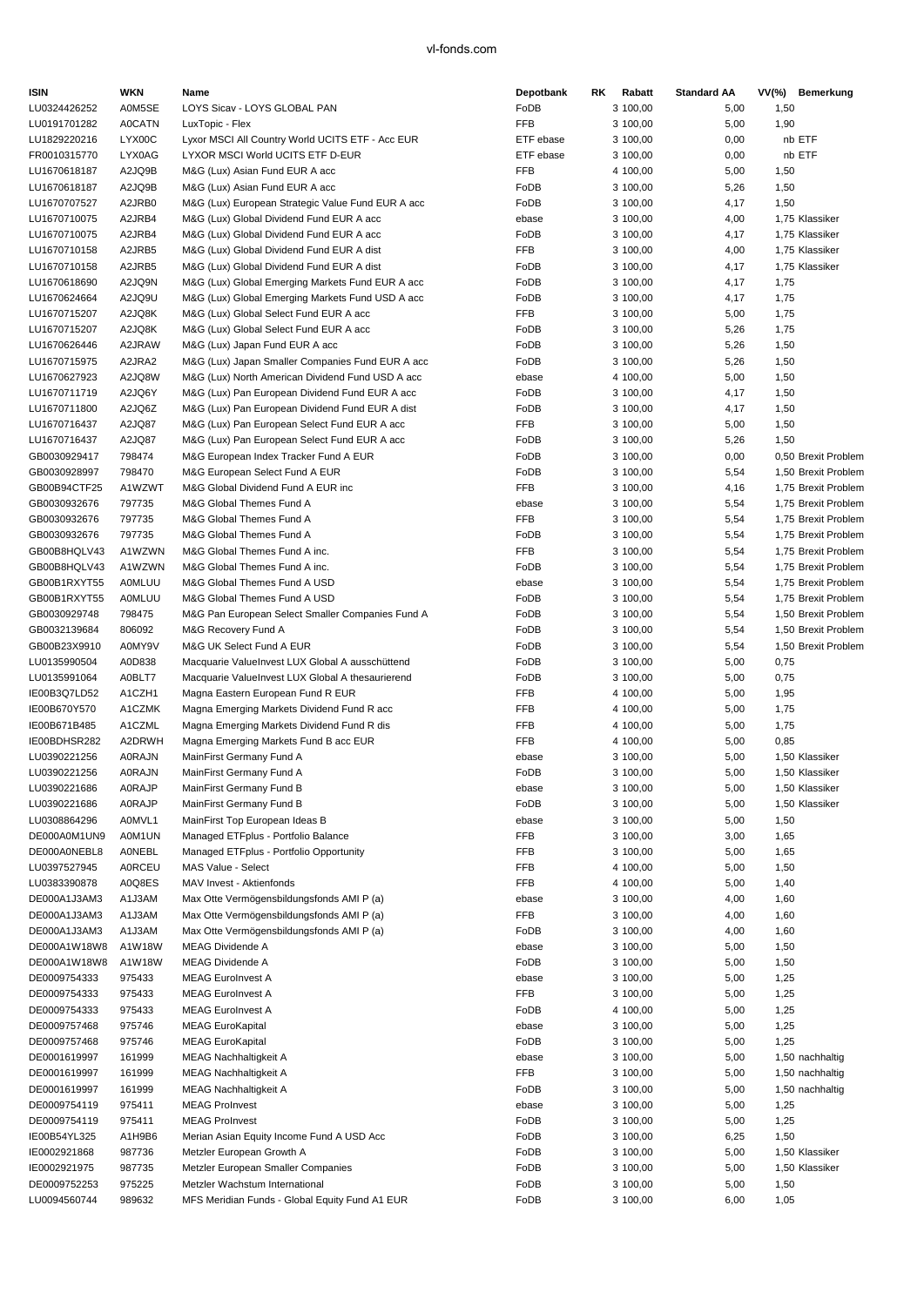| <b>ISIN</b>                  | WKN              | Name                                                                                          | Depotbank                | RK<br>Rabatt         | <b>Standard AA</b> | VV(%) Bemerkung             |
|------------------------------|------------------|-----------------------------------------------------------------------------------------------|--------------------------|----------------------|--------------------|-----------------------------|
| LU0324426252                 | A0M5SE           | LOYS Sicav - LOYS GLOBAL PAN                                                                  | FoDB                     | 3 100,00             | 5,00               | 1,50                        |
| LU0191701282                 | <b>A0CATN</b>    | LuxTopic - Flex                                                                               | <b>FFB</b>               | 3 100,00             | 5,00               | 1,90                        |
| LU1829220216                 | LYX00C           | Lyxor MSCI All Country World UCITS ETF - Acc EUR                                              | ETF ebase                | 3 100,00             | 0,00               | nb ETF                      |
| FR0010315770                 | LYX0AG           | LYXOR MSCI World UCITS ETF D-EUR                                                              | ETF ebase                | 3 100,00             | 0,00               | nb ETF                      |
| LU1670618187                 | A2JQ9B           | M&G (Lux) Asian Fund EUR A acc                                                                | <b>FFB</b>               | 4 100,00             | 5,00               | 1,50                        |
| LU1670618187                 | A2JQ9B           | M&G (Lux) Asian Fund EUR A acc                                                                | FoDB                     | 3 100,00             | 5,26               | 1,50                        |
| LU1670707527<br>LU1670710075 | A2JRB0<br>A2JRB4 | M&G (Lux) European Strategic Value Fund EUR A acc<br>M&G (Lux) Global Dividend Fund EUR A acc | FoDB<br>ebase            | 3 100,00<br>3 100,00 | 4,17               | 1,50<br>1,75 Klassiker      |
| LU1670710075                 | A2JRB4           | M&G (Lux) Global Dividend Fund EUR A acc                                                      | FoDB                     | 3 100,00             | 4,00<br>4,17       | 1,75 Klassiker              |
| LU1670710158                 | A2JRB5           | M&G (Lux) Global Dividend Fund EUR A dist                                                     | <b>FFB</b>               | 3 100,00             | 4,00               | 1,75 Klassiker              |
| LU1670710158                 | A2JRB5           | M&G (Lux) Global Dividend Fund EUR A dist                                                     | FoDB                     | 3 100,00             | 4,17               | 1,75 Klassiker              |
| LU1670618690                 | A2JQ9N           | M&G (Lux) Global Emerging Markets Fund EUR A acc                                              | FoDB                     | 3 100,00             | 4,17               | 1,75                        |
| LU1670624664                 | A2JQ9U           | M&G (Lux) Global Emerging Markets Fund USD A acc                                              | FoDB                     | 3 100,00             | 4,17               | 1,75                        |
| LU1670715207                 | A2JQ8K           | M&G (Lux) Global Select Fund EUR A acc                                                        | <b>FFB</b>               | 3 100,00             | 5,00               | 1,75                        |
| LU1670715207                 | A2JQ8K           | M&G (Lux) Global Select Fund EUR A acc                                                        | FoDB                     | 3 100,00             | 5,26               | 1,75                        |
| LU1670626446                 | A2JRAW           | M&G (Lux) Japan Fund EUR A acc                                                                | FoDB                     | 3 100,00             | 5,26               | 1,50                        |
| LU1670715975                 | A2JRA2           | M&G (Lux) Japan Smaller Companies Fund EUR A acc                                              | FoDB                     | 3 100,00             | 5,26               | 1,50                        |
| LU1670627923                 | A2JQ8W           | M&G (Lux) North American Dividend Fund USD A acc                                              | ebase                    | 4 100,00             | 5,00               | 1,50                        |
| LU1670711719                 | A2JQ6Y           | M&G (Lux) Pan European Dividend Fund EUR A acc                                                | FoDB                     | 3 100,00             | 4,17               | 1,50                        |
| LU1670711800                 | A2JQ6Z           | M&G (Lux) Pan European Dividend Fund EUR A dist                                               | FoDB                     | 3 100,00             | 4,17               | 1,50                        |
| LU1670716437                 | A2JQ87           | M&G (Lux) Pan European Select Fund EUR A acc                                                  | FFB                      | 3 100,00             | 5,00               | 1,50                        |
| LU1670716437<br>GB0030929417 | A2JQ87<br>798474 | M&G (Lux) Pan European Select Fund EUR A acc<br>M&G European Index Tracker Fund A EUR         | FoDB<br>FoDB             | 3 100,00<br>3 100,00 | 5,26<br>0,00       | 1,50<br>0,50 Brexit Problem |
| GB0030928997                 | 798470           | M&G European Select Fund A EUR                                                                | FoDB                     | 3 100,00             | 5,54               | 1,50 Brexit Problem         |
| GB00B94CTF25                 | A1WZWT           | M&G Global Dividend Fund A EUR inc                                                            | <b>FFB</b>               | 3 100,00             | 4,16               | 1,75 Brexit Problem         |
| GB0030932676                 | 797735           | M&G Global Themes Fund A                                                                      | ebase                    | 3 100,00             | 5,54               | 1,75 Brexit Problem         |
| GB0030932676                 | 797735           | M&G Global Themes Fund A                                                                      | <b>FFB</b>               | 3 100,00             | 5,54               | 1,75 Brexit Problem         |
| GB0030932676                 | 797735           | M&G Global Themes Fund A                                                                      | FoDB                     | 3 100,00             | 5,54               | 1,75 Brexit Problem         |
| GB00B8HQLV43                 | A1WZWN           | M&G Global Themes Fund A inc.                                                                 | <b>FFB</b>               | 3 100,00             | 5,54               | 1,75 Brexit Problem         |
| GB00B8HQLV43                 | A1WZWN           | M&G Global Themes Fund A inc.                                                                 | FoDB                     | 3 100,00             | 5,54               | 1,75 Brexit Problem         |
| GB00B1RXYT55                 | <b>A0MLUU</b>    | M&G Global Themes Fund A USD                                                                  | ebase                    | 3 100,00             | 5,54               | 1,75 Brexit Problem         |
| GB00B1RXYT55                 | <b>A0MLUU</b>    | M&G Global Themes Fund A USD                                                                  | FoDB                     | 3 100,00             | 5,54               | 1,75 Brexit Problem         |
| GB0030929748                 | 798475           | M&G Pan European Select Smaller Companies Fund A                                              | FoDB                     | 3 100,00             | 5,54               | 1,50 Brexit Problem         |
| GB0032139684                 | 806092           | M&G Recovery Fund A                                                                           | FoDB                     | 3 100,00             | 5,54               | 1,50 Brexit Problem         |
| GB00B23X9910                 | A0MY9V           | M&G UK Select Fund A EUR                                                                      | FoDB                     | 3 100,00             | 5,54               | 1,50 Brexit Problem         |
| LU0135990504                 | A0D838           | Macquarie ValueInvest LUX Global A ausschüttend                                               | FoDB                     | 3 100,00             | 5,00               | 0,75                        |
| LU0135991064                 | A0BLT7           | Macquarie ValueInvest LUX Global A thesaurierend                                              | FoDB                     | 3 100,00             | 5,00               | 0,75                        |
| IE00B3Q7LD52                 | A1CZH1           | Magna Eastern European Fund R EUR                                                             | <b>FFB</b>               | 4 100,00             | 5,00               | 1,95                        |
| IE00B670Y570<br>IE00B671B485 | A1CZMK<br>A1CZML | Magna Emerging Markets Dividend Fund R acc<br>Magna Emerging Markets Dividend Fund R dis      | <b>FFB</b><br><b>FFB</b> | 4 100,00<br>4 100,00 | 5,00<br>5,00       | 1,75<br>1,75                |
| IE00BDHSR282                 | A2DRWH           | Magna Emerging Markets Fund B acc EUR                                                         | <b>FFB</b>               | 4 100,00             | 5,00               | 0,85                        |
| LU0390221256                 | <b>A0RAJN</b>    | MainFirst Germany Fund A                                                                      | ebase                    | 3 100,00             | 5,00               | 1,50 Klassiker              |
| LU0390221256                 | A0RAJN           | MainFirst Germany Fund A                                                                      | FoDB                     | 3 100,00             | 5,00               | 1,50 Klassiker              |
| LU0390221686                 | <b>A0RAJP</b>    | MainFirst Germany Fund B                                                                      | ebase                    | 3 100,00             | 5,00               | 1,50 Klassiker              |
| LU0390221686                 | <b>A0RAJP</b>    | MainFirst Germany Fund B                                                                      | FoDB                     | 3 100,00             | 5,00               | 1,50 Klassiker              |
| LU0308864296                 | A0MVL1           | MainFirst Top European Ideas B                                                                | ebase                    | 3 100,00             | 5,00               | 1,50                        |
| DE000A0M1UN9                 | A0M1UN           | Managed ETFplus - Portfolio Balance                                                           | FFB                      | 3 100,00             | 3,00               | 1,65                        |
| DE000A0NEBL8                 | AONEBL           | Managed ETFplus - Portfolio Opportunity                                                       | FFB                      | 3 100,00             | 5,00               | 1,65                        |
| LU0397527945                 | <b>A0RCEU</b>    | MAS Value - Select                                                                            | FFB                      | 4 100,00             | 5,00               | 1,50                        |
| LU0383390878                 | A0Q8ES           | MAV Invest - Aktienfonds                                                                      | FFB                      | 4 100,00             | 5,00               | 1,40                        |
| DE000A1J3AM3                 | A1J3AM           | Max Otte Vermögensbildungsfonds AMI P (a)                                                     | ebase                    | 3 100,00             | 4,00               | 1,60                        |
| DE000A1J3AM3                 | A1J3AM           | Max Otte Vermögensbildungsfonds AMI P (a)                                                     | FFB                      | 3 100,00             | 4,00               | 1,60                        |
| DE000A1J3AM3                 | A1J3AM           | Max Otte Vermögensbildungsfonds AMI P (a)                                                     | FoDB                     | 3 100,00             | 4,00               | 1,60                        |
| DE000A1W18W8                 | A1W18W           | MEAG Dividende A                                                                              | ebase                    | 3 100,00             | 5,00               | 1,50                        |
| DE000A1W18W8                 | A1W18W           | MEAG Dividende A                                                                              | FoDB                     | 3 100,00             | 5,00               | 1,50                        |
| DE0009754333<br>DE0009754333 | 975433<br>975433 | <b>MEAG EuroInvest A</b><br><b>MEAG EuroInvest A</b>                                          | ebase<br>FFB             | 3 100,00<br>3 100,00 | 5,00<br>5,00       | 1,25<br>1,25                |
| DE0009754333                 | 975433           | <b>MEAG EuroInvest A</b>                                                                      | FoDB                     | 4 100,00             | 5,00               | 1,25                        |
| DE0009757468                 | 975746           | <b>MEAG EuroKapital</b>                                                                       | ebase                    | 3 100,00             | 5,00               | 1,25                        |
| DE0009757468                 | 975746           | <b>MEAG EuroKapital</b>                                                                       | FoDB                     | 3 100,00             | 5,00               | 1,25                        |
| DE0001619997                 | 161999           | <b>MEAG Nachhaltigkeit A</b>                                                                  | ebase                    | 3 100,00             | 5,00               | 1,50 nachhaltig             |
| DE0001619997                 | 161999           | <b>MEAG Nachhaltigkeit A</b>                                                                  | FFB                      | 3 100,00             | 5,00               | 1,50 nachhaltig             |
| DE0001619997                 | 161999           | <b>MEAG Nachhaltigkeit A</b>                                                                  | FoDB                     | 3 100,00             | 5,00               | 1,50 nachhaltig             |
| DE0009754119                 | 975411           | <b>MEAG ProInvest</b>                                                                         | ebase                    | 3 100,00             | 5,00               | 1,25                        |
| DE0009754119                 | 975411           | <b>MEAG ProInvest</b>                                                                         | FoDB                     | 3 100,00             | 5,00               | 1,25                        |
| IE00B54YL325                 | A1H9B6           | Merian Asian Equity Income Fund A USD Acc                                                     | FoDB                     | 3 100,00             | 6,25               | 1,50                        |
| IE0002921868                 | 987736           | Metzler European Growth A                                                                     | FoDB                     | 3 100,00             | 5,00               | 1,50 Klassiker              |
| IE0002921975                 | 987735           | Metzler European Smaller Companies                                                            | FoDB                     | 3 100,00             | 5,00               | 1,50 Klassiker              |
| DE0009752253                 | 975225           | Metzler Wachstum International                                                                | FoDB                     | 3 100,00             | 5,00               | 1,50                        |
| LU0094560744                 | 989632           | MFS Meridian Funds - Global Equity Fund A1 EUR                                                | FoDB                     | 3 100,00             | 6,00               | 1,05                        |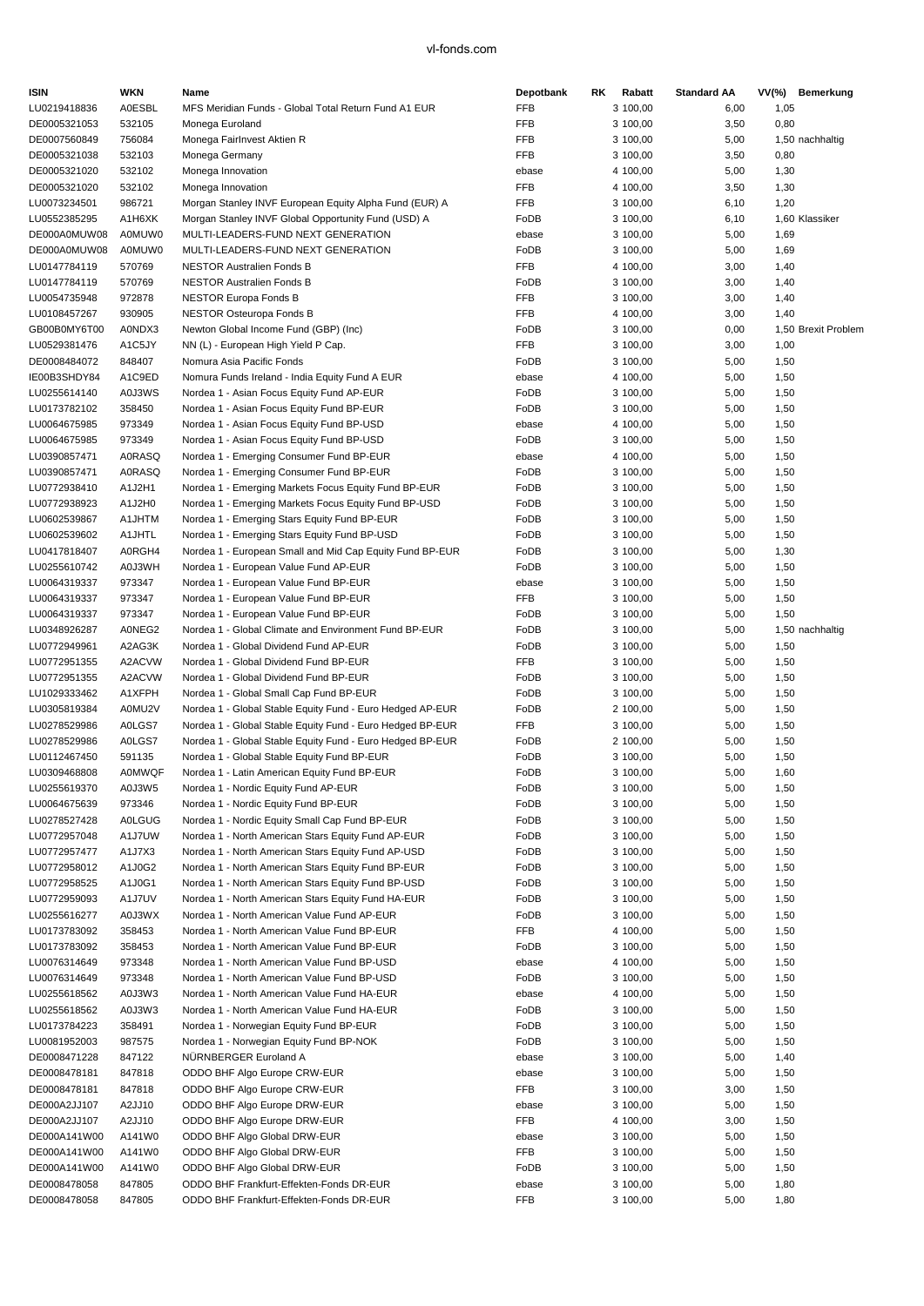| <b>ISIN</b>                  | <b>WKN</b>              | Name                                                                                        | Depotbank           | RK.<br>Rabatt        | <b>Standard AA</b> | VV(%) Bemerkung     |
|------------------------------|-------------------------|---------------------------------------------------------------------------------------------|---------------------|----------------------|--------------------|---------------------|
| LU0219418836                 | <b>A0ESBL</b>           | MFS Meridian Funds - Global Total Return Fund A1 EUR                                        | <b>FFB</b>          | 3 100,00             | 6,00               | 1,05                |
| DE0005321053                 | 532105                  | Monega Euroland                                                                             | <b>FFB</b>          | 3 100,00             | 3,50               | 0,80                |
| DE0007560849                 | 756084                  | Monega Fairlnvest Aktien R                                                                  | <b>FFB</b>          | 3 100,00             | 5,00               | 1,50 nachhaltig     |
| DE0005321038                 | 532103                  | Monega Germany                                                                              | <b>FFB</b>          | 3 100,00             | 3,50               | 0,80                |
| DE0005321020                 | 532102                  | Monega Innovation                                                                           | ebase               | 4 100,00             | 5,00               | 1,30                |
| DE0005321020                 | 532102                  | Monega Innovation                                                                           | <b>FFB</b>          | 4 100,00             | 3,50               | 1,30                |
| LU0073234501                 | 986721                  | Morgan Stanley INVF European Equity Alpha Fund (EUR) A                                      | <b>FFB</b>          | 3 100,00             | 6, 10              | 1,20                |
| LU0552385295                 | A1H6XK<br>A0MUW0        | Morgan Stanley INVF Global Opportunity Fund (USD) A                                         | FoDB                | 3 100,00             | 6, 10              | 1,60 Klassiker      |
| DE000A0MUW08<br>DE000A0MUW08 | A0MUW0                  | MULTI-LEADERS-FUND NEXT GENERATION<br>MULTI-LEADERS-FUND NEXT GENERATION                    | ebase<br>FoDB       | 3 100,00<br>3 100,00 | 5,00<br>5,00       | 1,69<br>1,69        |
| LU0147784119                 | 570769                  | <b>NESTOR Australien Fonds B</b>                                                            | <b>FFB</b>          | 4 100,00             | 3,00               | 1,40                |
| LU0147784119                 | 570769                  | <b>NESTOR Australien Fonds B</b>                                                            | FoDB                | 3 100,00             | 3,00               | 1,40                |
| LU0054735948                 | 972878                  | <b>NESTOR Europa Fonds B</b>                                                                | <b>FFB</b>          | 3 100,00             | 3,00               | 1,40                |
| LU0108457267                 | 930905                  | <b>NESTOR Osteuropa Fonds B</b>                                                             | <b>FFB</b>          | 4 100,00             | 3,00               | 1,40                |
| GB00B0MY6T00                 | A0NDX3                  | Newton Global Income Fund (GBP) (Inc)                                                       | FoDB                | 3 100,00             | 0,00               | 1,50 Brexit Problem |
| LU0529381476                 | A1C5JY                  | NN (L) - European High Yield P Cap.                                                         | <b>FFB</b>          | 3 100,00             | 3,00               | 1,00                |
| DE0008484072                 | 848407                  | Nomura Asia Pacific Fonds                                                                   | FoDB                | 3 100,00             | 5,00               | 1,50                |
| IE00B3SHDY84                 | A1C9ED                  | Nomura Funds Ireland - India Equity Fund A EUR                                              | ebase               | 4 100,00             | 5,00               | 1,50                |
| LU0255614140                 | A0J3WS                  | Nordea 1 - Asian Focus Equity Fund AP-EUR                                                   | FoDB                | 3 100,00             | 5,00               | 1,50                |
| LU0173782102                 | 358450                  | Nordea 1 - Asian Focus Equity Fund BP-EUR                                                   | FoDB                | 3 100,00             | 5,00               | 1,50                |
| LU0064675985                 | 973349                  | Nordea 1 - Asian Focus Equity Fund BP-USD                                                   | ebase               | 4 100,00             | 5,00               | 1,50                |
| LU0064675985                 | 973349                  | Nordea 1 - Asian Focus Equity Fund BP-USD                                                   | FoDB                | 3 100,00             | 5,00               | 1,50                |
| LU0390857471                 | <b>A0RASQ</b>           | Nordea 1 - Emerging Consumer Fund BP-EUR                                                    | ebase               | 4 100,00             | 5,00               | 1,50                |
| LU0390857471                 | <b>A0RASQ</b>           | Nordea 1 - Emerging Consumer Fund BP-EUR                                                    | FoDB                | 3 100,00             | 5,00               | 1,50                |
| LU0772938410                 | A1J2H1                  | Nordea 1 - Emerging Markets Focus Equity Fund BP-EUR                                        | FoDB                | 3 100,00             | 5,00               | 1,50                |
| LU0772938923                 | A1J2H0                  | Nordea 1 - Emerging Markets Focus Equity Fund BP-USD                                        | FoDB                | 3 100,00             | 5,00               | 1,50                |
| LU0602539867                 | A1JHTM                  | Nordea 1 - Emerging Stars Equity Fund BP-EUR                                                | FoDB                | 3 100,00             | 5,00               | 1,50                |
| LU0602539602                 | A1JHTL                  | Nordea 1 - Emerging Stars Equity Fund BP-USD                                                | FoDB                | 3 100,00             | 5,00               | 1,50                |
| LU0417818407                 | A0RGH4                  | Nordea 1 - European Small and Mid Cap Equity Fund BP-EUR                                    | FoDB                | 3 100,00             | 5,00               | 1,30                |
| LU0255610742                 | A0J3WH                  | Nordea 1 - European Value Fund AP-EUR                                                       | FoDB                | 3 100,00             | 5,00               | 1,50                |
| LU0064319337                 | 973347                  | Nordea 1 - European Value Fund BP-EUR                                                       | ebase               | 3 100,00             | 5,00               | 1,50                |
| LU0064319337                 | 973347                  | Nordea 1 - European Value Fund BP-EUR                                                       | FFB                 | 3 100,00             | 5,00               | 1,50                |
| LU0064319337                 | 973347                  | Nordea 1 - European Value Fund BP-EUR                                                       | FoDB                | 3 100,00             | 5,00               | 1,50                |
| LU0348926287                 | A0NEG2                  | Nordea 1 - Global Climate and Environment Fund BP-EUR                                       | FoDB                | 3 100,00             | 5,00               | 1,50 nachhaltig     |
| LU0772949961                 | A2AG3K                  | Nordea 1 - Global Dividend Fund AP-EUR                                                      | FoDB                | 3 100,00             | 5,00               | 1,50                |
| LU0772951355                 | A2ACVW                  | Nordea 1 - Global Dividend Fund BP-EUR                                                      | <b>FFB</b>          | 3 100,00             | 5,00               | 1,50                |
| LU0772951355                 | A2ACVW                  | Nordea 1 - Global Dividend Fund BP-EUR                                                      | FoDB                | 3 100,00             | 5,00               | 1,50                |
| LU1029333462                 | A1XFPH                  | Nordea 1 - Global Small Cap Fund BP-EUR                                                     | FoDB                | 3 100,00             | 5,00               | 1,50                |
| LU0305819384                 | A0MU2V                  | Nordea 1 - Global Stable Equity Fund - Euro Hedged AP-EUR                                   | FoDB                | 2 100,00             | 5,00               | 1,50                |
| LU0278529986                 | A0LGS7                  | Nordea 1 - Global Stable Equity Fund - Euro Hedged BP-EUR                                   | <b>FFB</b>          | 3 100,00             | 5,00               | 1,50                |
| LU0278529986<br>LU0112467450 | A0LGS7                  | Nordea 1 - Global Stable Equity Fund - Euro Hedged BP-EUR                                   | FoDB                | 2 100,00             | 5,00               | 1,50                |
|                              | 591135<br><b>A0MWQF</b> | Nordea 1 - Global Stable Equity Fund BP-EUR<br>Nordea 1 - Latin American Equity Fund BP-EUR | FoDB<br>FoDB        | 3 100,00             | 5,00<br>5,00       | 1,50                |
| LU0309468808<br>LU0255619370 | A0J3W5                  | Nordea 1 - Nordic Equity Fund AP-EUR                                                        | FoDB                | 3 100,00<br>3 100,00 | 5,00               | 1,60<br>1,50        |
| LU0064675639                 | 973346                  | Nordea 1 - Nordic Equity Fund BP-EUR                                                        | FoDB                | 3 100,00             | 5,00               | 1,50                |
| LU0278527428                 | <b>A0LGUG</b>           | Nordea 1 - Nordic Equity Small Cap Fund BP-EUR                                              | FoDB                | 3 100,00             | 5,00               | 1,50                |
| LU0772957048                 | A1J7UW                  | Nordea 1 - North American Stars Equity Fund AP-EUR                                          | FoDB                | 3 100,00             | 5,00               | 1,50                |
| LU0772957477                 | A1J7X3                  | Nordea 1 - North American Stars Equity Fund AP-USD                                          | FoDB                | 3 100,00             | 5,00               | 1,50                |
| LU0772958012                 | A1J0G2                  | Nordea 1 - North American Stars Equity Fund BP-EUR                                          | FoDB                | 3 100,00             | 5,00               | 1,50                |
| LU0772958525                 | A1J0G1                  | Nordea 1 - North American Stars Equity Fund BP-USD                                          | FoDB                | 3 100,00             | 5,00               | 1,50                |
| LU0772959093                 | A1J7UV                  | Nordea 1 - North American Stars Equity Fund HA-EUR                                          | FoDB                | 3 100,00             | 5,00               | 1,50                |
| LU0255616277                 | A0J3WX                  | Nordea 1 - North American Value Fund AP-EUR                                                 | FoDB                | 3 100,00             | 5,00               | 1,50                |
| LU0173783092                 | 358453                  | Nordea 1 - North American Value Fund BP-EUR                                                 | <b>FFB</b>          | 4 100,00             | 5,00               | 1,50                |
| LU0173783092                 | 358453                  | Nordea 1 - North American Value Fund BP-EUR                                                 | FoDB                | 3 100,00             | 5,00               | 1,50                |
| LU0076314649                 | 973348                  | Nordea 1 - North American Value Fund BP-USD                                                 | ebase               | 4 100,00             | 5,00               | 1,50                |
| LU0076314649                 | 973348                  | Nordea 1 - North American Value Fund BP-USD                                                 | FoDB                | 3 100,00             | 5,00               | 1,50                |
| LU0255618562                 | A0J3W3                  | Nordea 1 - North American Value Fund HA-EUR                                                 | ebase               | 4 100,00             | 5,00               | 1,50                |
| LU0255618562                 | A0J3W3                  | Nordea 1 - North American Value Fund HA-EUR                                                 | FoDB                | 3 100,00             | 5,00               | 1,50                |
| LU0173784223                 | 358491                  | Nordea 1 - Norwegian Equity Fund BP-EUR                                                     | FoDB                | 3 100,00             | 5,00               | 1,50                |
| LU0081952003                 | 987575                  | Nordea 1 - Norwegian Equity Fund BP-NOK                                                     | FoDB                | 3 100,00             | 5,00               | 1,50                |
| DE0008471228                 | 847122                  | NÜRNBERGER Euroland A                                                                       | ebase               | 3 100,00             | 5,00               | 1,40                |
| DE0008478181                 | 847818                  | ODDO BHF Algo Europe CRW-EUR                                                                | ebase               | 3 100,00             | 5,00               | 1,50                |
| DE0008478181                 | 847818                  | ODDO BHF Algo Europe CRW-EUR                                                                | FFB                 | 3 100,00             | 3,00               | 1,50                |
| DE000A2JJ107                 | A2JJ10                  | ODDO BHF Algo Europe DRW-EUR                                                                | ebase               | 3 100,00             | 5,00               | 1,50                |
| DE000A2JJ107                 | A2JJ10                  | ODDO BHF Algo Europe DRW-EUR                                                                | FFB                 | 4 100,00             | 3,00               | 1,50                |
| DE000A141W00                 | A141W0                  | ODDO BHF Algo Global DRW-EUR                                                                | ebase               | 3 100,00             | 5,00               | 1,50                |
| DE000A141W00                 | A141W0                  | ODDO BHF Algo Global DRW-EUR                                                                | FFB                 | 3 100,00             | 5,00               | 1,50                |
| DE000A141W00                 | A141W0                  | ODDO BHF Algo Global DRW-EUR                                                                | FoDB                | 3 100,00             | 5,00               | 1,50                |
| DE0008478058                 | 847805                  | ODDO BHF Frankfurt-Effekten-Fonds DR-EUR                                                    | ebase<br><b>FFB</b> | 3 100,00             | 5,00               | 1,80                |
| DE0008478058                 | 847805                  | ODDO BHF Frankfurt-Effekten-Fonds DR-EUR                                                    |                     | 3 100,00             | 5,00               | 1,80                |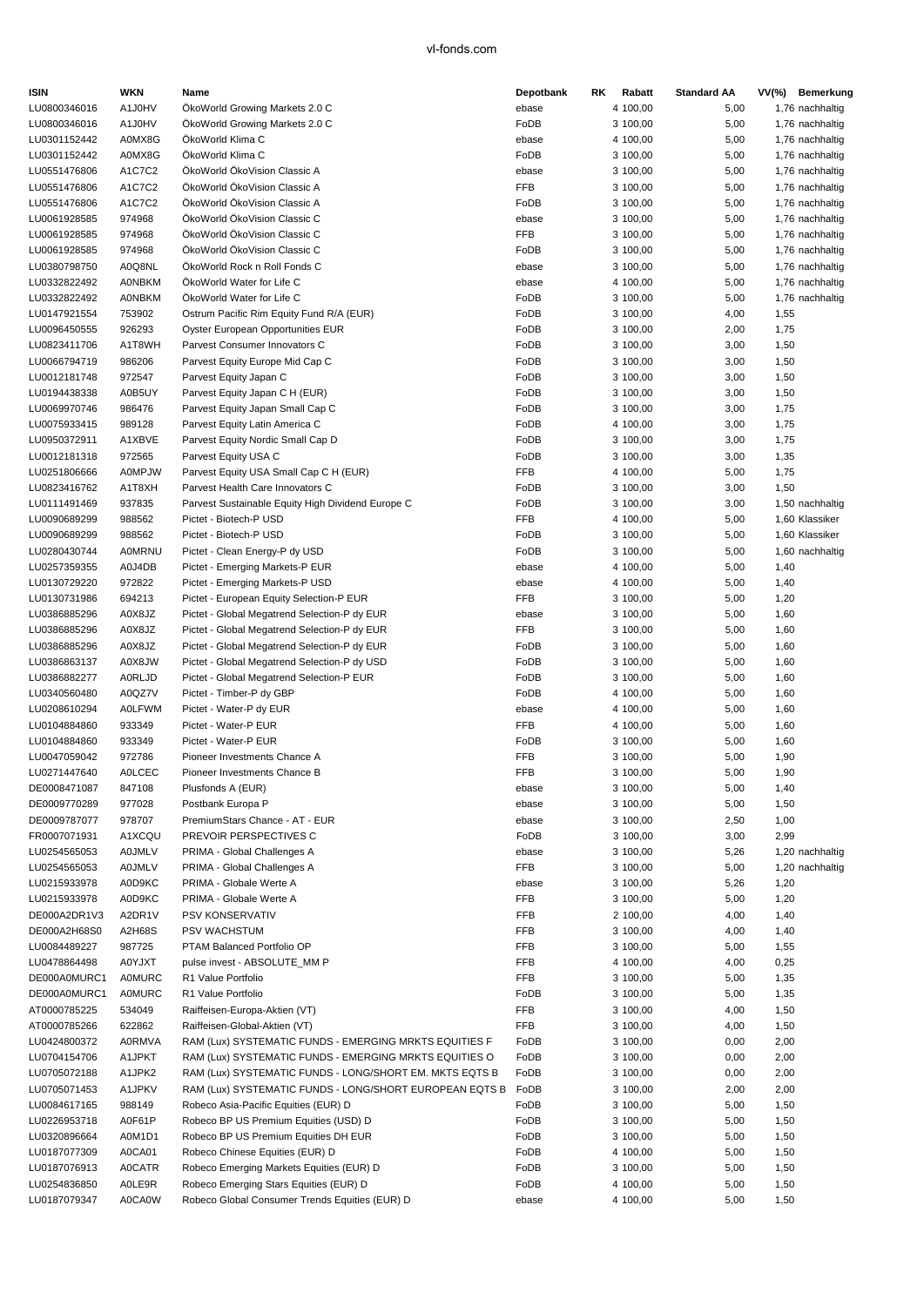| <b>ISIN</b>  | <b>WKN</b>    | Name                                                    | Depotbank  | RK | Rabatt   | <b>Standard AA</b> | $VV(\%)$ | Bemerkung       |
|--------------|---------------|---------------------------------------------------------|------------|----|----------|--------------------|----------|-----------------|
| LU0800346016 | A1J0HV        | OkoWorld Growing Markets 2.0 C                          | ebase      |    | 4 100,00 | 5,00               |          | 1,76 nachhaltig |
| LU0800346016 | A1J0HV        | OkoWorld Growing Markets 2.0 C                          | FoDB       |    | 3 100,00 | 5,00               |          | 1,76 nachhaltig |
| LU0301152442 | A0MX8G        | ÖkoWorld Klima C                                        | ebase      |    | 4 100,00 | 5,00               |          | 1,76 nachhaltig |
| LU0301152442 | A0MX8G        | ÖkoWorld Klima C                                        | FoDB       |    | 3 100,00 | 5,00               |          | 1,76 nachhaltig |
| LU0551476806 | A1C7C2        | ÖkoWorld ÖkoVision Classic A                            | ebase      |    | 3 100,00 | 5,00               |          | 1,76 nachhaltig |
| LU0551476806 | A1C7C2        | ÖkoWorld ÖkoVision Classic A                            | FFB        |    | 3 100,00 | 5,00               |          | 1,76 nachhaltig |
| LU0551476806 | A1C7C2        | ÖkoWorld ÖkoVision Classic A                            | FoDB       |    | 3 100,00 | 5,00               |          | 1,76 nachhaltig |
| LU0061928585 | 974968        | ÖkoWorld ÖkoVision Classic C                            | ebase      |    | 3 100,00 | 5,00               |          | 1,76 nachhaltig |
| LU0061928585 | 974968        | ÖkoWorld ÖkoVision Classic C                            | FFB        |    | 3 100,00 | 5,00               |          | 1,76 nachhaltig |
| LU0061928585 | 974968        | ÖkoWorld ÖkoVision Classic C                            | FoDB       |    | 3 100,00 | 5,00               |          | 1,76 nachhaltig |
| LU0380798750 | A0Q8NL        | ÖkoWorld Rock n Roll Fonds C                            | ebase      |    | 3 100,00 | 5,00               |          | 1,76 nachhaltig |
| LU0332822492 | <b>A0NBKM</b> | OkoWorld Water for Life C                               | ebase      |    | 4 100,00 | 5,00               |          | 1,76 nachhaltig |
| LU0332822492 | <b>A0NBKM</b> | OkoWorld Water for Life C                               | FoDB       |    | 3 100,00 | 5,00               |          | 1,76 nachhaltig |
| LU0147921554 | 753902        | Ostrum Pacific Rim Equity Fund R/A (EUR)                | FoDB       |    | 3 100,00 | 4,00               | 1,55     |                 |
| LU0096450555 | 926293        | Oyster European Opportunities EUR                       | FoDB       |    | 3 100,00 | 2,00               | 1,75     |                 |
| LU0823411706 | A1T8WH        | Parvest Consumer Innovators C                           | FoDB       |    | 3 100,00 | 3,00               | 1,50     |                 |
| LU0066794719 | 986206        | Parvest Equity Europe Mid Cap C                         | FoDB       |    | 3 100,00 | 3,00               | 1,50     |                 |
| LU0012181748 | 972547        | Parvest Equity Japan C                                  | FoDB       |    | 3 100,00 | 3,00               | 1,50     |                 |
| LU0194438338 | A0B5UY        | Parvest Equity Japan C H (EUR)                          | FoDB       |    | 3 100,00 | 3,00               | 1,50     |                 |
| LU0069970746 | 986476        | Parvest Equity Japan Small Cap C                        | FoDB       |    | 3 100,00 | 3,00               | 1,75     |                 |
| LU0075933415 | 989128        | Parvest Equity Latin America C                          | FoDB       |    | 4 100,00 | 3,00               | 1,75     |                 |
| LU0950372911 | A1XBVE        | Parvest Equity Nordic Small Cap D                       | FoDB       |    | 3 100,00 | 3,00               | 1,75     |                 |
| LU0012181318 | 972565        | Parvest Equity USA C                                    | FoDB       |    | 3 100,00 | 3,00               | 1,35     |                 |
| LU0251806666 | <b>A0MPJW</b> | Parvest Equity USA Small Cap C H (EUR)                  | <b>FFB</b> |    | 4 100,00 | 5,00               | 1,75     |                 |
| LU0823416762 | A1T8XH        | Parvest Health Care Innovators C                        | FoDB       |    | 3 100,00 | 3,00               | 1,50     |                 |
| LU0111491469 | 937835        | Parvest Sustainable Equity High Dividend Europe C       | FoDB       |    | 3 100,00 | 3,00               |          | 1,50 nachhaltig |
| LU0090689299 | 988562        | Pictet - Biotech-P USD                                  | <b>FFB</b> |    | 4 100,00 | 5,00               |          | 1,60 Klassiker  |
| LU0090689299 | 988562        | Pictet - Biotech-P USD                                  | FoDB       |    | 3 100,00 | 5,00               |          | 1,60 Klassiker  |
| LU0280430744 | <b>A0MRNU</b> | Pictet - Clean Energy-P dy USD                          | FoDB       |    | 3 100,00 | 5,00               |          | 1,60 nachhaltig |
| LU0257359355 | A0J4DB        | Pictet - Emerging Markets-P EUR                         | ebase      |    | 4 100,00 | 5,00               | 1,40     |                 |
| LU0130729220 | 972822        | Pictet - Emerging Markets-P USD                         | ebase      |    | 4 100,00 | 5,00               | 1,40     |                 |
| LU0130731986 | 694213        | Pictet - European Equity Selection-P EUR                | FFB        |    | 3 100,00 | 5,00               | 1,20     |                 |
| LU0386885296 | A0X8JZ        | Pictet - Global Megatrend Selection-P dy EUR            | ebase      |    | 3 100,00 | 5,00               | 1,60     |                 |
| LU0386885296 | A0X8JZ        | Pictet - Global Megatrend Selection-P dy EUR            | <b>FFB</b> |    | 3 100,00 | 5,00               | 1,60     |                 |
| LU0386885296 | A0X8JZ        | Pictet - Global Megatrend Selection-P dy EUR            | FoDB       |    | 3 100,00 | 5,00               | 1,60     |                 |
| LU0386863137 | A0X8JW        | Pictet - Global Megatrend Selection-P dy USD            | FoDB       |    | 3 100,00 | 5,00               | 1,60     |                 |
| LU0386882277 | <b>A0RLJD</b> | Pictet - Global Megatrend Selection-P EUR               | FoDB       |    | 3 100,00 | 5,00               | 1,60     |                 |
| LU0340560480 | A0QZ7V        | Pictet - Timber-P dy GBP                                | FoDB       |    | 4 100,00 | 5,00               | 1,60     |                 |
| LU0208610294 | <b>A0LFWM</b> | Pictet - Water-P dy EUR                                 | ebase      |    | 4 100,00 | 5,00               | 1,60     |                 |
| LU0104884860 | 933349        | Pictet - Water-P EUR                                    | FFB        |    | 4 100,00 | 5,00               | 1,60     |                 |
| LU0104884860 | 933349        | Pictet - Water-P EUR                                    | FoDB       |    | 3 100,00 | 5,00               | 1,60     |                 |
| LU0047059042 | 972786        | Pioneer Investments Chance A                            | <b>FFB</b> |    | 3 100,00 | 5,00               | 1,90     |                 |
| LU0271447640 | <b>AOLCEC</b> | Pioneer Investments Chance B                            | <b>FFB</b> |    | 3 100,00 | 5,00               | 1,90     |                 |
| DE0008471087 | 847108        | Plusfonds A (EUR)                                       | ebase      |    | 3 100,00 | 5,00               | 1,40     |                 |
| DE0009770289 | 977028        | Postbank Europa P                                       | ebase      |    | 3 100,00 | 5,00               | 1,50     |                 |
| DE0009787077 | 978707        | PremiumStars Chance - AT - EUR                          | ebase      |    | 3 100,00 | 2,50               | 1,00     |                 |
| FR0007071931 | A1XCQU        | PREVOIR PERSPECTIVES C                                  | FoDB       |    | 3 100,00 | 3,00               | 2,99     |                 |
| LU0254565053 | <b>A0JMLV</b> | PRIMA - Global Challenges A                             | ebase      |    | 3 100,00 | 5,26               |          | 1,20 nachhaltig |
| LU0254565053 | <b>A0JMLV</b> | PRIMA - Global Challenges A                             | FFB        |    | 3 100,00 | 5,00               |          | 1,20 nachhaltig |
| LU0215933978 | A0D9KC        | PRIMA - Globale Werte A                                 | ebase      |    | 3 100,00 | 5,26               | 1,20     |                 |
| LU0215933978 | A0D9KC        | PRIMA - Globale Werte A                                 | FFB        |    | 3 100,00 | 5,00               | 1,20     |                 |
| DE000A2DR1V3 | A2DR1V        | PSV KONSERVATIV                                         | FFB        |    | 2 100,00 | 4,00               | 1,40     |                 |
| DE000A2H68S0 | A2H68S        | PSV WACHSTUM                                            | FFB        |    | 3 100,00 | 4,00               | 1,40     |                 |
| LU0084489227 | 987725        | PTAM Balanced Portfolio OP                              | FFB        |    | 3 100,00 | 5,00               | 1,55     |                 |
| LU0478864498 | A0YJXT        | pulse invest - ABSOLUTE_MM P                            | FFB        |    | 4 100,00 | 4,00               | 0,25     |                 |
| DE000A0MURC1 | <b>A0MURC</b> | R1 Value Portfolio                                      | FFB        |    | 3 100,00 | 5,00               | 1,35     |                 |
| DE000A0MURC1 | <b>A0MURC</b> | R1 Value Portfolio                                      | FoDB       |    | 3 100,00 | 5,00               | 1,35     |                 |
| AT0000785225 | 534049        | Raiffeisen-Europa-Aktien (VT)                           | FFB        |    | 3 100,00 | 4,00               | 1,50     |                 |
| AT0000785266 | 622862        | Raiffeisen-Global-Aktien (VT)                           | FFB        |    | 3 100,00 | 4,00               | 1,50     |                 |
| LU0424800372 | <b>A0RMVA</b> | RAM (Lux) SYSTEMATIC FUNDS - EMERGING MRKTS EQUITIES F  | FoDB       |    | 3 100,00 | 0,00               | 2,00     |                 |
| LU0704154706 | A1JPKT        | RAM (Lux) SYSTEMATIC FUNDS - EMERGING MRKTS EQUITIES O  | FoDB       |    | 3 100,00 | 0,00               | 2,00     |                 |
| LU0705072188 | A1JPK2        | RAM (Lux) SYSTEMATIC FUNDS - LONG/SHORT EM. MKTS EQTS B | FoDB       |    | 3 100,00 | 0,00               | 2,00     |                 |
| LU0705071453 | A1JPKV        | RAM (Lux) SYSTEMATIC FUNDS - LONG/SHORT EUROPEAN EQTS B | FoDB       |    | 3 100,00 | 2,00               | 2,00     |                 |
| LU0084617165 | 988149        | Robeco Asia-Pacific Equities (EUR) D                    | FoDB       |    | 3 100,00 | 5,00               | 1,50     |                 |
| LU0226953718 | A0F61P        | Robeco BP US Premium Equities (USD) D                   | FoDB       |    | 3 100,00 | 5,00               | 1,50     |                 |
| LU0320896664 | A0M1D1        | Robeco BP US Premium Equities DH EUR                    | FoDB       |    | 3 100,00 | 5,00               | 1,50     |                 |
| LU0187077309 | A0CA01        | Robeco Chinese Equities (EUR) D                         | FoDB       |    | 4 100,00 | 5,00               | 1,50     |                 |
| LU0187076913 | <b>A0CATR</b> | Robeco Emerging Markets Equities (EUR) D                | FoDB       |    | 3 100,00 | 5,00               | 1,50     |                 |
| LU0254836850 | A0LE9R        | Robeco Emerging Stars Equities (EUR) D                  | FoDB       |    | 4 100,00 | 5,00               | 1,50     |                 |
| LU0187079347 | A0CA0W        | Robeco Global Consumer Trends Equities (EUR) D          | ebase      |    | 4 100,00 | 5,00               | 1,50     |                 |
|              |               |                                                         |            |    |          |                    |          |                 |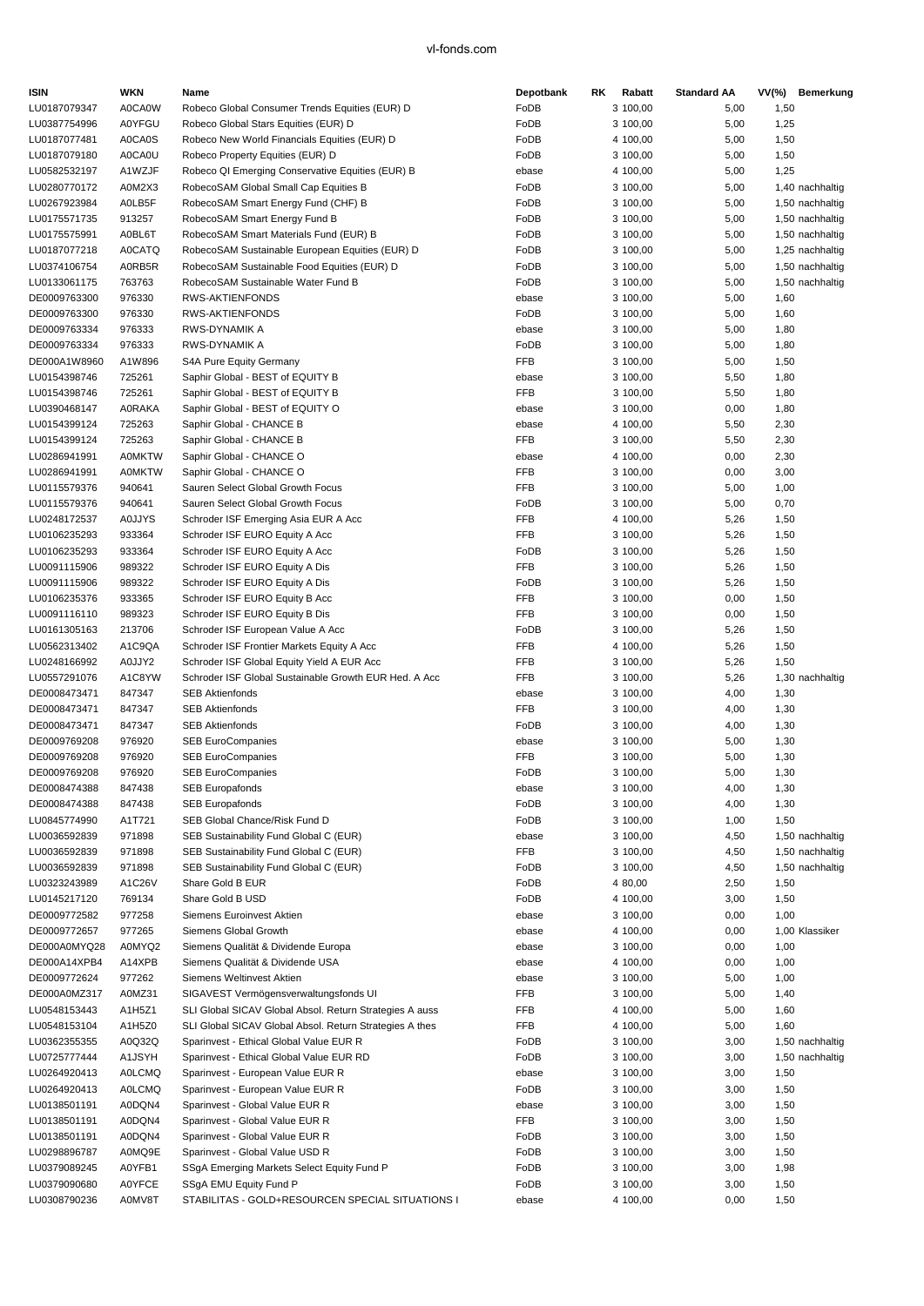| <b>ISIN</b>                  | <b>WKN</b>                     | Name                                                          | Depotbank           | RK      | Rabatt               | <b>Standard AA</b> | VV(%)        | Bemerkung       |
|------------------------------|--------------------------------|---------------------------------------------------------------|---------------------|---------|----------------------|--------------------|--------------|-----------------|
| LU0187079347                 | A0CA0W                         | Robeco Global Consumer Trends Equities (EUR) D                | FoDB                |         | 3 100,00             | 5,00               | 1,50         |                 |
| LU0387754996                 | <b>A0YFGU</b>                  | Robeco Global Stars Equities (EUR) D                          | FoDB                |         | 3 100,00             | 5,00               | 1,25         |                 |
| LU0187077481                 | A0CA0S                         | Robeco New World Financials Equities (EUR) D                  | FoDB                |         | 4 100,00             | 5,00               | 1,50         |                 |
| LU0187079180                 | A0CA0U                         | Robeco Property Equities (EUR) D                              | FoDB                |         | 3 100,00             | 5,00               | 1,50         |                 |
| LU0582532197                 | A1WZJF                         | Robeco QI Emerging Conservative Equities (EUR) B              | ebase               |         | 4 100,00             | 5,00               | 1,25         |                 |
| LU0280770172                 | A0M2X3                         | RobecoSAM Global Small Cap Equities B                         | FoDB                |         | 3 100,00             | 5,00               |              | 1,40 nachhaltig |
| LU0267923984                 | A0LB5F                         | RobecoSAM Smart Energy Fund (CHF) B                           | FoDB                |         | 3 100,00             | 5,00               |              | 1,50 nachhaltig |
| LU0175571735                 | 913257                         | RobecoSAM Smart Energy Fund B                                 | FoDB                |         | 3 100,00             | 5,00               |              | 1,50 nachhaltig |
| LU0175575991                 | A0BL6T                         | RobecoSAM Smart Materials Fund (EUR) B                        | FoDB                |         | 3 100,00             | 5,00               |              | 1,50 nachhaltig |
| LU0187077218                 | <b>A0CATQ</b>                  | RobecoSAM Sustainable European Equities (EUR) D               | FoDB                |         | 3 100,00             | 5,00               |              | 1,25 nachhaltig |
| LU0374106754                 | A0RB5R                         | RobecoSAM Sustainable Food Equities (EUR) D                   | FoDB                |         | 3 100,00             | 5,00               |              | 1,50 nachhaltig |
| LU0133061175                 | 763763                         | RobecoSAM Sustainable Water Fund B                            | FoDB                |         | 3 100,00             | 5,00               |              | 1,50 nachhaltig |
| DE0009763300                 | 976330                         | <b>RWS-AKTIENFONDS</b>                                        | ebase               |         | 3 100,00             | 5,00               | 1,60         |                 |
| DE0009763300                 | 976330                         | RWS-AKTIENFONDS                                               | FoDB                |         | 3 100,00             | 5,00               | 1,60         |                 |
| DE0009763334                 | 976333                         | RWS-DYNAMIK A                                                 | ebase               |         | 3 100,00             | 5,00               | 1,80         |                 |
| DE0009763334                 | 976333                         | RWS-DYNAMIK A                                                 | FoDB                |         | 3 100,00             | 5,00               | 1,80         |                 |
| DE000A1W8960                 | A1W896                         | S4A Pure Equity Germany                                       | <b>FFB</b>          |         | 3 100,00             | 5,00               | 1,50         |                 |
| LU0154398746                 | 725261                         | Saphir Global - BEST of EQUITY B                              | ebase               |         | 3 100,00             | 5,50               | 1,80         |                 |
| LU0154398746                 | 725261                         | Saphir Global - BEST of EQUITY B                              | <b>FFB</b>          |         | 3 100,00             | 5,50               | 1,80         |                 |
| LU0390468147                 | <b>AORAKA</b>                  | Saphir Global - BEST of EQUITY O                              | ebase               |         | 3 100,00             | 0,00               | 1,80         |                 |
| LU0154399124                 | 725263                         | Saphir Global - CHANCE B                                      | ebase               |         | 4 100,00             | 5,50               | 2,30         |                 |
| LU0154399124                 | 725263                         | Saphir Global - CHANCE B                                      | FFB                 |         | 3 100,00             | 5,50               | 2,30         |                 |
| LU0286941991                 | <b>A0MKTW</b><br><b>A0MKTW</b> | Saphir Global - CHANCE O                                      | ebase<br><b>FFB</b> |         | 4 100,00             | 0,00               | 2,30         |                 |
| LU0286941991<br>LU0115579376 | 940641                         | Saphir Global - CHANCE O<br>Sauren Select Global Growth Focus | FFB                 |         | 3 100,00<br>3 100,00 | 0,00<br>5,00       | 3,00<br>1,00 |                 |
| LU0115579376                 | 940641                         | Sauren Select Global Growth Focus                             | FoDB                |         | 3 100,00             |                    | 0,70         |                 |
|                              |                                | Schroder ISF Emerging Asia EUR A Acc                          | <b>FFB</b>          |         |                      | 5,00               |              |                 |
| LU0248172537<br>LU0106235293 | <b>A0JJYS</b><br>933364        | Schroder ISF EURO Equity A Acc                                | <b>FFB</b>          |         | 4 100,00<br>3 100,00 | 5,26               | 1,50         |                 |
| LU0106235293                 | 933364                         | Schroder ISF EURO Equity A Acc                                | FoDB                |         | 3 100,00             | 5,26<br>5,26       | 1,50<br>1,50 |                 |
| LU0091115906                 | 989322                         | Schroder ISF EURO Equity A Dis                                | <b>FFB</b>          |         | 3 100,00             | 5,26               | 1,50         |                 |
| LU0091115906                 | 989322                         | Schroder ISF EURO Equity A Dis                                | FoDB                |         | 3 100,00             | 5,26               | 1,50         |                 |
| LU0106235376                 | 933365                         | Schroder ISF EURO Equity B Acc                                | <b>FFB</b>          |         | 3 100,00             | 0,00               | 1,50         |                 |
| LU0091116110                 | 989323                         | Schroder ISF EURO Equity B Dis                                | <b>FFB</b>          |         | 3 100,00             | 0,00               | 1,50         |                 |
| LU0161305163                 | 213706                         | Schroder ISF European Value A Acc                             | FoDB                |         | 3 100,00             | 5,26               | 1,50         |                 |
| LU0562313402                 | A1C9QA                         | Schroder ISF Frontier Markets Equity A Acc                    | <b>FFB</b>          |         | 4 100,00             | 5,26               | 1,50         |                 |
| LU0248166992                 | A0JJY2                         | Schroder ISF Global Equity Yield A EUR Acc                    | FFB                 |         | 3 100,00             | 5,26               | 1,50         |                 |
| LU0557291076                 | A1C8YW                         | Schroder ISF Global Sustainable Growth EUR Hed. A Acc         | <b>FFB</b>          |         | 3 100,00             | 5,26               |              | 1,30 nachhaltig |
| DE0008473471                 | 847347                         | <b>SEB Aktienfonds</b>                                        | ebase               |         | 3 100,00             | 4,00               | 1,30         |                 |
| DE0008473471                 | 847347                         | <b>SEB Aktienfonds</b>                                        | FFB                 |         | 3 100,00             | 4,00               | 1,30         |                 |
| DE0008473471                 | 847347                         | <b>SEB Aktienfonds</b>                                        | FoDB                |         | 3 100,00             | 4,00               | 1,30         |                 |
| DE0009769208                 | 976920                         | <b>SEB EuroCompanies</b>                                      | ebase               |         | 3 100,00             | 5,00               | 1,30         |                 |
| DE0009769208                 | 976920                         | <b>SEB EuroCompanies</b>                                      | <b>FFB</b>          |         | 3 100,00             | 5,00               | 1,30         |                 |
| DE0009769208                 | 976920                         | <b>SEB EuroCompanies</b>                                      | FoDB                |         | 3 100,00             | 5,00               | 1,30         |                 |
| DE0008474388                 | 847438                         | <b>SEB Europafonds</b>                                        | ebase               |         | 3 100,00             | 4,00               | 1,30         |                 |
| DE0008474388                 | 847438                         | <b>SEB Europafonds</b>                                        | FoDB                |         | 3 100,00             | 4,00               | 1,30         |                 |
| LU0845774990                 | A1T721                         | SEB Global Chance/Risk Fund D                                 | FoDB                |         | 3 100,00             | 1,00               | 1,50         |                 |
| LU0036592839                 | 971898                         | SEB Sustainability Fund Global C (EUR)                        | ebase               |         | 3 100,00             | 4,50               |              | 1,50 nachhaltig |
| LU0036592839                 | 971898                         | SEB Sustainability Fund Global C (EUR)                        | FFB                 |         | 3 100,00             | 4,50               |              | 1,50 nachhaltig |
| LU0036592839                 | 971898                         | SEB Sustainability Fund Global C (EUR)                        | FoDB                |         | 3 100,00             | 4,50               |              | 1,50 nachhaltig |
| LU0323243989                 | A1C26V                         | Share Gold B EUR                                              | FoDB                | 4 80,00 |                      | 2,50               | 1,50         |                 |
| LU0145217120                 | 769134                         | Share Gold B USD                                              | FoDB                |         | 4 100,00             | 3,00               | 1,50         |                 |
| DE0009772582                 | 977258                         | Siemens Euroinvest Aktien                                     | ebase               |         | 3 100,00             | 0,00               | 1,00         |                 |
| DE0009772657                 | 977265                         | Siemens Global Growth                                         | ebase               |         | 4 100,00             | 0,00               |              | 1,00 Klassiker  |
| DE000A0MYQ28                 | A0MYQ2                         | Siemens Qualität & Dividende Europa                           | ebase               |         | 3 100,00             | 0,00               | 1,00         |                 |
| DE000A14XPB4                 | A14XPB                         | Siemens Qualität & Dividende USA                              | ebase               |         | 4 100,00             | 0,00               | 1,00         |                 |
| DE0009772624                 | 977262                         | Siemens Weltinvest Aktien                                     | ebase               |         | 3 100,00             | 5,00               | 1,00         |                 |
| DE000A0MZ317                 | A0MZ31                         | SIGAVEST Vermögensverwaltungsfonds UI                         | FFB                 |         | 3 100,00             | 5,00               | 1,40         |                 |
| LU0548153443                 | A1H5Z1                         | SLI Global SICAV Global Absol. Return Strategies A auss       | FFB                 |         | 4 100,00             | 5,00               | 1,60         |                 |
| LU0548153104                 | A1H5Z0                         | SLI Global SICAV Global Absol. Return Strategies A thes       | FFB                 |         | 4 100,00             | 5,00               | 1,60         |                 |
| LU0362355355                 | A0Q32Q                         | Sparinvest - Ethical Global Value EUR R                       | FoDB                |         | 3 100,00             | 3,00               |              | 1,50 nachhaltig |
| LU0725777444                 | A1JSYH                         | Sparinvest - Ethical Global Value EUR RD                      | FoDB                |         | 3 100,00             | 3,00               |              | 1,50 nachhaltig |
| LU0264920413                 | <b>AOLCMQ</b>                  | Sparinvest - European Value EUR R                             | ebase               |         | 3 100,00             | 3,00               | 1,50         |                 |
| LU0264920413                 | <b>AOLCMQ</b>                  | Sparinvest - European Value EUR R                             | FoDB                |         | 3 100,00             | 3,00               | 1,50         |                 |
| LU0138501191                 | A0DQN4                         | Sparinvest - Global Value EUR R                               | ebase               |         | 3 100,00             | 3,00               | 1,50         |                 |
| LU0138501191                 | A0DQN4                         | Sparinvest - Global Value EUR R                               | FFB                 |         | 3 100,00             | 3,00               | 1,50         |                 |
| LU0138501191                 | A0DQN4                         | Sparinvest - Global Value EUR R                               | FoDB                |         | 3 100,00             | 3,00               | 1,50         |                 |
| LU0298896787                 | A0MQ9E                         | Sparinvest - Global Value USD R                               | FoDB                |         | 3 100,00             | 3,00               | 1,50         |                 |
| LU0379089245                 | A0YFB1                         | SSgA Emerging Markets Select Equity Fund P                    | FoDB                |         | 3 100,00             | 3,00               | 1,98         |                 |
| LU0379090680                 | <b>A0YFCE</b>                  | SSgA EMU Equity Fund P                                        | FoDB                |         | 3 100,00             | 3,00               | 1,50         |                 |
| LU0308790236                 | A0MV8T                         | STABILITAS - GOLD+RESOURCEN SPECIAL SITUATIONS I              | ebase               |         | 4 100,00             | 0,00               | 1,50         |                 |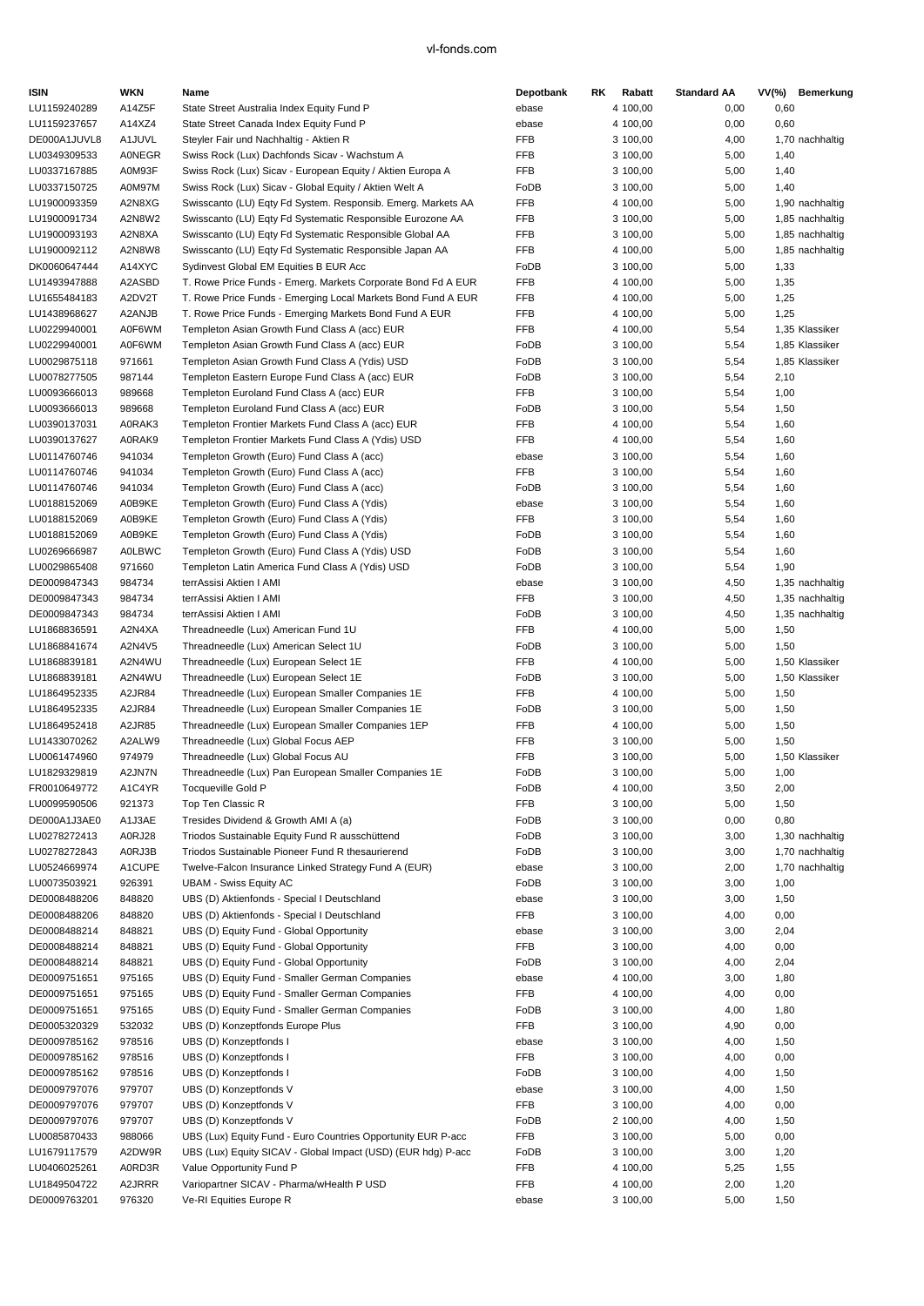| <b>ISIN</b>                  | WKN              | Name                                                                           | Depotbank          | RK. | Rabatt               | <b>Standard AA</b> |      | VV(%) Bemerkung |
|------------------------------|------------------|--------------------------------------------------------------------------------|--------------------|-----|----------------------|--------------------|------|-----------------|
| LU1159240289                 | A14Z5F           | State Street Australia Index Equity Fund P                                     | ebase              |     | 4 100,00             | 0,00               | 0,60 |                 |
| LU1159237657                 | A14XZ4           | State Street Canada Index Equity Fund P                                        | ebase              |     | 4 100,00             | 0,00               | 0,60 |                 |
| DE000A1JUVL8                 | A1JUVL           | Steyler Fair und Nachhaltig - Aktien R                                         | <b>FFB</b>         |     | 3 100,00             | 4,00               |      | 1,70 nachhaltig |
| LU0349309533                 | <b>AONEGR</b>    | Swiss Rock (Lux) Dachfonds Sicav - Wachstum A                                  | <b>FFB</b>         |     | 3 100,00             | 5,00               | 1,40 |                 |
| LU0337167885                 | A0M93F           | Swiss Rock (Lux) Sicav - European Equity / Aktien Europa A                     | <b>FFB</b>         |     | 3 100,00             | 5,00               | 1,40 |                 |
| LU0337150725                 | A0M97M           | Swiss Rock (Lux) Sicav - Global Equity / Aktien Welt A                         | FoDB               |     | 3 100,00             | 5,00               | 1,40 |                 |
| LU1900093359                 | A2N8XG           | Swisscanto (LU) Eqty Fd System. Responsib. Emerg. Markets AA                   | <b>FFB</b>         |     | 4 100,00             | 5,00               |      | 1,90 nachhaltig |
| LU1900091734                 | A2N8W2           | Swisscanto (LU) Eqty Fd Systematic Responsible Eurozone AA                     | FFB                |     | 3 100,00             | 5,00               |      | 1,85 nachhaltig |
| LU1900093193                 | A2N8XA           | Swisscanto (LU) Eqty Fd Systematic Responsible Global AA                       | <b>FFB</b>         |     | 3 100,00             | 5,00               |      | 1,85 nachhaltig |
| LU1900092112                 | A2N8W8           | Swisscanto (LU) Eqty Fd Systematic Responsible Japan AA                        | <b>FFB</b>         |     | 4 100,00             | 5,00               |      | 1,85 nachhaltig |
| DK0060647444                 | A14XYC           | Sydinvest Global EM Equities B EUR Acc                                         | FoDB               |     | 3 100,00             | 5,00               | 1,33 |                 |
| LU1493947888                 | A2ASBD           | T. Rowe Price Funds - Emerg. Markets Corporate Bond Fd A EUR                   | <b>FFB</b>         |     | 4 100,00             | 5,00               | 1,35 |                 |
| LU1655484183                 | A2DV2T           | T. Rowe Price Funds - Emerging Local Markets Bond Fund A EUR                   | <b>FFB</b>         |     | 4 100,00             | 5,00               | 1,25 |                 |
| LU1438968627                 | A2ANJB           | T. Rowe Price Funds - Emerging Markets Bond Fund A EUR                         | <b>FFB</b>         |     | 4 100,00             | 5,00               | 1,25 |                 |
| LU0229940001                 | A0F6WM           | Templeton Asian Growth Fund Class A (acc) EUR                                  | FFB                |     | 4 100,00             | 5,54               |      | 1,35 Klassiker  |
| LU0229940001                 | A0F6WM           | Templeton Asian Growth Fund Class A (acc) EUR                                  | FoDB               |     | 3 100,00             | 5,54               |      | 1,85 Klassiker  |
| LU0029875118                 | 971661           | Templeton Asian Growth Fund Class A (Ydis) USD                                 | FoDB               |     | 3 100,00             | 5,54               |      | 1,85 Klassiker  |
| LU0078277505                 | 987144           | Templeton Eastern Europe Fund Class A (acc) EUR                                | FoDB               |     | 3 100,00             | 5,54               | 2,10 |                 |
| LU0093666013                 | 989668           | Templeton Euroland Fund Class A (acc) EUR                                      | <b>FFB</b>         |     | 3 100,00             | 5,54               | 1,00 |                 |
| LU0093666013                 | 989668           | Templeton Euroland Fund Class A (acc) EUR                                      | FoDB               |     | 3 100,00             | 5,54               | 1,50 |                 |
| LU0390137031                 | A0RAK3           | Templeton Frontier Markets Fund Class A (acc) EUR                              | <b>FFB</b>         |     | 4 100,00             | 5,54               | 1,60 |                 |
| LU0390137627                 | A0RAK9           | Templeton Frontier Markets Fund Class A (Ydis) USD                             | FFB                |     | 4 100,00             | 5,54               | 1,60 |                 |
| LU0114760746                 | 941034           | Templeton Growth (Euro) Fund Class A (acc)                                     | ebase              |     | 3 100,00             | 5,54               | 1,60 |                 |
| LU0114760746                 | 941034           | Templeton Growth (Euro) Fund Class A (acc)                                     | <b>FFB</b>         |     | 3 100,00             | 5,54               | 1,60 |                 |
| LU0114760746                 | 941034           | Templeton Growth (Euro) Fund Class A (acc)                                     | FoDB               |     | 3 100,00             | 5,54               | 1,60 |                 |
| LU0188152069                 | A0B9KE           | Templeton Growth (Euro) Fund Class A (Ydis)                                    | ebase              |     | 3 100,00             | 5,54               | 1,60 |                 |
| LU0188152069                 | A0B9KE           | Templeton Growth (Euro) Fund Class A (Ydis)                                    | <b>FFB</b>         |     | 3 100,00             | 5,54               | 1,60 |                 |
| LU0188152069                 | A0B9KE           | Templeton Growth (Euro) Fund Class A (Ydis)                                    | FoDB               |     | 3 100,00             | 5,54               | 1,60 |                 |
| LU0269666987                 | <b>A0LBWC</b>    | Templeton Growth (Euro) Fund Class A (Ydis) USD                                | FoDB               |     | 3 100,00             | 5,54               | 1,60 |                 |
| LU0029865408                 | 971660           | Templeton Latin America Fund Class A (Ydis) USD                                | FoDB               |     | 3 100,00             | 5,54               | 1,90 |                 |
| DE0009847343                 | 984734           | terrAssisi Aktien I AMI                                                        | ebase              |     | 3 100,00             | 4,50               |      | 1,35 nachhaltig |
| DE0009847343                 | 984734           | terrAssisi Aktien I AMI                                                        | FFB                |     | 3 100,00             | 4,50               |      | 1,35 nachhaltig |
| DE0009847343                 | 984734           | terrAssisi Aktien I AMI                                                        | FoDB<br><b>FFB</b> |     | 3 100,00             | 4,50               |      | 1,35 nachhaltig |
| LU1868836591                 | A2N4XA           | Threadneedle (Lux) American Fund 1U                                            | FoDB               |     | 4 100,00             | 5,00               | 1,50 |                 |
| LU1868841674<br>LU1868839181 | A2N4V5<br>A2N4WU | Threadneedle (Lux) American Select 1U<br>Threadneedle (Lux) European Select 1E | <b>FFB</b>         |     | 3 100,00<br>4 100,00 | 5,00<br>5,00       | 1,50 | 1,50 Klassiker  |
| LU1868839181                 | A2N4WU           | Threadneedle (Lux) European Select 1E                                          | FoDB               |     | 3 100,00             | 5,00               |      | 1,50 Klassiker  |
| LU1864952335                 | A2JR84           | Threadneedle (Lux) European Smaller Companies 1E                               | <b>FFB</b>         |     | 4 100,00             | 5,00               | 1,50 |                 |
| LU1864952335                 | A2JR84           | Threadneedle (Lux) European Smaller Companies 1E                               | FoDB               |     | 3 100,00             | 5,00               | 1,50 |                 |
| LU1864952418                 | A2JR85           | Threadneedle (Lux) European Smaller Companies 1EP                              | <b>FFB</b>         |     | 4 100,00             | 5,00               | 1,50 |                 |
| LU1433070262                 | A2ALW9           | Threadneedle (Lux) Global Focus AEP                                            | FFB                |     | 3 100,00             | 5,00               | 1,50 |                 |
| LU0061474960                 | 974979           | Threadneedle (Lux) Global Focus AU                                             | <b>FFB</b>         |     | 3 100,00             | 5,00               |      | 1,50 Klassiker  |
| LU1829329819                 | A2JN7N           | Threadneedle (Lux) Pan European Smaller Companies 1E                           | FoDB               |     | 3 100,00             | 5,00               | 1,00 |                 |
| FR0010649772                 | A1C4YR           | <b>Tocqueville Gold P</b>                                                      | FoDB               |     | 4 100,00             | 3,50               | 2,00 |                 |
| LU0099590506                 | 921373           | Top Ten Classic R                                                              | FFB                |     | 3 100,00             | 5,00               | 1,50 |                 |
| DE000A1J3AE0                 | A1J3AE           | Tresides Dividend & Growth AMI A (a)                                           | FoDB               |     | 3 100,00             | 0,00               | 0,80 |                 |
| LU0278272413                 | A0RJ28           | Triodos Sustainable Equity Fund R ausschüttend                                 | FoDB               |     | 3 100,00             | 3,00               |      | 1,30 nachhaltig |
| LU0278272843                 | A0RJ3B           | Triodos Sustainable Pioneer Fund R thesaurierend                               | FoDB               |     | 3 100,00             | 3,00               |      | 1,70 nachhaltig |
| LU0524669974                 | A1CUPE           | Twelve-Falcon Insurance Linked Strategy Fund A (EUR)                           | ebase              |     | 3 100,00             | 2,00               |      | 1,70 nachhaltig |
| LU0073503921                 | 926391           | <b>UBAM - Swiss Equity AC</b>                                                  | FoDB               |     | 3 100,00             | 3,00               | 1,00 |                 |
| DE0008488206                 | 848820           | UBS (D) Aktienfonds - Special I Deutschland                                    | ebase              |     | 3 100,00             | 3,00               | 1,50 |                 |
| DE0008488206                 | 848820           | UBS (D) Aktienfonds - Special I Deutschland                                    | FFB                |     | 3 100,00             | 4,00               | 0,00 |                 |
| DE0008488214                 | 848821           | UBS (D) Equity Fund - Global Opportunity                                       | ebase              |     | 3 100,00             | 3,00               | 2,04 |                 |
| DE0008488214                 | 848821           | UBS (D) Equity Fund - Global Opportunity                                       | FFB                |     | 3 100,00             | 4,00               | 0,00 |                 |
| DE0008488214                 | 848821           | UBS (D) Equity Fund - Global Opportunity                                       | FoDB               |     | 3 100,00             | 4,00               | 2,04 |                 |
| DE0009751651                 | 975165           | UBS (D) Equity Fund - Smaller German Companies                                 | ebase              |     | 4 100,00             | 3,00               | 1,80 |                 |
| DE0009751651                 | 975165           | UBS (D) Equity Fund - Smaller German Companies                                 | FFB                |     | 4 100,00             | 4,00               | 0,00 |                 |
| DE0009751651                 | 975165           | UBS (D) Equity Fund - Smaller German Companies                                 | FoDB               |     | 3 100,00             | 4,00               | 1,80 |                 |
| DE0005320329                 | 532032           | UBS (D) Konzeptfonds Europe Plus                                               | FFB                |     | 3 100,00             | 4,90               | 0,00 |                 |
| DE0009785162                 | 978516           | UBS (D) Konzeptfonds I                                                         | ebase              |     | 3 100,00             | 4,00               | 1,50 |                 |
| DE0009785162                 | 978516           | UBS (D) Konzeptfonds I                                                         | FFB                |     | 3 100,00             | 4,00               | 0,00 |                 |
| DE0009785162                 | 978516           | UBS (D) Konzeptfonds I                                                         | FoDB               |     | 3 100,00             | 4,00               | 1,50 |                 |
| DE0009797076                 | 979707           | UBS (D) Konzeptfonds V                                                         | ebase              |     | 3 100,00             | 4,00               | 1,50 |                 |
| DE0009797076                 | 979707           | UBS (D) Konzeptfonds V                                                         | FFB                |     | 3 100,00             | 4,00               | 0,00 |                 |
| DE0009797076                 | 979707           | UBS (D) Konzeptfonds V                                                         | FoDB               |     | 2 100,00             | 4,00               | 1,50 |                 |
| LU0085870433                 | 988066           | UBS (Lux) Equity Fund - Euro Countries Opportunity EUR P-acc                   | FFB                |     | 3 100,00             | 5,00               | 0,00 |                 |
| LU1679117579                 | A2DW9R           | UBS (Lux) Equity SICAV - Global Impact (USD) (EUR hdg) P-acc                   | FoDB               |     | 3 100,00             | 3,00               | 1,20 |                 |
| LU0406025261                 | A0RD3R           | Value Opportunity Fund P                                                       | FFB                |     | 4 100,00             | 5,25               | 1,55 |                 |
| LU1849504722                 | A2JRRR           | Variopartner SICAV - Pharma/wHealth P USD                                      | FFB                |     | 4 100,00             | 2,00               | 1,20 |                 |
| DE0009763201                 | 976320           | Ve-RI Equities Europe R                                                        | ebase              |     | 3 100,00             | 5,00               | 1,50 |                 |